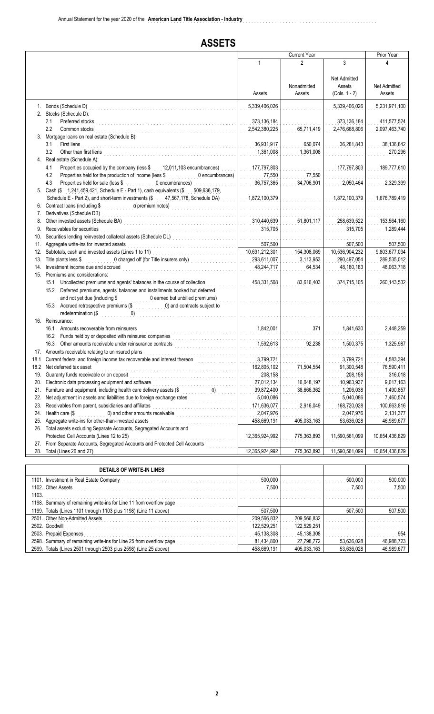### **ASSETS**

|            |                                                                                                                                                                                                                                                                | <b>Current Year</b>          |                           |                                                  | Prior Year                   |
|------------|----------------------------------------------------------------------------------------------------------------------------------------------------------------------------------------------------------------------------------------------------------------|------------------------------|---------------------------|--------------------------------------------------|------------------------------|
|            |                                                                                                                                                                                                                                                                | 1                            | 3<br>2                    |                                                  |                              |
|            |                                                                                                                                                                                                                                                                | Assets                       | Nonadmitted<br>Assets     | <b>Net Admitted</b><br>Assets<br>$(Cols. 1 - 2)$ | Net Admitted<br>Assets       |
|            | 1. Bonds (Schedule D)                                                                                                                                                                                                                                          | 5,339,406,026                |                           | 5,339,406,026                                    | 5,231,971,100                |
|            | 2. Stocks (Schedule D):                                                                                                                                                                                                                                        |                              |                           |                                                  |                              |
|            | 2.1<br>Preferred stocks<br>2.2<br>Common stocks                                                                                                                                                                                                                | 373,136,184<br>2,542,380,225 | 65,711,419                | 373, 136, 184<br>2,476,668,806                   | 411,577,524<br>2,097,463,740 |
|            | 3. Mortgage loans on real estate (Schedule B):<br>3.1<br>First liens                                                                                                                                                                                           | 36,931,917                   | 650,074                   | 36,281,843                                       | 38,136,842                   |
|            | 3.2<br>Other than first liens                                                                                                                                                                                                                                  | 1,361,008                    | 1,361,008                 |                                                  | 270,296                      |
|            | 4. Real estate (Schedule A):<br>Properties occupied by the company (less \$<br>4.1<br>12,011,103 encumbrances)                                                                                                                                                 | 177,797,803                  |                           | 177,797,803                                      | 189,777,610                  |
|            | 4.2<br>Properties held for the production of income (less \$<br>0 encumbrances)                                                                                                                                                                                | 77,550                       | 77,550                    |                                                  |                              |
|            | 4.3<br>Properties held for sale (less \$<br>0 encumbrances)                                                                                                                                                                                                    | 36,757,365                   | 34,706,901                | 2,050,464                                        | 2,329,399                    |
|            | 5. Cash (\$ 1,241,459,421, Schedule E - Part 1), cash equivalents (\$<br>509,636,179,<br>Schedule E - Part 2), and short-term investments (\$1,567,178, Schedule DA)                                                                                           | 1,872,100,379                |                           | 1,872,100,379                                    | 1,676,789,419                |
|            | 6. Contract loans (including \$<br>$0$ premium notes)                                                                                                                                                                                                          |                              |                           |                                                  |                              |
|            | 7. Derivatives (Schedule DB)                                                                                                                                                                                                                                   |                              |                           |                                                  |                              |
| 8.<br>9.   | Other invested assets (Schedule BA)<br>interactional contract to the contract of the contract of the contract of the contract of the contract of the contract of the contract of the contract of the contract of the contract of<br>Receivables for securities | 310,440,639<br>315,705       | 51,801,117                | 258,639,522<br>315,705                           | 153,564,160<br>1,289,444     |
| 10.        |                                                                                                                                                                                                                                                                | .                            |                           |                                                  |                              |
| 11.        | Aggregate write-ins for invested assets                                                                                                                                                                                                                        | 507,500                      |                           | 507,500                                          | 507,500                      |
| 12.        | Subtotals, cash and invested assets (Lines 1 to 11)                                                                                                                                                                                                            | 10,691,212,301               | 154,308,069               | 10,536,904,232                                   | 9,803,677,034                |
|            | 13. Title plants less \$<br>0 charged off (for Title insurers only)                                                                                                                                                                                            | 293,611,007                  | 3,113,953                 | 290,497,054                                      | 289,535,012                  |
| 14.        | Investment income due and accrued<br>15. Premiums and considerations:                                                                                                                                                                                          | 48,244,717                   | 64,534                    | 48,180,183                                       | 48,063,718                   |
|            | Uncollected premiums and agents' balances in the course of collection<br>15.1                                                                                                                                                                                  | 458,331,508                  | 83,616,403                | 374,715,105                                      | 260,143,532                  |
|            | Deferred premiums, agents' balances and installments booked but deferred<br>15.2                                                                                                                                                                               |                              |                           |                                                  |                              |
|            | and not yet due (including \$<br>0 earned but unbilled premiums)<br>0) and contracts subject to<br>15.3 Accrued retrospective premiums (\$                                                                                                                     |                              |                           |                                                  |                              |
|            | (0)<br>redetermination (\$<br>16. Reinsurance:                                                                                                                                                                                                                 |                              |                           |                                                  |                              |
|            | Amounts recoverable from reinsurers<br>16.1                                                                                                                                                                                                                    | 1,842,001                    | 371                       | 1,841,630                                        | 2,448,259                    |
|            | 16.2 Funds held by or deposited with reinsured companies<br><u> 1999 - Paris Paris III, martin a</u><br>16.3<br>Other amounts receivable under reinsurance contracts                                                                                           | 1,592,613                    | 92,238                    | 1,500,375                                        | 1,325,987                    |
|            | 17. Amounts receivable relating to uninsured plans                                                                                                                                                                                                             |                              |                           |                                                  |                              |
| 18.1       | Current federal and foreign income tax recoverable and interest thereon                                                                                                                                                                                        | 3,799,721                    |                           | 3,799,721                                        | 4,583,394                    |
|            | 18.2 Net deferred tax asset                                                                                                                                                                                                                                    | 162,805,102                  | 71,504,554                | 91,300,548                                       | 76,590,411                   |
|            | 19. Guaranty funds receivable or on deposit                                                                                                                                                                                                                    | 208,158                      |                           | 208,158                                          | 316,018                      |
| 20.        | Electronic data processing equipment and software                                                                                                                                                                                                              | 27,012,134                   | 16,048,197                | 10,963,937                                       | 9,017,163                    |
| 21.        | Furniture and equipment, including health care delivery assets (\$<br>(0)                                                                                                                                                                                      | 39,872,400                   | 38,666,362                | 1,206,038                                        | 1,490,857                    |
| 22.        | Net adjustment in assets and liabilities due to foreign exchange rates                                                                                                                                                                                         | 5,040,086                    |                           | 5,040,086                                        | 7,460,574                    |
| 23.        | Receivables from parent, subsidiaries and affiliates                                                                                                                                                                                                           | 171,636,077                  | 2,916,049                 | 168,720,028                                      | 100,663,816                  |
| 24.        | 0) and other amounts receivable<br>Health care (\$                                                                                                                                                                                                             | 2,047,976                    |                           | 2,047,976                                        | 2,131,377                    |
| 25.<br>26. | Aggregate write-ins for other-than-invested assets<br>Total assets excluding Separate Accounts, Segregated Accounts and                                                                                                                                        | 458,669,191                  | 405,033,163               | 53,636,028                                       | 46,989,677                   |
|            | Protected Cell Accounts (Lines 12 to 25)                                                                                                                                                                                                                       | 12,365,924,992               | 775,363,893               | 11,590,561,099                                   | 10,654,436,829               |
| 27.        | From Separate Accounts, Segregated Accounts and Protected Cell Accounts                                                                                                                                                                                        |                              |                           |                                                  |                              |
| 28.        | Total (Lines 26 and 27)                                                                                                                                                                                                                                        | 12,365,924,992               | 775,363,893               | 11,590,561,099                                   | 10,654,436,829               |
|            |                                                                                                                                                                                                                                                                |                              |                           |                                                  |                              |
|            | <b>DETAILS OF WRITE-IN LINES</b>                                                                                                                                                                                                                               |                              |                           |                                                  |                              |
|            | 1101. Investment in Real Estate Company                                                                                                                                                                                                                        | 500,000                      |                           | 500,000                                          | 500,000                      |
| 1103.      | 1102. Other Assets                                                                                                                                                                                                                                             | 7,500                        |                           | 7,500                                            | 7,500                        |
|            | 1198. Summary of remaining write-ins for Line 11 from overflow page                                                                                                                                                                                            |                              |                           |                                                  |                              |
|            | 1199. Totals (Lines 1101 through 1103 plus 1198) (Line 11 above)                                                                                                                                                                                               | 507,500                      |                           | 507,500                                          | 507,500                      |
|            | 2501. Other Non-Admitted Assets<br>2502. Goodwill                                                                                                                                                                                                              | 209,566,832<br>122,529,251   | 209,566,832               |                                                  |                              |
|            | 2503. Prepaid Expenses                                                                                                                                                                                                                                         | 45,138,308                   | 122,529,251<br>45,138,308 |                                                  | 954                          |
|            | 2598. Summary of remaining write-ins for Line 25 from overflow page                                                                                                                                                                                            | 81,434,800                   | 27,798,772                | 53,636,028                                       | 46,988,723                   |
|            | 2599. Totals (Lines 2501 through 2503 plus 2598) (Line 25 above)                                                                                                                                                                                               | 458,669,191                  | 405,033,163               | 53,636,028                                       | 46,989,677                   |
|            |                                                                                                                                                                                                                                                                |                              |                           |                                                  |                              |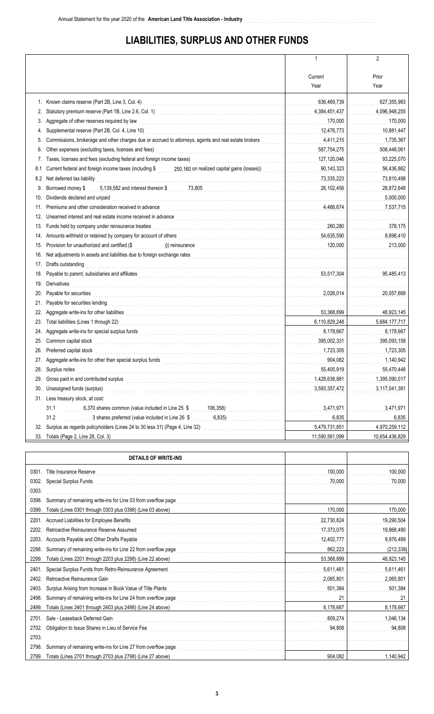## **LIABILITIES, SURPLUS AND OTHER FUNDS**

**American Land Title Association - Industry** ................................................................................

|     |                                                                                                                                                                                                                                 | 1                                                | $\overline{2}$ |
|-----|---------------------------------------------------------------------------------------------------------------------------------------------------------------------------------------------------------------------------------|--------------------------------------------------|----------------|
|     |                                                                                                                                                                                                                                 |                                                  |                |
|     |                                                                                                                                                                                                                                 | Current                                          | Prior          |
|     |                                                                                                                                                                                                                                 | Year                                             | Year           |
|     |                                                                                                                                                                                                                                 |                                                  |                |
|     | Known claims reserve (Part 2B, Line 3, Col. 4)                                                                                                                                                                                  | 636,469,739<br>$\mathbb{Z}^2$ . $\mathbb{Z}^2$ , | 627,355,983    |
| 2.  |                                                                                                                                                                                                                                 | 4,384,451,437                                    | 4,096,948,255  |
| 3.  | Aggregate of other reserves required by law                                                                                                                                                                                     | 170,000                                          | 170,000        |
| 4.  |                                                                                                                                                                                                                                 | 12,476,773                                       | 10,881,447     |
| 5.  |                                                                                                                                                                                                                                 | 4,411,215                                        | 1,735,367      |
| 6.  | Other expenses (excluding taxes, licenses and fees)                                                                                                                                                                             | 587,754,275                                      | 508,448,061    |
| 7.  | Taxes, licenses and fees (excluding federal and foreign income taxes)<br>[[[[[[[[[[[[[[[[]]]]]]]                                                                                                                                | 127,120,046                                      | 93,225,070     |
| 8.1 | Current federal and foreign income taxes (including \$250,160 on realized capital gains (losses))                                                                                                                               | 90,143,323<br>.                                  | 56,436,862     |
| 8.2 | Net deferred tax liability                                                                                                                                                                                                      | 73,335,223                                       | 73,810,498     |
| 9.  | Borrowed money \$ 6,139,582 and interest thereon \$ 73,805                                                                                                                                                                      | 26,102,456                                       | 28,872,648     |
| 10. | Dividends declared and unpaid                                                                                                                                                                                                   |                                                  | 5,000,000      |
| 11. |                                                                                                                                                                                                                                 | 4,466,674                                        | 7,537,715      |
| 12. | Unearned interest and real estate income received in advance <b>construction of the construction of the construction</b>                                                                                                        |                                                  |                |
| 13. | Funds held by company under reinsurance treaties                                                                                                                                                                                | 260,280                                          | 378,175        |
| 14. |                                                                                                                                                                                                                                 | 54,635,590                                       | 8,698,410      |
| 15. | Provision for unauthorized and certified (\$                                                                                                                                                                                    | 120,000                                          | 213,000        |
| 16. |                                                                                                                                                                                                                                 |                                                  | .              |
| 17. | Drafts outstanding                                                                                                                                                                                                              |                                                  |                |
| 18. |                                                                                                                                                                                                                                 | 53,517,304                                       | 95,485,413     |
| 19. | Derivatives                                                                                                                                                                                                                     |                                                  |                |
| 20. |                                                                                                                                                                                                                                 | 2,026,014                                        | 20,057,668     |
| 21. | Payable for securities lending                                                                                                                                                                                                  |                                                  |                |
| 22. |                                                                                                                                                                                                                                 | 53,368,899                                       | 48,923,145     |
| 23. | Total liabilities (Lines 1 through 22)                                                                                                                                                                                          | 6,110,829,248                                    | 5,684,177,717  |
| 24. | Aggregate write-ins for special surplus funds<br>in the second condition of the condition of the condition of the condition of the fund of the condition of the condition of the condition of the condition of the condition of | 8,178,667                                        | 8,178,667      |
| 25. | Common capital stock                                                                                                                                                                                                            | 395,002,331                                      | 395,093,158    |
| 26. | Preferred capital stock                                                                                                                                                                                                         | 1,723,305                                        | 1,723,305      |
|     |                                                                                                                                                                                                                                 | 904,082                                          | 1,140,942      |
|     | Surplus notes                                                                                                                                                                                                                   | 55,405,919                                       | 55,470,448     |
| 29. | Gross paid in and contributed surplus                                                                                                                                                                                           | 1,428,638,881                                    | 1,395,090,017  |
| 30. | Unassigned funds (surplus)                                                                                                                                                                                                      | 3,593,357,472                                    | 3,117,041,381  |
| 31. | Less treasury stock, at cost:                                                                                                                                                                                                   |                                                  |                |
|     | 31.1<br>6,370 shares common (value included in Line 25 \$<br>106,358)                                                                                                                                                           | 3,471,971                                        | 3,471,971      |
|     | .<br>31.2<br>3 shares preferred (value included in Line 26 \$<br>6,835)                                                                                                                                                         | 6,835                                            | 6,835          |
| 32. | Surplus as regards policyholders (Lines 24 to 30 less 31) (Page 4, Line 32)                                                                                                                                                     | 5,479,731,851                                    | 4,970,259,112  |
| 33. | Totals (Page 2, Line 28, Col. 3)                                                                                                                                                                                                | 11,590,561,099                                   | 10,654,436,829 |
|     |                                                                                                                                                                                                                                 |                                                  |                |

|       | <b>DETAILS OF WRITE-INS</b>                                   |            |            |
|-------|---------------------------------------------------------------|------------|------------|
| 0301  | <b>Title Insurance Reserve</b>                                | 100,000    | 100,000    |
| 0302  | <b>Special Surplus Funds</b>                                  | 70.000     | 70,000     |
| 0303  |                                                               |            |            |
| 0398  | Summary of remaining write-ins for Line 03 from overflow page |            |            |
| 0399  | Totals (Lines 0301 through 0303 plus 0398) (Line 03 above)    | 170,000    | 170,000    |
| 2201  | Accrued Liabilities for Employee Benefits                     | 22,730,824 | 19,290,504 |
| 2202  | Retroactive Reinsurance Reserve Assumed                       | 17,373,075 | 19,868,490 |
| 2203  | Accounts Payable and Other Drafts Payable                     | 12,402,777 | 9,976,489  |
| 2298  | Summary of remaining write-ins for Line 22 from overflow page | 862.223    | (212, 338) |
| 2299  | Totals (Lines 2201 through 2203 plus 2298) (Line 22 above)    | 53,368,899 | 48,923,145 |
| 2401  | Special Surplus Funds from Retro-Reinsurance Agreement        | 5,611,461  | 5,611,461  |
| 2402  | Retroactive Reinsurance Gain                                  | 2,065,801  | 2,065,801  |
| 2403. | Surplus Arising from Increase in Book Value of Title Plants   | 501,384    | 501,384    |
| 2498  | Summary of remaining write-ins for Line 24 from overflow page | 21         | 21         |
| 2499. | Totals (Lines 2401 through 2403 plus 2498) (Line 24 above)    | 8,178,667  | 8,178,667  |
| 2701  | Sale - Leaseback Deferred Gain                                | 809.274    | 1,046,134  |
| 2702. | Obligation to Issue Shares in Lieu of Service Fee             | 94,808     | 94,808     |
| 2703. |                                                               |            |            |
| 2798. | Summary of remaining write-ins for Line 27 from overflow page |            |            |
| 2799. | Totals (Lines 2701 through 2703 plus 2798) (Line 27 above)    | 904.082    | 1,140,942  |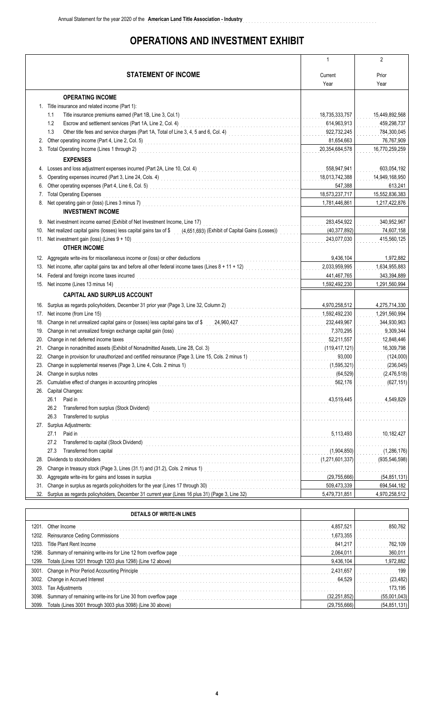## **OPERATIONS AND INVESTMENT EXHIBIT**

**American Land Title Association - Industry** ................................................................................

|     |                                                                                                                                                                                                                                  | $\mathbf{1}$                                                    | $\overline{2}$  |
|-----|----------------------------------------------------------------------------------------------------------------------------------------------------------------------------------------------------------------------------------|-----------------------------------------------------------------|-----------------|
|     | <b>STATEMENT OF INCOME</b>                                                                                                                                                                                                       | Current                                                         | Prior           |
|     |                                                                                                                                                                                                                                  | Year                                                            | Year            |
|     |                                                                                                                                                                                                                                  |                                                                 |                 |
|     | <b>OPERATING INCOME</b>                                                                                                                                                                                                          |                                                                 |                 |
|     | 1. Title insurance and related income (Part 1):                                                                                                                                                                                  |                                                                 |                 |
|     | 1.1                                                                                                                                                                                                                              | 18,735,333,757                                                  | 15,449,892,568  |
|     | 1.2                                                                                                                                                                                                                              | 614,963,913                                                     | 459,298,737     |
|     | Other title fees and service charges (Part 1A, Total of Line 3, 4, 5 and 6, Col. 4)<br>1.3                                                                                                                                       | 922,732,245<br>a sa salala                                      | 784,300,045     |
| 2.  | Other operating income (Part 4, Line 2, Col. 5)<br>$\qquad \qquad$                                                                                                                                                               | 81,654,663                                                      | 76,767,909      |
|     | 3. Total Operating Income (Lines 1 through 2)                                                                                                                                                                                    | 20,354,684,578                                                  | 16,770,259,259  |
|     | <b>EXPENSES</b>                                                                                                                                                                                                                  |                                                                 |                 |
| 4.  | Losses and loss adjustment expenses incurred (Part 2A, Line 10, Col. 4)<br>Losses and loss adjustment expenses incurred (Part 2A, Line 10, Col. 4)                                                                               | 558,947,941                                                     | 603,054,192     |
| 5.  | Operating expenses incurred (Part 3, Line 24, Cols. 4)<br>The contract of the contract of the contract of the contract of the contract of the contract of the contract of the contract of the contract of the contract of the co | 18,013,742,388                                                  | 14,949,168,950  |
| 6.  | Other operating expenses (Part 4, Line 6, Col. 5)<br>$\ldots$ $\ldots$ $\ldots$ $\ldots$ $\ldots$ $\ldots$ $\ldots$ $\ldots$                                                                                                     | 547,388                                                         | 613,241         |
| 7.  | <b>Total Operating Expenses</b>                                                                                                                                                                                                  | 18,573,237,717                                                  | 15,552,836,383  |
|     | 8. Net operating gain or (loss) (Lines 3 minus 7)<br>2010 12. 2020 12. 2020 12. 2020 12. 2020 12. 2020 12. 2020 12. 2020 12. 2020 12. 2020 12. 2020 12. 2020 12. 20                                                              | 1,781,446,861                                                   | 1,217,422,876   |
|     | <b>INVESTMENT INCOME</b>                                                                                                                                                                                                         |                                                                 |                 |
| 9.  | Net investment income earned (Exhibit of Net Investment Income, Line 17)                                                                                                                                                         | 283,454,922                                                     | 340,952,967     |
| 10. | Net realized capital gains (losses) less capital gains tax of \$ (4,651,693) (Exhibit of Capital Gains (Losses))                                                                                                                 | (40, 377, 892)                                                  | 74,607,158      |
|     | 11. Net investment gain (loss) (Lines 9 + 10)                                                                                                                                                                                    | 243,077,030                                                     | 415,560,125     |
|     | <b>OTHER INCOME</b>                                                                                                                                                                                                              |                                                                 |                 |
|     | 12. Aggregate write-ins for miscellaneous income or (loss) or other deductions                                                                                                                                                   | 9,436,104                                                       | 1,972,882       |
| 13. | Net income, after capital gains tax and before all other federal income taxes (Lines 8 + 11 + 12)                                                                                                                                | 2,033,959,995<br>s sa sala                                      | 1,634,955,883   |
| 14. | Federal and foreign income taxes incurred with an array and the contract of the contract of the contract of the contract of the contract of the contract of the contract of the contract of the contract of the contract of th   | 441,467,765                                                     | 343,394,889     |
|     | 15. Net income (Lines 13 minus 14)                                                                                                                                                                                               | 1,592,492,230                                                   | 1,291,560,994   |
|     | <b>CAPITAL AND SURPLUS ACCOUNT</b>                                                                                                                                                                                               |                                                                 |                 |
|     | 16. Surplus as regards policyholders, December 31 prior year (Page 3, Line 32, Column 2)<br>16. Surplus as regards policyholders, December 31 prior year (Page 3, Line 32, Column 2)                                             | 4,970,258,512                                                   | 4,275,714,330   |
|     | 17. Net income (from Line 15)                                                                                                                                                                                                    | 1,592,492,230                                                   | 1,291,560,994   |
| 18. | Change in net unrealized capital gains or (losses) less capital gains tax of \$24,960,427                                                                                                                                        | 232,449,967<br>a a a a a a a                                    | 344,930,963     |
| 19. | Change in net unrealized foreign exchange capital gain (loss)<br>[[[[[[[[[[[[[[[]]]]]]                                                                                                                                           | 7,370,295                                                       | 9,309,344       |
| 20. | Change in net deferred income taxes                                                                                                                                                                                              | 52,211,557<br>a a a a a a a                                     | 12,848,446      |
| 21. | Change in nonadmitted assets (Exhibit of Nonadmitted Assets, Line 28, Col. 3)<br>The collection of the collection of the collection of the collection of the collection of the collection of the collection of the collection of | (119,417,121)                                                   | 16,309,798      |
| 22. | Change in provision for unauthorized and certified reinsurance (Page 3, Line 15, Cols. 2 minus 1)                                                                                                                                | 93,000<br>1.                                                    | (124,000)       |
|     | 23. Change in supplemental reserves (Page 3, Line 4, Cols. 2 minus 1)                                                                                                                                                            | (1,595,321)<br>1.                                               | (236, 045)      |
|     | 24. Change in surplus notes                                                                                                                                                                                                      | (64, 529)                                                       | (2,476,518)     |
| 25. |                                                                                                                                                                                                                                  | 562,176                                                         | (627, 151)      |
| 26. | Capital Changes:                                                                                                                                                                                                                 |                                                                 |                 |
|     | Paid in<br>26.1                                                                                                                                                                                                                  | 43,519,445                                                      | 4,549,829       |
|     | 26.2                                                                                                                                                                                                                             |                                                                 |                 |
|     | Transferred to surplus<br>26.3                                                                                                                                                                                                   |                                                                 |                 |
|     | 27. Surplus Adjustments:                                                                                                                                                                                                         |                                                                 |                 |
|     | Paid in<br>27.1                                                                                                                                                                                                                  | 5,113,493                                                       | 10,182,427      |
|     | 27.2                                                                                                                                                                                                                             |                                                                 |                 |
|     | 27.3<br>Transferred from capital                                                                                                                                                                                                 | (1,904,850)                                                     | (1,286,176)     |
| 28. | Dividends to stockholders                                                                                                                                                                                                        | (1,271,601,337)                                                 | (935, 546, 598) |
| 29. |                                                                                                                                                                                                                                  | $\mathcal{L}^{\mathcal{A}}$ and $\mathcal{L}^{\mathcal{A}}$ and |                 |
| 30. | Aggregate write-ins for gains and losses in surplus                                                                                                                                                                              | (29, 755, 666)                                                  | (54, 851, 131)  |
| 31. | Change in surplus as regards policyholders for the year (Lines 17 through 30)                                                                                                                                                    | 509,473,339                                                     | 694,544,182     |
| 32. | Surplus as regards policyholders, December 31 current year (Lines 16 plus 31) (Page 3, Line 32)                                                                                                                                  | 5,479,731,851                                                   | 4,970,258,512   |
|     |                                                                                                                                                                                                                                  |                                                                 |                 |

|       | DETAILS OF WRITE-IN LINES                                     |              |                |
|-------|---------------------------------------------------------------|--------------|----------------|
| 1201. | Other Income                                                  | 4.857.521    | 850,762        |
| 1202. | Reinsurance Ceding Commissions                                | 1,673,355    |                |
| 1203. | Title Plant Rent Income                                       | 841 217      | 762,109        |
| 1298. | Summary of remaining write-ins for Line 12 from overflow page | 2,064,011    | 360,011        |
| 1299. | Totals (Lines 1201 through 1203 plus 1298) (Line 12 above)    | 9,436,104    | 1,972,882      |
|       | 3001. Change in Prior Period Accounting Principle             | 2,431,657    | 199            |
|       | 3002. Change in Accrued Interest                              | 64 529       | (23, 482)      |
| 3003. | Tax Adjustments                                               |              | 173,195        |
| 3098. | Summary of remaining write-ins for Line 30 from overflow page | (32.251.852) | (55,001,043)   |
| 3099. | Totals (Lines 3001 through 3003 plus 3098) (Line 30 above)    | (29,755,666) | (54, 851, 131) |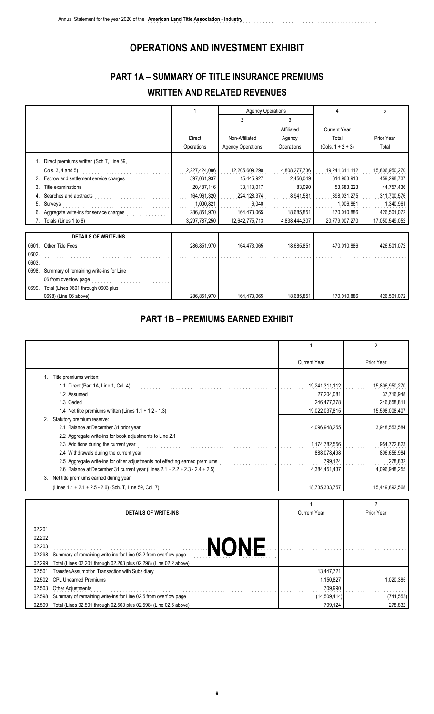## **OPERATIONS AND INVESTMENT EXHIBIT**

**American Land Title Association - Industry** ................................................................................

## **PART 1A – SUMMARY OF TITLE INSURANCE PREMIUMS WRITTEN AND RELATED REVENUES**

|       |                                          |               | <b>Agency Operations</b> |               | 4                   | 5              |
|-------|------------------------------------------|---------------|--------------------------|---------------|---------------------|----------------|
|       |                                          |               | $\overline{2}$           | 3             |                     |                |
|       |                                          |               |                          | Affiliated    | <b>Current Year</b> |                |
|       |                                          | Direct        | Non-Affiliated           | Agency        | Total               | Prior Year     |
|       |                                          | Operations    | <b>Agency Operations</b> | Operations    | $(Cols. 1 + 2 + 3)$ | Total          |
|       | Direct premiums written (Sch T, Line 59, |               |                          |               |                     |                |
|       | Cols. 3, 4 and 5)                        | 2,227,424,086 | 12,205,609,290           | 4,808,277,736 | 19,241,311,112      | 15,806,950,270 |
| 2.    | Escrow and settlement service charges    | 597,061,937   | 15,445,927               | 2,456,049     | 614,963,913         | 459,298,737    |
| 3.    | Title examinations                       | 20,487,116    | 33,113,017               | 83,090        | 53,683,223          | 44,757,436     |
|       | Searches and abstracts                   | 164,961,320   | 224,128,374              | 8,941,581     | 398,031,275         | 311,700,576    |
| 5.    | Surveys                                  | 1,000,821     | 6.040                    |               | 1,006,861           | 1,340,961      |
|       | Aggregate write-ins for service charges  | 286,851,970   | 164,473,065              | 18,685,851    | 470,010,886         | 426,501,072    |
| 7     | Totals (Lines 1 to 6)                    | 3,297,787,250 | 12,642,775,713           | 4,838,444,307 | 20,779,007,270      | 17,050,549,052 |
|       |                                          |               |                          |               |                     |                |
|       | <b>DETAILS OF WRITE-INS</b>              |               |                          |               |                     |                |
| 0601. | Other Title Fees                         | 286,851,970   | 164,473,065              | 18,685,851    | 470,010,886         | 426,501,072    |
| 0602. |                                          |               |                          |               |                     |                |
| 0603. |                                          |               |                          |               |                     |                |
| 0698. | Summary of remaining write-ins for Line  |               |                          |               |                     |                |
|       | 06 from overflow page                    |               |                          |               |                     |                |
| 0699. | Total (Lines 0601 through 0603 plus      |               |                          |               |                     |                |
|       | 0698) (Line 06 above)                    | 286,851,970   | 164,473,065              | 18,685,851    | 470,010,886         | 426,501,072    |

#### **PART 1B – PREMIUMS EARNED EXHIBIT**

|    |                                                                                                                                                               |                     | 2              |
|----|---------------------------------------------------------------------------------------------------------------------------------------------------------------|---------------------|----------------|
|    |                                                                                                                                                               | <b>Current Year</b> | Prior Year     |
|    | Title premiums written:                                                                                                                                       |                     |                |
|    |                                                                                                                                                               | 19,241,311,112      | 15,806,950,270 |
|    | 1.2 Assumed                                                                                                                                                   | 27,204,081          | 37,716,948     |
|    | 1.3 Ceded                                                                                                                                                     | 246,477,378         | 246,658,811    |
|    | 1.4 Net title premiums written (Lines 1.1 + 1.2 - 1.3)<br>[2010]                                                                                              | 19,022,037,815      | 15,598,008,407 |
|    | Statutory premium reserve:                                                                                                                                    |                     |                |
|    | 2.1 Balance at December 31 prior year                                                                                                                         | 4,096,948,255       | 3,948,553,584  |
|    |                                                                                                                                                               |                     |                |
|    | 2.3 Additions during the current year                                                                                                                         | 1,174,782,556       | 954,772,823    |
|    | 2.4 Withdrawals during the current year                                                                                                                       | 888,078,498         | 806,656,984    |
|    | 2.5 Aggregate write-ins for other adjustments not effecting earned premiums [11] [11] Aggregate write-ins for other adjustments not effecting earned premiums | 799,124             | 278,832        |
|    | 2.6 Balance at December 31 current year (Lines 2.1 + 2.2 + 2.3 - 2.4 + 2.5)                                                                                   | 4,384,451,437       | 4,096,948,255  |
| 3. | Net title premiums earned during year                                                                                                                         |                     |                |
|    | (Lines 1.4 + 2.1 + 2.5 - 2.6) (Sch. T, Line 59, Col. 7)                                                                                                       | 18,735,333,757      | 15.449.892.568 |

|        | <b>DETAILS OF WRITE-INS</b>                                       | <b>Current Year</b> | Prior Year |
|--------|-------------------------------------------------------------------|---------------------|------------|
|        |                                                                   |                     |            |
| 02.201 |                                                                   |                     |            |
| 02.202 |                                                                   |                     |            |
| 02.203 |                                                                   |                     |            |
| 02.298 | Summary of remaining write-ins for Line 02.2 from overflow page   |                     |            |
| 02.299 | Total (Lines 02.201 through 02.203 plus 02.298) (Line 02.2 above) |                     |            |
| 02.501 | Transfer/Assumption Transaction with Subsidiary                   | 13.447.721          |            |
| 02.502 | <b>CPL Unearned Premiums</b>                                      | 1.150.827           | . በ20 385  |
| 02.503 | Other Adjustments                                                 | 709,990             |            |
| 02.598 | Summary of remaining write-ins for Line 02.5 from overflow page   | (14.509.414)        | (741, 553) |
| 02.599 | Total (Lines 02.501 through 02.503 plus 02.598) (Line 02.5 above) | 799.124             | 278.832    |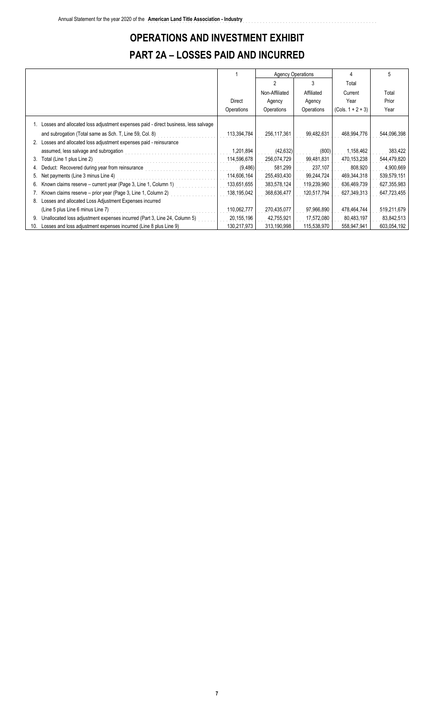# **OPERATIONS AND INVESTMENT EXHIBIT PART 2A – LOSSES PAID AND INCURRED**

|     |                                                                                       |             | <b>Agency Operations</b> |             | Δ                   | 5           |
|-----|---------------------------------------------------------------------------------------|-------------|--------------------------|-------------|---------------------|-------------|
|     |                                                                                       |             |                          | 3           | Total               |             |
|     |                                                                                       |             | Non-Affiliated           | Affiliated  | Current             | Total       |
|     |                                                                                       | Direct      | Agency                   | Agency      | Year                | Prior       |
|     |                                                                                       | Operations  | Operations               | Operations  | $(Cols. 1 + 2 + 3)$ | Year        |
|     | 1. Losses and allocated loss adjustment expenses paid - direct business, less salvage |             |                          |             |                     |             |
|     | and subrogation (Total same as Sch. T, Line 59, Col. 8)                               | 113,394,784 | 256, 117, 361            | 99,482,631  | 468,994,776         | 544,096,398 |
|     | Losses and allocated loss adjustment expenses paid - reinsurance                      |             |                          |             |                     |             |
|     | assumed, less salvage and subrogation                                                 | 1,201,894   | (42, 632)                | (800)       | 1,158,462           | 383,422     |
| 3.  | Total (Line 1 plus Line 2)                                                            | 114,596,678 | 256,074,729              | 99,481,831  | 470,153,238         | 544,479,820 |
|     | Deduct: Recovered during year from reinsurance                                        | (9,486)     | 581,299                  | 237,107     | 808,920             | 4,900,669   |
|     | Net payments (Line 3 minus Line 4)                                                    | 114,606,164 | 255,493,430              | 99,244,724  | 469,344,318         | 539,579,151 |
|     | Known claims reserve – current year (Page 3, Line 1, Column 1)                        | 133,651,655 | 383,578,124              | 119,239,960 | 636,469,739         | 627,355,983 |
|     | Known claims reserve – prior year (Page 3, Line 1, Column 2)                          | 138,195,042 | 368,636,477              | 120,517,794 | 627,349,313         | 647,723,455 |
| 8.  | Losses and allocated Loss Adjustment Expenses incurred                                |             |                          |             |                     |             |
|     | (Line 5 plus Line 6 minus Line 7)                                                     | 110,062,777 | 270,435,077              | 97,966,890  | 478,464,744         | 519,211,679 |
| 9.  | Unallocated loss adjustment expenses incurred (Part 3, Line 24, Column 5)             | 20,155,196  | 42,755,921               | 17,572,080  | 80,483,197          | 83,842,513  |
| 10. | Losses and loss adjustment expenses incurred (Line 8 plus Line 9)                     | 130,217,973 | 313,190,998              | 115,538,970 | 558,947,941         | 603,054,192 |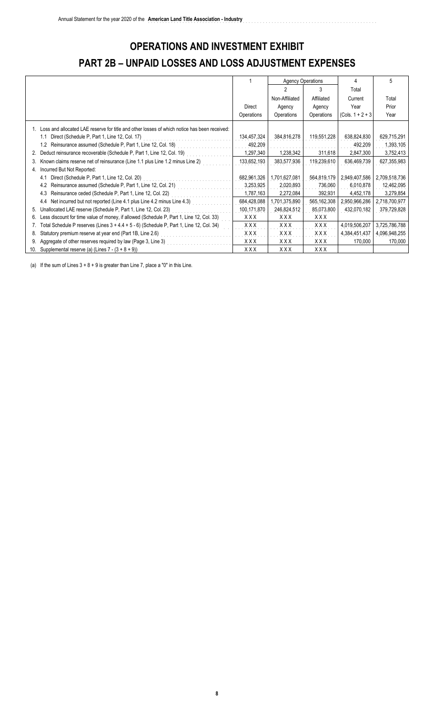# **OPERATIONS AND INVESTMENT EXHIBIT PART 2B – UNPAID LOSSES AND LOSS ADJUSTMENT EXPENSES**

|     |                                                                                                 |             | <b>Agency Operations</b> |               |                     | 5             |
|-----|-------------------------------------------------------------------------------------------------|-------------|--------------------------|---------------|---------------------|---------------|
|     |                                                                                                 |             |                          |               | Total               |               |
|     |                                                                                                 |             | Non-Affiliated           | Affiliated    | Current             | Total         |
|     |                                                                                                 | Direct      | Agency                   | Agency        | Year                | Prior         |
|     |                                                                                                 | Operations  | Operations               | Operations    | $(Cols. 1 + 2 + 3)$ | Year          |
|     | 1. Loss and allocated LAE reserve for title and other losses of which notice has been received: |             |                          |               |                     |               |
|     | Direct (Schedule P, Part 1, Line 12, Col. 17)<br>1.1                                            | 134,457,324 | 384,816,278              | 119,551,228   | 638,824,830         | 629,715,291   |
|     | Reinsurance assumed (Schedule P, Part 1, Line 12, Col. 18)<br>1.2                               | 492,209     |                          |               | 492,209             | 1,393,105     |
| 2.  | Deduct reinsurance recoverable (Schedule P, Part 1, Line 12, Col. 19)                           | 1,297,340   | 1,238,342                | 311,618       | 2,847,300           | 3,752,413     |
| 3.  | Known claims reserve net of reinsurance (Line 1.1 plus Line 1.2 minus Line 2)                   | 133,652,193 | 383,577,936              | 119,239,610   | 636,469,739         | 627,355,983   |
| 4.  | Incurred But Not Reported:                                                                      |             |                          |               |                     |               |
|     | Direct (Schedule P, Part 1, Line 12, Col. 20)<br>4.1                                            | 682,961,326 | 1,701,627,081            | 564,819,179   | 2,949,407,586       | 2,709,518,736 |
|     | Reinsurance assumed (Schedule P, Part 1, Line 12, Col. 21)<br>4.2                               | 3,253,925   | 2,020,893                | 736,060       | 6,010,878           | 12,462,095    |
|     | Reinsurance ceded (Schedule P, Part 1, Line 12, Col. 22)<br>4.3                                 | 1,787,163   | 2,272,084                | 392,931       | 4,452,178           | 3,279,854     |
|     | Net incurred but not reported (Line 4.1 plus Line 4.2 minus Line 4.3)<br>4.4                    | 684,428,088 | 1,701,375,890            | 565, 162, 308 | 2,950,966,286       | 2,718,700,977 |
| 5.  | Unallocated LAE reserve (Schedule P, Part 1, Line 12, Col. 23)                                  | 100,171,870 | 246,824,512              | 85,073,800    | 432,070,182         | 379,729,828   |
| 6.  | Less discount for time value of money, if allowed (Schedule P, Part 1, Line 12, Col. 33)        | XXX         | XXX                      | XXX           |                     |               |
|     | Total Schedule P reserves (Lines $3 + 4.4 + 5 - 6$ ) (Schedule P, Part 1, Line 12, Col. 34)     | XXX         | XXX                      | XXX           | 4,019,506,207       | 3,725,786,788 |
| 8.  | Statutory premium reserve at year end (Part 1B, Line 2.6)                                       | <b>XXX</b>  | XXX                      | XXX           | 4,384,451,437       | 4,096,948,255 |
|     | Aggregate of other reserves required by law (Page 3, Line 3)                                    | XXX         | XXX                      | XXX           | 170,000             | 170,000       |
| 10. | Supplemental reserve (a) (Lines $7 - (3 + 8 + 9)$ )                                             | XXX         | XXX                      | XXX           |                     |               |

(a) If the sum of Lines  $3 + 8 + 9$  is greater than Line 7, place a "0" in this Line.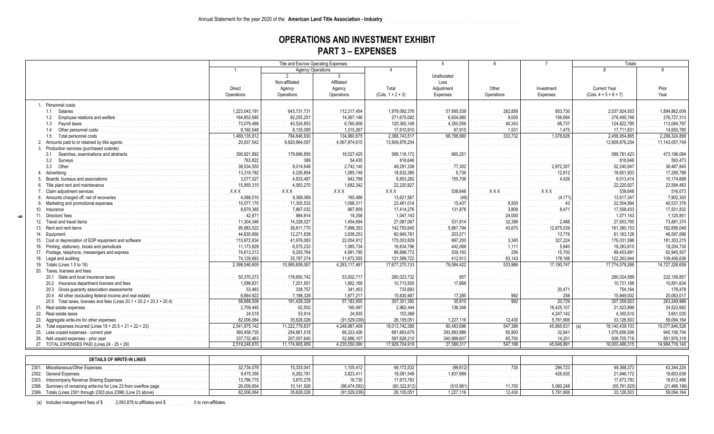#### **OPERATIONS AND INVESTMENT EXHIBIT PART 3 – EXPENSES**

|                                                                                                  |               | Title and Escrow Operating Expenses |                |                     | $\overline{5}$ | $6^{\circ}$  | $\overline{7}$ | <b>Totals</b>           |                |
|--------------------------------------------------------------------------------------------------|---------------|-------------------------------------|----------------|---------------------|----------------|--------------|----------------|-------------------------|----------------|
|                                                                                                  |               | <b>Agency Operations</b>            |                | $\Delta$            |                |              |                | $\mathsf{R}$            | q              |
|                                                                                                  |               | $\mathcal{P}$                       | 3              |                     | Unallocated    |              |                |                         |                |
|                                                                                                  |               | Non-affiliated                      | Affiliated     |                     | Loss           |              |                |                         |                |
|                                                                                                  | Direct        | Agency                              | Agency         | Total               | Adjustment     | Other        | Investment     | <b>Current Year</b>     | Prior          |
|                                                                                                  | Operations    | Operations                          | Operations     | $(Cols. 1 + 2 + 3)$ | Expenses       | Operations   | Expenses       | $(Cols. 4 + 5 + 6 + 7)$ | Year           |
| 1. Personnel costs:                                                                              |               |                                     |                |                     |                |              |                |                         |                |
| 1.1 Salaries                                                                                     | 1,223,043,191 | 643,731,731                         | 112,317,454    | 1,979,092,376       | 57,695,539     | 282,858      | 853,730        | 2,037,924,503           | 1,894,862,009  |
| 1.2 Employee relations and welfare                                                               | 164,852,685   | 92,255,251                          | 14,567,146     | 271,675,082         | 6,654,980      | 9,000        | 156,684        | 278,495,746             | 276,727,313    |
| 1.3<br>Payroll taxes                                                                             | 73,079,488    | 40,524,853                          | 6,760,808      | 120,365,149         | 4,350,556      | 40,343       | 66,737         | 124,822,785             | 113,084,797    |
| Other personnel costs<br>1.4                                                                     | 8,160,548     | 8,135,095                           | 1,315,267      | 17,610,910          | 97.915         | 1.531        | 1,475          | 17,711,83               | 14,650,780     |
| Total personnel costs<br>1.5                                                                     | 1,469,135,912 | 784,646,930                         | 134,960,675    | 2,388,743,517       | 68,798,990     | 333,732      | 1,078,626      | 2,458,954,865           | 2,299,324,899  |
| Amounts paid to or retained by title agents<br>2.                                                | 20,937,542    | 9,820,964,097                       | 4,067,974,615  | 13,909,876,254      |                |              |                | 13,909,876,254          | 11,143,057,749 |
| Production services (purchased outside):<br>3.                                                   |               |                                     |                |                     |                |              |                |                         |                |
| Searches, examinations and abstracts<br>3.1                                                      | 390,921,892   | 179,666,855                         | 18,527,425     | 589,116,172         | 665,25'        |              |                | 589,781,423             | 473,196,084    |
| 3.2<br>Surveys                                                                                   | 763,822       | 389                                 | 54,435         | 818,646             |                |              |                | 818,646                 | 593,473        |
| 3.3<br>Other                                                                                     | 38,534,550    | 8,014,648                           | 2,742,140      | 49.291.338          | 77,302         |              | 2.872.30       | 52,240,947              | 36,467,845     |
| Advertising                                                                                      | 13,319,782    | 4,226,854                           | 1,085,749      | 18,632,385          | 6.736          |              | 12,812         | 18,651,933              | 17,295,798     |
| Boards, bureaus and associations                                                                 | 3,077,027     | 4.933.487                           | 842,768        | 8,853,282           | 155,706        |              | 4,426          | 9,013,414               | 10,174,689     |
| Title plant rent and maintenance<br>6.                                                           | 15,955,315    | 4,583,270                           | 1,682,342      | 22,220,927          |                |              |                | 22,220,927              | 23,594,483     |
| Claim adjustment services                                                                        | XXX           | XXX                                 | XXX            | XXX                 | 538,648        | xxx          | <b>XXX</b>     | 538,648                 | 516,073        |
| Amounts charged off, net of recoveries                                                           | 4,088,010     | 9,368,069                           | 165,488        | 13,621,567          | (49)           |              | (4, 17)        | 13,617,347              | 7,902,300      |
| Marketing and promotional expenses<br>9.                                                         | 10,077,170    | 11,305,533                          | 1,098,311      | 22,481,014          | 15,437         | 8,500        |                | 22,504,994              | 40,537,376     |
| Insurance<br>10.                                                                                 | 8,679,385     | 7,867,032                           | 867,859        | 17,414,276          | 131,878        | 3.808        | 8,471          | 17,558,433              | 17,501,832     |
| Directors' fees<br>11.                                                                           | 42,871        | 984,914                             | 19,358         | 1.047.143           |                | 24,000       |                | 1,071,143               | 1,120,851      |
| Travel and travel items<br>12.                                                                   | 11,304,346    | 14,328,027                          | 1,454,694      | 27,087,067          | 531,814        | 32,396       | 2,488          | 27,653,765              | 73,881,374     |
| Rent and rent items<br>13.                                                                       | 95,983,522    | 38,811,770                          | 7,998,353      | 142,793,645         | 5,867,794      | 43,675       | 12,675,039     | 161,380,153             | 162,656,049    |
| Equipment<br>14.                                                                                 | 44,835,690    | 12,271,838                          | 3,838,253      | 60,945,781          | 203,571        |              | 13,776         | 61,163,128              | 46,597,696     |
|                                                                                                  | 110,972,834   | 41,976,083                          | 22,054,912     | 175,003,829         | 697,200        | 3.345        | 327,224        | 176,031,598             | 181,353,215    |
| Cost or depreciation of EDP equipment and software<br>15.                                        | 11,173,829    | 6,575,233                           | 1,085,734      | 18,834,796          | 442,068        |              | 5,840          | 19,283,815              | 19,204,730     |
| Printing, stationery, books and periodicals<br>16.<br>Postage, telephone, messengers and express | 74,613,213    | 9,293,764                           | 4,991,795      | 88,898,772          | 539,163        | 1,111<br>256 | 15,700         | 89,453,891              | 62,945,507     |
| 17.<br>Legal and auditing                                                                        | 74,129,893    | 35,787,274                          | 11,672,555     | 121,589,722         | 412,913        | 83,143       | 178,166        | 122,263,944             | 109,406,636    |
| 18.<br>19. Totals (Lines 1.5 to 18)                                                              | 2,398,546,605 | 10,995,606,067                      | 4,283,117,461  | 17,677,270,133      | 79,084,422     | 533,966      | 17,190,747     | 17,774,079,268          | 14,727,328,659 |
| 20. Taxes, licenses and fees:                                                                    |               |                                     |                |                     |                |              |                |                         |                |
| 20.1 State and local insurance taxes                                                             | 50,370,273    | 176,650,742                         | 53,002,717     | 280,023,732         | 857            |              |                | 280,024,589             | 232, 158, 857  |
| 20.2 Insurance department licenses and fees                                                      | 1,599,831     | 7,251,501                           | 1,862,168      | 10,713,500          | 17,668         |              |                | 10,731,168              | 10,851,634     |
| 20.3 Gross guaranty association assessments                                                      | 53,483        | 338,757                             | 341,453        | 733.693             |                |              | 20,471         | 754,164                 | 176,478        |
| 20.4 All other (excluding federal income and real estate)                                        | 6,664,922     | 7,188,328                           | 1,977,217      | 15,830,467          | 17,285         | 992          | 258            | 15,849,002              | 20,063,017     |
| 20.5 Total taxes, licenses and fees (Lines 20.1 + 20.2 + 20.3 + 20.4                             | 58,688,509    | 191,429,328                         | 57, 183, 555   | 307,301,392         | 35,810         | 992          | 20,729         | 307,358,923             | 263,249,986    |
| 21.<br>Real estate expenses                                                                      | 2,709,445     | 62,502                              | 190,497        | 2,962,444           | 136,348        |              | 18,425,107     | 21,523,899              | 24,522,682     |
| Real estate taxes<br>22.                                                                         | 24,519        | 53,914                              | 24,935         | 103,368             |                |              | 4,247,142      | 4,350,510               | 3,651,035      |
| Aggregate write-ins for other expenses<br>23.                                                    | 82,006,064    | 35,628,026                          | (91,529,039    | 26,105,051          | 1,227,116      | 12,430       | 5,781,906      | 33,126,503              | 59,094,164     |
| Total expenses incurred (Lines $19 + 20.5 + 21 + 22 + 23$ )<br>24.                               | 2,541,975,142 | 11,222,779,837                      | 4,248,987,409  | 18,013,742,388      | 80,483,696     | 547,388      | 45,665,631     | 18,140,439,103          | 15,077,846,526 |
| Less unpaid expenses - current year<br>25.                                                       | 360,458,735   | 254,881,518                         | 66,323,426     | 681,663,679         | 393,893,986    | 65,900       | 32,941         | 1,075,656,506           | 945,106,704    |
| Add unpaid expenses - prior year<br>26.                                                          | 337,732,463   | 207,007,640                         | 52,886,107     | 597,626,210         | 340,999,607    | 65,700       | 14,201         | 938,705,718             | 851,976,318    |
| 27. TOTAL EXPENSES PAID (Lines 24 - 25 + 26)                                                     | 2,519,248,870 | 11,174,905,959                      | 4,235,550,090  | 17.929.704.919      | 27,589,317     | 547.188      | 45.646.891     | 18,003,488,315          | 14,984,716,140 |
|                                                                                                  |               |                                     |                |                     |                |              |                |                         |                |
|                                                                                                  |               |                                     |                |                     |                |              |                |                         |                |
| <b>DETAILS OF WRITE-IN LINES</b>                                                                 |               |                                     |                |                     |                |              |                |                         |                |
| Miscellaneous/Other Expenses<br>2301.                                                            | 32,734,079    | 15,333,041                          | 1,105,412      | 49,172,532          | (99, 612)      | 730          | 294,723        | 49,368,373              | 43,344,224     |
| <b>General Expenses</b><br>2302.                                                                 | 9,475,356     | 6,282,781                           | 3,823,411      | 19,581,548          | 1,837,689      |              | 426,935        | 21,846,172              | 18,603,638     |
| Intercompany Revenue Sharing Expenses<br>2303.                                                   | 13,786,775    | 3,870,278                           | 16,730         | 17,673,783          |                |              |                | 17,673,783              | 18,612,498     |
| Summary of remaining write-ins for Line 23 from overflow page<br>2398.                           | 26,009,854    | 10,141,926                          | (96,474,592    | (60, 322, 812)      | (510, 961)     | 11,700       | 5,060,248      | (55, 761, 825)          | (21, 466, 196) |
| 2399. Totals (Lines 2301 through 2303 plus 2398) (Line 23 above)                                 | 82,006,064    | 35,628,026                          | (91, 529, 039) | 26,105,051          | 1.227.116      | 12.430       | 5,781,906      | 33,126,503              | 59,094,164     |

(a) Includes management fees of \$ 2,093,878 to affiliates and \$ 0 to non-affiliates.

**9**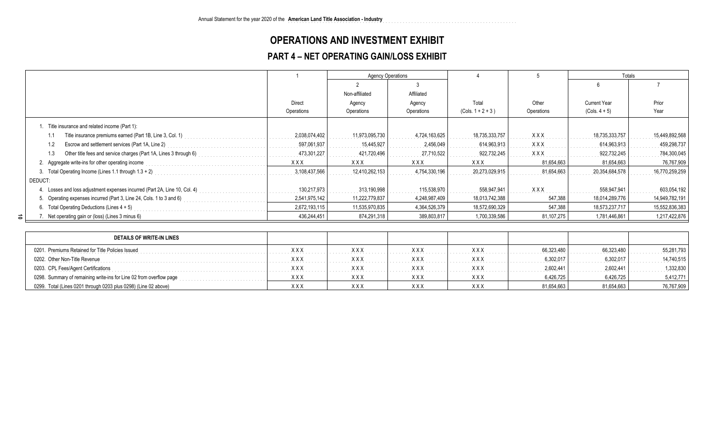#### **OPERATIONS AND INVESTMENT EXHIBIT**

**American Land Title Association - Industry** ................................................................................

#### **PART 4 – NET OPERATING GAIN/LOSS EXHIBIT**

|                                                                            |               | <b>Agency Operations</b> |               |                     |            | Totals              |                |
|----------------------------------------------------------------------------|---------------|--------------------------|---------------|---------------------|------------|---------------------|----------------|
|                                                                            |               |                          |               |                     |            | h                   |                |
|                                                                            |               | Non-affiliated           | Affiliated    |                     |            |                     |                |
|                                                                            | Direct        | Agency                   | Agency        | Total               | Other      | <b>Current Year</b> | Prior          |
|                                                                            | Operations    | Operations               | Operations    | $(Cols. 1 + 2 + 3)$ | Operations | $(Cols. 4 + 5)$     | Year           |
| . Title insurance and related income (Part 1):                             |               |                          |               |                     |            |                     |                |
| Title insurance premiums earned (Part 1B, Line 3, Col. 1)                  | 2,038,074,402 | 11,973,095,730           | 4,724,163,625 | 18,735,333,757      | <b>XXX</b> | 18,735,333,757      | 15,449,892,568 |
| Escrow and settlement services (Part 1A, Line 2)                           | 597,061,937   | 15.445.927               | 2,456,049     | 614,963,913         | <b>XXX</b> | 614,963,913         | 459,298,737    |
| Other title fees and service charges (Part 1A, Lines 3 through 6)          | 473,301,227   | 421,720,496              | 27,710,522    | 922,732,245         | <b>XXX</b> | 922,732,245         | 784,300,045    |
| 2. Aggregate write-ins for other operating income                          | <b>XXX</b>    | <b>XXX</b>               | <b>XXX</b>    | <b>XXX</b>          | 81.654,663 | 81,654,663          | 76,767,909     |
| 3. Total Operating Income (Lines 1.1 through $1.3 + 2$ )                   | 3,108,437,566 | 12,410,262,153           | 4,754,330,196 | 20,273,029,915      | 81,654,663 | 20,354,684,578      | 16,770,259,259 |
| DEDUCT:                                                                    |               |                          |               |                     |            |                     |                |
| 4. Losses and loss adjustment expenses incurred (Part 2A, Line 10, Col. 4) | 130.217.973   | 313,190,998              | 115,538,970   | 558,947,941         | <b>XXX</b> | 558,947,941         | 603,054,192    |
| 5. Operating expenses incurred (Part 3, Line 24, Cols. 1 to 3 and 6)       | 2,541,975,142 | 11,222,779,837           | 4,248,987,409 | 18,013,742,388      | 547,388    | 18,014,289,776      | 14,949,782,191 |
| 6. Total Operating Deductions (Lines $4 + 5$ )                             | 2,672,193,115 | 11,535,970,835           | 4,364,526,379 | 18,572,690,329      | 547,388    | 18,573,237,717      | 15,552,836,383 |
| ಕ⊺<br>Net operating gain or (loss) (Lines 3 minus 6)                       | 436,244,451   | 874,291,318              | 389,803,817   | 1,700,339,586       | 81,107,275 | 1,781,446,861       | 1,217,422,876  |

| DETAILS OF WRITE-IN LINES                                           |             |            |            |            |            |            |            |
|---------------------------------------------------------------------|-------------|------------|------------|------------|------------|------------|------------|
| 0201. Premiums Retained for Title Policies Issued                   | $X$ $X$ $X$ | <b>XXX</b> | <b>XXX</b> | <b>XXX</b> | 66.323.480 | 66.323.480 | 55.281.793 |
| 0202. Other Non-Title Revenue                                       | $X$ $X$ $X$ | <b>XXX</b> | xxx        | XXX        | 6.302.017  | 6.302.017  | 14.740.515 |
| 0203. CPL Fees/Agent Certifications                                 | $X$ $X$ $X$ | <b>XXX</b> | <b>XXX</b> | <b>XXX</b> | 2.602.441  | 2.602.441  | 1,332,830  |
| 0298. Summary of remaining write-ins for Line 02 from overflow page | XXX         | <b>XXX</b> | <b>XXX</b> | <b>XXX</b> | 6,426,725  | 6,426,725  | 5,412,771  |
| 0299. Total (Lines 0201 through 0203 plus 0298) (Line 02 above)     | XXX         | <b>XXX</b> | <b>XXX</b> | <b>XXX</b> | 81,654,663 | 81,654,663 | 76,767,909 |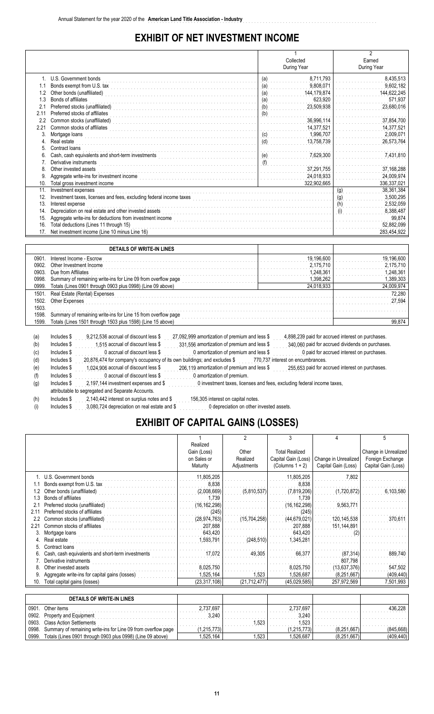#### **EXHIBIT OF NET INVESTMENT INCOME**

|                 |                                                                                                                    |                       | $\mathfrak{p}$    |
|-----------------|--------------------------------------------------------------------------------------------------------------------|-----------------------|-------------------|
|                 |                                                                                                                    | Collected             | Earned            |
|                 |                                                                                                                    | During Year           | During Year       |
|                 | U.S. Government bonds                                                                                              | 8,711,793<br>(a)      | 8,435,513         |
|                 | Bonds exempt from U.S. tax                                                                                         | 9,808,071<br>(a)      | 9,602,182         |
| 1.2             | Other bonds (unaffiliated)                                                                                         | 144,179,874<br>(a)    | 144,622,245       |
| 1.3             | Bonds of affiliates                                                                                                | 623,920<br><u>(a)</u> | 571,937           |
| 2.1             | Preferred stocks (unaffiliated)                                                                                    | 23,509,938<br>(b)     | 23,680,016        |
| 211             | Preferred stocks of affiliates                                                                                     | (b)                   |                   |
| 2.2             | Common stocks (unaffiliated)                                                                                       | 36,996,114            | 37,854,700        |
| 2.21            | Common stocks of affiliates                                                                                        | 14,377,521            | 14,377,521        |
| 3.              | Mortgage loans                                                                                                     | 1,996,707<br>(c)      | 2,009,071         |
| 4.              | Real estate                                                                                                        | 13,758,739<br>(d)     | 26,573,764        |
| 5.              | Contract loans                                                                                                     |                       |                   |
|                 | Cash, cash equivalents and short-term investments                                                                  | (e)<br>7,629,300      | 7,431,810         |
| 7.              | Derivative instruments                                                                                             |                       |                   |
| 8.              | Other invested assets                                                                                              | 37,291,755            | 37,168,288        |
| 9               | Aggregate write-ins for investment income                                                                          | 24,018,933            | 24,009,974        |
| 10.             | Total gross investment income                                                                                      | 322,902,665           | 336,337,021       |
| 11.             | Investment expenses                                                                                                |                       | 38,361,384<br>(g) |
| 12.             | Investment taxes, licenses and fees, excluding federal income taxes                                                |                       | 3,500,295<br>(g)  |
| 13.             | Interest expense                                                                                                   |                       | 2,532,059<br>(h)  |
| 14.             | Depreciation on real estate and other invested assets<br>Aggregate write-ins for deductions from investment income |                       | 8,388,487         |
| 15.             |                                                                                                                    | 99,874                |                   |
| 16.             | 52,882,099                                                                                                         |                       |                   |
| 17 <sub>1</sub> | Net investment income (Line 10 minus Line 16)                                                                      |                       | 283,454,922       |
|                 |                                                                                                                    |                       |                   |
|                 | DETAILS OF WRITE-IN LINES                                                                                          |                       |                   |

|       | <b>DETAILS OF WATE-IN LINES</b>                                                                        |                                                   |            |  |  |  |  |
|-------|--------------------------------------------------------------------------------------------------------|---------------------------------------------------|------------|--|--|--|--|
| 0901  | Interest Income - Escrow                                                                               | 19.196.600                                        | 19.196.600 |  |  |  |  |
| 0902  | Other Investment Income                                                                                | 2.175.710                                         | 2.175.710  |  |  |  |  |
| 0903  | Due from Affiliates                                                                                    | 1 248 361                                         | 1.248.361  |  |  |  |  |
| 0998  | Summary of remaining write-ins for Line 09 from overflow page                                          | 1.398.262                                         | 1.389.303  |  |  |  |  |
| 0999  | Totals (Lines 0901 through 0903 plus 0998) (Line 09 above)                                             | 24,018,933                                        | 24,009,974 |  |  |  |  |
| 1501  | Real Estate (Rental) Expenses                                                                          |                                                   |            |  |  |  |  |
| 1502. | Other Expenses                                                                                         |                                                   | 27.594     |  |  |  |  |
| 1503. |                                                                                                        |                                                   |            |  |  |  |  |
| 1598. | Summary of remaining write-ins for Line 15 from overflow page                                          |                                                   |            |  |  |  |  |
| 1599. | Totals (Lines 1501 through 1503 plus 1598) (Line 15 above)                                             |                                                   |            |  |  |  |  |
|       |                                                                                                        |                                                   |            |  |  |  |  |
| (a    | 9.212.536 accrual of discount less \$<br>27,092,999 amortization of premium and less \$<br>Includes \$ | 4,898,239 paid for accrued interest on purchases. |            |  |  |  |  |

| (a) | Includes \$ | 9,212,536 accrual of discount less \$                                    | 27,092,999 amortization of premium and less \$                         | 4,898,239 paid for accrued interest on purchases. |
|-----|-------------|--------------------------------------------------------------------------|------------------------------------------------------------------------|---------------------------------------------------|
| (b) | Includes \$ | 1.515 accrual of discount less \$                                        | 331.556 amortization of premium and less \$                            | 340,060 paid for accrued dividends on purchases.  |
| (C) | Includes \$ | 0 accrual of discount less \$                                            | 0 amortization of premium and less \$                                  | 0 paid for accrued interest on purchases.         |
| (d) | Includes \$ | 20,876,474 for company's occupancy of its own buildings; and excludes \$ |                                                                        | 770,737 interest on encumbrances.                 |
| (e) | Includes \$ | 1.024.906 accrual of discount less \$                                    | 206,119 amortization of premium and less \$                            | 255,653 paid for accrued interest on purchases.   |
|     | Includes \$ | 0 accrual of discount less \$                                            | 0 amortization of premium.                                             |                                                   |
| (g) | Includes \$ | 2.197.144 investment expenses and \$                                     | 0 investment taxes, licenses and fees, excluding federal income taxes, |                                                   |
|     |             | attributable to segregated and Separate Accounts.                        |                                                                        |                                                   |
| (h) | Includes \$ | 2,140,442 interest on surplus notes and \$                               | 156,305 interest on capital notes.                                     |                                                   |
|     | Includes \$ | 3,080,724 depreciation on real estate and \$                             | 0 depreciation on other invested assets.                               |                                                   |

## **EXHIBIT OF CAPITAL GAINS (LOSSES)**

|       |                                                                        |                                                    | 2                                | 3                                                                  | Δ                                           | 5                                                               |
|-------|------------------------------------------------------------------------|----------------------------------------------------|----------------------------------|--------------------------------------------------------------------|---------------------------------------------|-----------------------------------------------------------------|
|       |                                                                        | Realized<br>Gain (Loss)<br>on Sales or<br>Maturity | Other<br>Realized<br>Adjustments | <b>Total Realized</b><br>Capital Gain (Loss)<br>(Columns $1 + 2$ ) | Change in Unrealized<br>Capital Gain (Loss) | Change in Unrealized<br>Foreign Exchange<br>Capital Gain (Loss) |
|       |                                                                        |                                                    |                                  |                                                                    |                                             |                                                                 |
|       | 1. U.S. Government bonds                                               | 11,805,205                                         |                                  | 11,805,205                                                         | 7,802                                       |                                                                 |
| 1.1   | Bonds exempt from U.S. tax<br>.                                        | 8.838                                              |                                  | 8.838                                                              |                                             |                                                                 |
| 1.2   | Other bonds (unaffiliated)                                             | (2,008,669)                                        | (5,810,537)                      | (7,819,206)                                                        | (1,720,872)                                 | 6,103,580                                                       |
| 1.3   | Bonds of affiliates                                                    | 1.739                                              |                                  | 1.739                                                              |                                             |                                                                 |
| 2.1   | Preferred stocks (unaffiliated)                                        | (16, 162, 298)                                     |                                  | (16, 162, 298)                                                     | 9,563,771                                   |                                                                 |
| 2.11  | Preferred stocks of affiliates                                         | (245)                                              |                                  | (245)                                                              |                                             |                                                                 |
| 2.2   | Common stocks (unaffiliated)<br>and a construction of the construction | (28, 974, 763)                                     | (15,704,258)                     | (44, 679, 021)                                                     | 120,145,538                                 | 370.611                                                         |
| 2.21  | Common stocks of affiliates                                            | 207.888                                            |                                  | 207.888                                                            | 151,144,891                                 |                                                                 |
| 3.    | Mortgage loans                                                         | 643,420                                            |                                  | 643.420                                                            | (2)                                         |                                                                 |
| 4.    | Real estate                                                            | 1,593,791                                          | (248, 510)                       | 1,345,281                                                          |                                             |                                                                 |
| 5     | Contract Ioans                                                         |                                                    |                                  |                                                                    |                                             |                                                                 |
| 6.    | Cash, cash equivalents and short-term investments                      | 17,072                                             | 49,305                           | 66.377                                                             | (87, 314)                                   | 889,740                                                         |
|       | Derivative instruments                                                 |                                                    |                                  |                                                                    | 807.798                                     |                                                                 |
| 8.    | Other invested assets                                                  | 8.025.750                                          |                                  | 8.025.750                                                          | (13,637,376)                                | 547.502                                                         |
| 9     | Aggregate write-ins for capital gains (losses)                         | 1,525,164                                          | 1,523                            | 1.526.687                                                          | (8, 251, 667)                               | (409, 440)                                                      |
| 10.   | Total capital gains (losses)                                           | (23, 317, 108)                                     | (21, 712, 477)                   | (45,029,585)                                                       | 257,972,569                                 | 7,501,993                                                       |
|       |                                                                        |                                                    |                                  |                                                                    |                                             |                                                                 |
|       | <b>DETAILS OF WRITE-IN LINES</b>                                       |                                                    |                                  |                                                                    |                                             |                                                                 |
| 0901  | Other items                                                            | 2,737,697                                          |                                  | 2,737,697                                                          |                                             | 436,228                                                         |
| 0902  | Property and Equipment                                                 | 3,240                                              |                                  | 3,240                                                              |                                             |                                                                 |
| 0903  | <b>Class Action Settlements</b>                                        |                                                    | 1,523                            | 1.523                                                              |                                             |                                                                 |
| 0998. | Summary of remaining write-ins for Line 09 from overflow page          | (1, 215, 773)                                      |                                  | (1,215,773)                                                        | (8, 251, 667)                               | (845, 668)                                                      |
| 0999. | Totals (Lines 0901 through 0903 plus 0998) (Line 09 above)             | 1,525,164                                          | 1.523                            | 1.526.687                                                          | (8, 251, 667)                               | (409, 440)                                                      |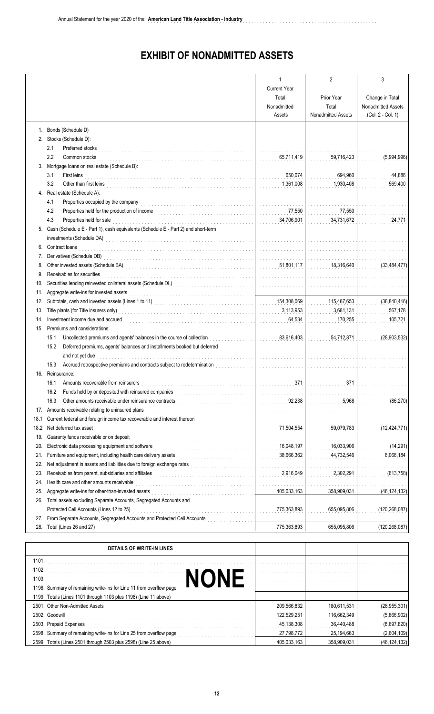## **EXHIBIT OF NONADMITTED ASSETS**

|      |                                                                                                                                                                                                                                                                                                | 1                                       | $\overline{2}$     | 3                  |
|------|------------------------------------------------------------------------------------------------------------------------------------------------------------------------------------------------------------------------------------------------------------------------------------------------|-----------------------------------------|--------------------|--------------------|
|      |                                                                                                                                                                                                                                                                                                | <b>Current Year</b>                     |                    |                    |
|      |                                                                                                                                                                                                                                                                                                | Total                                   | Prior Year         | Change in Total    |
|      |                                                                                                                                                                                                                                                                                                | Nonadmitted                             | Total              | Nonadmitted Assets |
|      |                                                                                                                                                                                                                                                                                                | Assets                                  | Nonadmitted Assets | (Col. 2 - Col. 1)  |
|      | 1. Bonds (Schedule D)                                                                                                                                                                                                                                                                          |                                         |                    |                    |
|      | 2. Stocks (Schedule D):                                                                                                                                                                                                                                                                        |                                         |                    |                    |
|      | 2.1<br>Preferred stocks                                                                                                                                                                                                                                                                        | and a straight                          |                    |                    |
|      | 2.2<br>Common stocks                                                                                                                                                                                                                                                                           | 65,711,419                              | 59,716,423         | (5,994,996)        |
|      | 3. Mortgage loans on real estate (Schedule B):                                                                                                                                                                                                                                                 |                                         |                    |                    |
|      | 3.1<br>First leins                                                                                                                                                                                                                                                                             | 650,074                                 | 694,960            | 44,886             |
|      | 3.2<br>Other than first leins<br>in the contract of the contract of the contract of the contract of the contract of the contract of the contract of the contract of the contract of the contract of the contract of the contract of the                                                        | 1,361,008                               | 1,930,408          | 569,400            |
|      | 4. Real estate (Schedule A):                                                                                                                                                                                                                                                                   |                                         |                    |                    |
|      | Properties occupied by the company<br>4.1                                                                                                                                                                                                                                                      |                                         |                    |                    |
|      | 4.2                                                                                                                                                                                                                                                                                            | 77,550                                  | 77,550             |                    |
|      | 4.3<br>Properties held for sale                                                                                                                                                                                                                                                                | 34,706,901                              | 34,731,672         | 24,771             |
| 5.   | Cash (Schedule E - Part 1), cash equivalents (Schedule E - Part 2) and short-term                                                                                                                                                                                                              |                                         |                    |                    |
|      | investments (Schedule DA)                                                                                                                                                                                                                                                                      |                                         |                    |                    |
| 6.   | Contract loans                                                                                                                                                                                                                                                                                 |                                         |                    |                    |
| 7.   | Derivatives (Schedule DB)                                                                                                                                                                                                                                                                      | and the state of the state of the state |                    |                    |
| 8.   |                                                                                                                                                                                                                                                                                                | 51,801,117<br>and a control             | 18,316,640         | (33, 484, 477)     |
| 9.   | Receivables for securities                                                                                                                                                                                                                                                                     | .                                       |                    |                    |
| 10.  |                                                                                                                                                                                                                                                                                                |                                         |                    |                    |
| 11.  | Aggregate write-ins for invested assets                                                                                                                                                                                                                                                        |                                         |                    |                    |
| 12.  |                                                                                                                                                                                                                                                                                                | 154,308,069                             | 115,467,653        | (38, 840, 416)     |
| 13.  | Title plants (for Title insurers only)                                                                                                                                                                                                                                                         | 3,113,953                               | 3,681,131          | 567,178            |
| 14.  | Investment income due and accrued                                                                                                                                                                                                                                                              | 64,534                                  | 170,255            | 105,721            |
| 15.  | Premiums and considerations:                                                                                                                                                                                                                                                                   |                                         |                    |                    |
|      | Uncollected premiums and agents' balances in the course of collection<br>15.1                                                                                                                                                                                                                  | 83,616,403                              | 54,712,871         | (28, 903, 532)     |
|      | Deferred premiums, agents' balances and installments booked but deferred<br>15.2                                                                                                                                                                                                               |                                         |                    |                    |
|      | and not yet due                                                                                                                                                                                                                                                                                |                                         |                    |                    |
|      | 15.3<br>Accrued retrospective premiums and contracts subject to redetermination                                                                                                                                                                                                                |                                         |                    |                    |
|      | 16. Reinsurance:                                                                                                                                                                                                                                                                               |                                         |                    |                    |
|      | 16.1 Amounts recoverable from reinsurers                                                                                                                                                                                                                                                       | 371                                     | 371                |                    |
|      | Funds held by or deposited with reinsured companies<br>16.2                                                                                                                                                                                                                                    |                                         |                    |                    |
|      | Other amounts receivable under reinsurance contracts<br>16.3<br><u> 1986 - Johann Stoff, mars anders son i de formation anders son i de formation anders son i de formation ander</u>                                                                                                          | 92,238                                  | 5,968              | (86, 270)          |
|      | 17. Amounts receivable relating to uninsured plans                                                                                                                                                                                                                                             | .                                       |                    |                    |
| 18.1 | Current federal and foreign income tax recoverable and interest thereon                                                                                                                                                                                                                        |                                         |                    |                    |
| 18.2 | Net deferred tax asset                                                                                                                                                                                                                                                                         | 71,504,554                              | 59,079,783         | (12, 424, 771)     |
| 19.  | Guaranty funds receivable or on deposit                                                                                                                                                                                                                                                        |                                         |                    |                    |
| 20.  | Electronic data processing equipment and software                                                                                                                                                                                                                                              | 16,048,197                              | 16,033,906         | (14, 291)          |
| 21.  | Furniture and equipment, including health care delivery assets                                                                                                                                                                                                                                 | 38,666,362                              | 44,732,546         | 6,066,184          |
| 22.  | Net adjustment in assets and liabilities due to foreign exchange rates                                                                                                                                                                                                                         |                                         |                    |                    |
| 23.  | <u> 1986 - Johann Stoff, martin Amerikaansk kanton (</u><br>Receivables from parent, subsidiaries and affiliates<br><br>The contract of the contract of the contract of the contract of the contract of the contract of the contract of the contract of the contract of the contract of the co | 2,916,049                               | 2,302,291          | (613, 758)         |
| 24.  | Health care and other amounts receivable                                                                                                                                                                                                                                                       |                                         |                    |                    |
| 25.  | Aggregate write-ins for other-than-invested assets                                                                                                                                                                                                                                             | 405,033,163                             | 358,909,031        | (46, 124, 132)     |
| 26.  | Total assets excluding Separate Accounts, Segregated Accounts and                                                                                                                                                                                                                              |                                         |                    |                    |
|      | Protected Cell Accounts (Lines 12 to 25)                                                                                                                                                                                                                                                       | 775,363,893                             | 655,095,806        | (120, 268, 087)    |
| 27.  | From Separate Accounts, Segregated Accounts and Protected Cell Accounts                                                                                                                                                                                                                        |                                         |                    |                    |
| 28.  | Total (Lines 26 and 27)                                                                                                                                                                                                                                                                        | 775,363,893                             | 655,095,806        | (120, 268, 087)    |
|      |                                                                                                                                                                                                                                                                                                |                                         |                    |                    |

| DETAILS OF WRITE IN LINES                                           |             |             |                |
|---------------------------------------------------------------------|-------------|-------------|----------------|
| 1101.                                                               |             |             |                |
| 1102.                                                               |             |             |                |
| 1103.                                                               |             |             |                |
| 1198. Summary of remaining write-ins for Line 11 from overflow page |             |             |                |
| 1199. Totals (Lines 1101 through 1103 plus 1198) (Line 11 above)    |             |             |                |
| 2501. Other Non-Admitted Assets                                     | 209.566.832 | 180,611,531 | (28, 955, 301) |
| 2502. Goodwill                                                      | 122,529,251 | 116,662,349 | (5,866,902)    |
| 2503. Prepaid Expenses                                              | 45,138,308  | 36,440,488  | (8,697,820)    |
| 2598. Summary of remaining write-ins for Line 25 from overflow page | 27,798,772  | 25,194,663  | (2,604,109)    |
| 2599. Totals (Lines 2501 through 2503 plus 2598) (Line 25 above)    | 405.033.163 | 358.909.031 | (46, 124, 132) |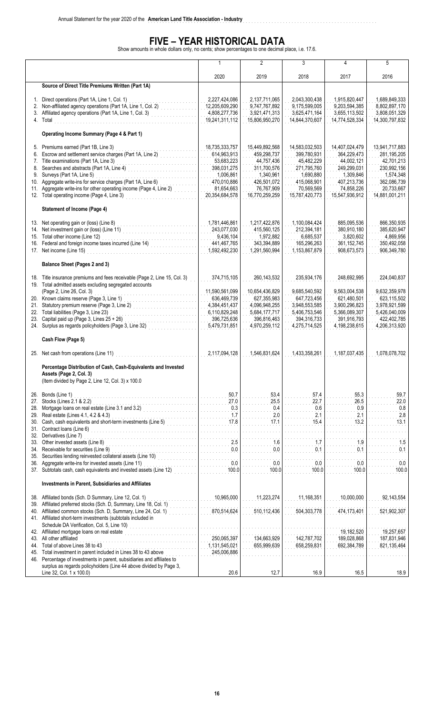# **FIVE – YEAR HISTORICAL DATA**<br>Show amounts in whole dollars only, no cents; show percentages to one decimal place, i.e. 17.6.

**American Land Title Association - Industry** ................................................................................

|                                                                    |                                                                                                                                                                                                                                                                                                                                                                                                                       | 1                                                                                                                      | $\overline{2}$                                                                                                         | 3                                                                                                                      | 4                                                                                                                      | 5                                                                                                                      |  |
|--------------------------------------------------------------------|-----------------------------------------------------------------------------------------------------------------------------------------------------------------------------------------------------------------------------------------------------------------------------------------------------------------------------------------------------------------------------------------------------------------------|------------------------------------------------------------------------------------------------------------------------|------------------------------------------------------------------------------------------------------------------------|------------------------------------------------------------------------------------------------------------------------|------------------------------------------------------------------------------------------------------------------------|------------------------------------------------------------------------------------------------------------------------|--|
|                                                                    |                                                                                                                                                                                                                                                                                                                                                                                                                       | 2020                                                                                                                   | 2019                                                                                                                   | 2018                                                                                                                   | 2017                                                                                                                   | 2016                                                                                                                   |  |
|                                                                    | Source of Direct Title Premiums Written (Part 1A)                                                                                                                                                                                                                                                                                                                                                                     |                                                                                                                        |                                                                                                                        |                                                                                                                        |                                                                                                                        |                                                                                                                        |  |
|                                                                    | 1. Direct operations (Part 1A, Line 1, Col. 1)<br>2. Non-affiliated agency operations (Part 1A, Line 1, Col. 2)<br>3. Affiliated agency operations (Part 1A, Line 1, Col. 3)<br>4. Total                                                                                                                                                                                                                              | 2,227,424,086<br>12,205,609,290<br>4,808,277,736<br>19,241,311,112                                                     | 2,137,711,065<br>9.747.767.892<br>3,921,471,313<br>15,806,950,270                                                      | 2,043,300,438<br>9.175.599.005<br>3,625,471,164<br>14,844,370,607                                                      | 1,915,820,447<br>9,203,594,385<br>3,655,113,502<br>14,774,528,334                                                      | 1,689,849,333<br>8.802.897.170<br>3,808,051,329<br>14,300,797,832                                                      |  |
|                                                                    | Operating Income Summary (Page 4 & Part 1)                                                                                                                                                                                                                                                                                                                                                                            |                                                                                                                        |                                                                                                                        |                                                                                                                        |                                                                                                                        |                                                                                                                        |  |
| 5.<br>6.<br>7.<br>8.<br>9.<br>10.<br>11.                           | Premiums earned (Part 1B, Line 3)<br>Escrow and settlement service charges (Part 1A, Line 2)<br>Title examinations (Part 1A, Line 3)<br>Searches and abstracts (Part 1A, Line 4)<br>Surveys (Part 1A, Line 5)<br>Aggregate write-ins for service charges (Part 1A, Line 6)<br>and the company<br>Aggregate write-ins for other operating income (Page 4, Line 2)<br>12. Total operating income (Page 4, Line 3)       | 18,735,333,757<br>614,963,913<br>53,683,223<br>398,031,275<br>1,006,861<br>470,010,886<br>81,654,663<br>20,354,684,578 | 15,449,892,568<br>459,298,737<br>44,757,436<br>311,700,576<br>1,340,961<br>426,501,072<br>76,767,909<br>16,770,259,259 | 14,583,032,503<br>399,780,931<br>45,482,229<br>271,795,760<br>1,690,880<br>415,068,901<br>70,569,569<br>15,787,420,773 | 14,407,024,479<br>364,229,473<br>44,002,121<br>249,299,031<br>1,309,846<br>407,213,736<br>74,858,226<br>15,547,936,912 | 13,941,717,883<br>281,195,205<br>42,701,213<br>230,992,156<br>1,574,348<br>362,086,739<br>20,733,667<br>14,881,001,211 |  |
|                                                                    | <b>Statement of Income (Page 4)</b>                                                                                                                                                                                                                                                                                                                                                                                   |                                                                                                                        |                                                                                                                        |                                                                                                                        |                                                                                                                        |                                                                                                                        |  |
|                                                                    | 13. Net operating gain or (loss) (Line 8)<br>14. Net investment gain or (loss) (Line 11)<br>15. Total other income (Line 12)<br>15. Total other income (Line 12)<br>16. Federal and foreign income taxes incurred (Line 14)<br>17. Net income (Line 15)                                                                                                                                                               | 1,781,446,861<br>243,077,030<br>9,436,104<br>441,467,765<br>1,592,492,230                                              | 1,217,422,876<br>415.560.125<br>1,972,882<br>343,394,889<br>1,291,560,994                                              | 1,100,084,424<br>212.394.181<br>6,685,537<br>165,296,263<br>1,153,867,879                                              | 885.095.536<br>380.910.180<br>3,820,602<br>361, 152, 745<br>908,673,573                                                | 866,350,935<br>385,620,947<br>4,869,956<br>350,492,058<br>906,349,780                                                  |  |
|                                                                    | Balance Sheet (Pages 2 and 3)                                                                                                                                                                                                                                                                                                                                                                                         |                                                                                                                        |                                                                                                                        |                                                                                                                        |                                                                                                                        |                                                                                                                        |  |
|                                                                    | 18. Title insurance premiums and fees receivable (Page 2, Line 15, Col. 3)<br>19. Total admitted assets excluding segregated accounts<br>(Page 2, Line 26, Col. 3)<br>20. Known claims reserve (Page 3, Line 1)<br>21. Statutory premium reserve (Page 3, Line 2)<br>22. Total liabilities (Page 3, Line 23)<br>23. Capital paid up (Page 3, Lines 25 + 26)<br>24. Surplus as regards policyholders (Page 3, Line 32) | 374,715,105<br>11,590,561,099<br>636,469,739<br>4,384,451,437<br>6,110,829,248<br>396,725,636<br>5,479,731,851         | 260,143,532<br>10,654,436,829<br>627,355,983<br>4,096,948,255<br>5,684,177,717<br>396,816,463<br>4,970,259,112         | 235,934,176<br>9,685,540,592<br>647,723,456<br>3,948,553,585<br>5,406,753,546<br>394,316,733<br>4,275,714,525          | 248,692,995<br>9,563,004,538<br>621,480,501<br>3,900,296,823<br>5,366,089,307<br>391,916,793<br>4,198,238,615          | 224,040,837<br>9,632,359,978<br>623,115,502<br>3,978,921,599<br>5,426,040,009<br>422,402,785<br>4,206,313,920          |  |
|                                                                    | Cash Flow (Page 5)                                                                                                                                                                                                                                                                                                                                                                                                    |                                                                                                                        |                                                                                                                        |                                                                                                                        |                                                                                                                        |                                                                                                                        |  |
|                                                                    | 25. Net cash from operations (Line 11)                                                                                                                                                                                                                                                                                                                                                                                | 2,117,094,128                                                                                                          | 1,546,831,624                                                                                                          | 1,433,358,261                                                                                                          | 1,187,037,435                                                                                                          | 1,078,078,702                                                                                                          |  |
|                                                                    | Percentage Distribution of Cash, Cash-Equivalents and Invested<br>Assets (Page 2, Col. 3)<br>(Item divided by Page 2, Line 12, Col. 3) x 100.0                                                                                                                                                                                                                                                                        |                                                                                                                        |                                                                                                                        |                                                                                                                        |                                                                                                                        |                                                                                                                        |  |
| 26.<br>27.<br>28.<br>29.<br>30.<br>31.<br>32.<br>33.<br>34.<br>35. | Bonds (Line 1)<br>.<br>Stocks (Lines 2.1 & 2.2)<br>Mortgage loans on real estate (Line 3.1 and 3.2)<br>Real estate (Lines 4.1, 4.2 & 4.3)<br>Cash, cash equivalents and short-term investments (Line 5)<br>Contract loans (Line 6)<br>Derivatives (Line 7)<br>Other invested assets (Line 8)<br>Receivable for securities (Line 9)<br>Securities lending reinvested collateral assets (Line 10)                       | 50.7<br>27.0<br>0.3<br>1.7<br>17.8<br>2.5<br>0.0                                                                       | 53.4<br>25.5<br>0.4<br>2.0<br>17.1<br>1.6<br>0.0                                                                       | 57.4<br>22.7<br>0.6<br>2.1<br>15.4<br>1.7<br>0.1                                                                       | 55.3<br>26.5<br>0.9<br>2.1<br>13.2<br>1.9<br>0.1                                                                       | 59.7<br>22.0<br>0.8<br>2.8<br>13.1<br>1.5<br>0.1                                                                       |  |
| 36.                                                                | Aggregate write-ins for invested assets (Line 11)<br>37. Subtotals cash, cash equivalents and invested assets (Line 12)                                                                                                                                                                                                                                                                                               | 0.0<br>100.0                                                                                                           | 0.0<br>100.0                                                                                                           | 0.0<br>100.0                                                                                                           | 0.0<br>100.0                                                                                                           | 0.0<br>100.0                                                                                                           |  |
|                                                                    |                                                                                                                                                                                                                                                                                                                                                                                                                       |                                                                                                                        |                                                                                                                        |                                                                                                                        |                                                                                                                        |                                                                                                                        |  |
|                                                                    | Investments in Parent, Subsidiaries and Affiliates                                                                                                                                                                                                                                                                                                                                                                    |                                                                                                                        |                                                                                                                        |                                                                                                                        |                                                                                                                        |                                                                                                                        |  |
| 38.<br>39.<br>40.                                                  | Affiliated bonds (Sch. D Summary, Line 12, Col. 1)<br>Affiliated preferred stocks (Sch. D, Summary, Line 18, Col. 1)<br>Affiliated common stocks (Sch. D, Summary, Line 24, Col. 1)<br>41. Affiliated short-term investments (subtotals included in<br>Schedule DA Verification, Col. 5, Line 10)                                                                                                                     | 10,965,000<br>870,514,624                                                                                              | 11,223,274<br>510,112,436                                                                                              | 11,168,351<br>504,303,778                                                                                              | 10,000,000<br>474,173,401                                                                                              | 92,143,554<br>521,902,307                                                                                              |  |
| 43.<br>44.<br>45.                                                  | 42. Affiliated mortgage loans on real estate<br>All other affiliated<br>Total of above Lines 38 to 43<br>Total investment in parent included in Lines 38 to 43 above<br>46. Percentage of investments in parent, subsidiaries and affiliates to<br>surplus as regards policyholders (Line 44 above divided by Page 3,                                                                                                 | 250,065,397<br>1,131,545,021<br>245,006,886                                                                            | 134,663,929<br>655,999,639                                                                                             | 142,787,702<br>658,259,831                                                                                             | 19,182,520<br>189,028,868<br>692,384,789                                                                               | 19,257,657<br>187,831,946<br>821,135,464                                                                               |  |
|                                                                    | Line 32, Col. 1 x 100.0)                                                                                                                                                                                                                                                                                                                                                                                              | 20.6                                                                                                                   | 12.7                                                                                                                   | 16.9                                                                                                                   | 16.5                                                                                                                   | 18.9                                                                                                                   |  |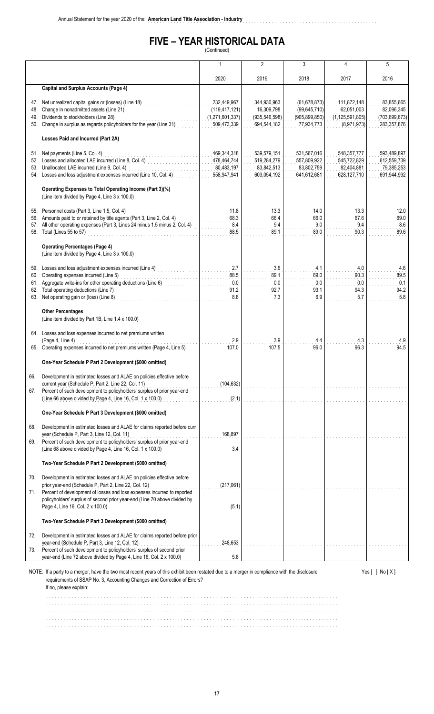#### **FIVE – YEAR HISTORICAL DATA** (Continued)

**American Land Title Association - Industry** ................................................................................

|            |                                                                                                                                                                                                                                                                       |                                                                  | $\overline{2}$                                              | 3                                                                 | 4                                                              | 5                                                          |
|------------|-----------------------------------------------------------------------------------------------------------------------------------------------------------------------------------------------------------------------------------------------------------------------|------------------------------------------------------------------|-------------------------------------------------------------|-------------------------------------------------------------------|----------------------------------------------------------------|------------------------------------------------------------|
|            |                                                                                                                                                                                                                                                                       | 2020                                                             | 2019                                                        | 2018                                                              | 2017                                                           | 2016                                                       |
|            | <b>Capital and Surplus Accounts (Page 4)</b>                                                                                                                                                                                                                          |                                                                  |                                                             |                                                                   |                                                                |                                                            |
|            | 47. Net unrealized capital gains or (losses) (Line 18)<br>48. Change in nonadmitted assets (Line 21)<br>49. Dividends to stockholders (Line 28)<br>50. Change in surplus as regards policyholders for the year (Line 31)                                              | 232,449,967<br>(119, 417, 121)<br>(1,271,601,337)<br>509,473,339 | 344,930,963<br>16.309.798<br>(935, 546, 598)<br>694,544,182 | (61, 678, 873)<br>(99, 645, 710)<br>(905, 899, 850)<br>77,934,773 | 111,872,148<br>62,051,003<br>(1, 125, 591, 805)<br>(8,971,973) | 83,855,665<br>82,096,345<br>(703, 699, 673)<br>283,357,876 |
|            | Losses Paid and Incurred (Part 2A)                                                                                                                                                                                                                                    |                                                                  |                                                             |                                                                   |                                                                |                                                            |
|            | 51. Net payments (Line 5, Col. 4)<br>52. Losses and allocated LAE incurred (Line 8, Col. 4)<br>53. Unallocated LAE incurred (Line 9, Col. 4)<br>54. Losses and loss adjustment expenses incurred (Line 10, Col. 4)                                                    | 469,344,318<br>478,464,744<br>80,483,197<br>558,947,941          | 539,579,151<br>519,284,279<br>83,842,513<br>603,054,192     | 531,567,016<br>557,809,922<br>83,802,759<br>641,612,681           | 548, 357, 777<br>545,722,829<br>82,404,881<br>628,127,710      | 593,489,897<br>612,559,739<br>79,385,253<br>691,944,992    |
|            | Operating Expenses to Total Operating Income (Part 3)(%)<br>(Line item divided by Page 4, Line 3 x 100.0)                                                                                                                                                             |                                                                  |                                                             |                                                                   |                                                                |                                                            |
|            | 55. Personnel costs (Part 3, Line 1.5, Col. 4)<br>56. Amounts paid to or retained by title agents (Part 3, Line 2, Col. 4)<br>57. All other operating expenses (Part 3, Lines 24 minus 1.5 minus 2, Col. 4)<br>58. Total (Lines 55 to 57)                             | 11.8<br>68.3<br>8.4<br>88.5                                      | 13.3<br>66.4<br>9.4<br>89.1                                 | 14.0<br>66.0<br>9.0<br>89.0                                       | 13.3<br>67.6<br>9.4<br>90.3                                    | 12.0<br>69.0<br>8.6<br>89.6                                |
|            | <b>Operating Percentages (Page 4)</b><br>(Line item divided by Page 4, Line 3 x 100.0)                                                                                                                                                                                |                                                                  |                                                             |                                                                   |                                                                |                                                            |
|            | 59. Losses and loss adjustment expenses incurred (Line 4)<br>60. Operating expenses incurred (Line 5)<br>61. Aggregate write-ins for other operating deductions (Line 6)<br>62. Total operating deductions (Line 7)<br>63. Net operating gain or (loss) (Line 8)      | 2.7<br>88.5<br>0.0<br>91.2<br>8.8                                | 3.6<br>89.1<br>0.0<br>92.7<br>7.3                           | 4.1<br>89.0<br>0.0<br>93.1<br>6.9                                 | 4.0<br>90.3<br>0.0<br>94.3<br>5.7                              | 4.6<br>89.5<br>0.1<br>94.2<br>5.8                          |
|            | <b>Other Percentages</b><br>(Line item divided by Part 1B, Line 1.4 x 100.0)                                                                                                                                                                                          |                                                                  |                                                             |                                                                   |                                                                |                                                            |
|            | 64. Losses and loss expenses incurred to net premiums written<br>(Page 4, Line 4)<br>65. Operating expenses incurred to net premiums written (Page 4, Line 5)                                                                                                         | 2.9<br>107.0                                                     | 3.9<br>107.5                                                | 4.4<br>96.0                                                       | 4.3<br>96.3                                                    | 4.9<br>94.5                                                |
|            | One-Year Schedule P Part 2 Development (\$000 omitted)                                                                                                                                                                                                                |                                                                  |                                                             |                                                                   |                                                                |                                                            |
| 67.        | Development in estimated losses and ALAE on policies effective before<br>current year (Schedule P, Part 2, Line 22, Col. 11)<br>Percent of such development to policyholders' surplus of prior year-end<br>(Line 66 above divided by Page 4, Line 16, Col. 1 x 100.0) | (104, 632)<br>(2,1)                                              |                                                             |                                                                   |                                                                |                                                            |
|            | One-Year Schedule P Part 3 Development (\$000 omitted)                                                                                                                                                                                                                |                                                                  |                                                             |                                                                   |                                                                |                                                            |
| 68.<br>69. | Development in estimated losses and ALAE for claims reported before curr<br>year (Schedule P, Part 3, Line 12, Col. 11)<br>Percent of such development to policyholders' surplus of prior year-end<br>(Line 68 above divided by Page 4, Line 16, Col. 1 x 100.0)      | 168,897<br>3.4                                                   |                                                             |                                                                   |                                                                |                                                            |
|            | Two-Year Schedule P Part 2 Development (\$000 omitted)                                                                                                                                                                                                                |                                                                  |                                                             |                                                                   |                                                                |                                                            |
| 70.        | Development in estimated losses and ALAE on policies effective before<br>prior year-end (Schedule P, Part 2, Line 22, Col. 12)                                                                                                                                        | (217,061)                                                        |                                                             |                                                                   |                                                                |                                                            |
| 71.        | Percent of development of losses and loss expenses incurred to reported<br>policyholders' surplus of second prior year-end (Line 70 above divided by<br>Page 4, Line 16, Col. 2 x 100.0)                                                                              | (5.1)                                                            |                                                             |                                                                   |                                                                |                                                            |
|            | Two-Year Schedule P Part 3 Development (\$000 omitted)                                                                                                                                                                                                                |                                                                  |                                                             |                                                                   |                                                                |                                                            |
| 72.        | Development in estimated losses and ALAE for claims reported before prior<br>year-end (Schedule P, Part 3, Line 12, Col. 12)                                                                                                                                          | 248,653                                                          |                                                             |                                                                   |                                                                |                                                            |
| 73.        | Percent of such development to policyholders' surplus of second prior<br>year-end (Line 72 above divided by Page 4, Line 16, Col. 2 x 100.0)                                                                                                                          | 5.8                                                              |                                                             |                                                                   |                                                                |                                                            |
|            | NOTE: If a party to a merger, have the two most recent years of this exhibit been restated due to a merger in compliance with the disclosure<br>requirements of SSAP No. 3, Accounting Changes and Correction of Errors?                                              |                                                                  |                                                             |                                                                   |                                                                | Yes $[ ]$ No $[X]$                                         |

If no, please explain:

...................................................................................................... ...................................................................................................... ...................................................................................................... ...................................................................................................... ......................................................................................................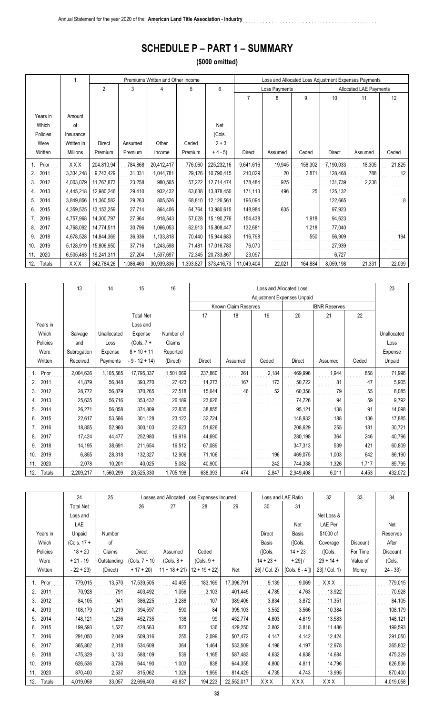## **SCHEDULE P – PART 1 – SUMMARY**

**American Land Title Association - Industry** ................................................................................

**(\$000 omitted)**

|               |            |                |           | Premiums Written and Other Income |           |            |               |               |         |               | Loss and Allocated Loss Adjustment Expenses Payments |        |
|---------------|------------|----------------|-----------|-----------------------------------|-----------|------------|---------------|---------------|---------|---------------|------------------------------------------------------|--------|
|               |            | $\overline{c}$ | 3         | 4                                 | 5         | 6          |               | Loss Payments |         |               | <b>Allocated LAE Payments</b>                        |        |
|               |            |                |           |                                   |           |            | 7             | 8             | 9       | 10            | 11                                                   | 12     |
|               |            |                |           |                                   |           |            |               |               |         |               |                                                      |        |
| Years in      | Amount     |                |           |                                   |           |            |               |               |         |               |                                                      |        |
| Which         | of         |                |           |                                   |           | Net        |               |               |         |               |                                                      |        |
| Policies      | Insurance  |                |           |                                   |           | (Cols.     |               |               |         |               |                                                      |        |
| Were          | Written in | <b>Direct</b>  | Assumed   | Other                             | Ceded     | $2 + 3$    |               |               |         |               |                                                      |        |
| Written       | Millions   | Premium        | Premium   | Income                            | Premium   | $+4-5$     | <b>Direct</b> | Assumed       | Ceded   | <b>Direct</b> | Assumed                                              | Ceded  |
| Prior         | XXX        | 204,810,94     | 784,868   | 20,412,417                        | 776,060   | 225,232,16 | 9,641,616     | 19,945        | 158,302 | 7,190,033     | 18,305                                               | 21,825 |
| 2011<br>2.    | 3,334,248  | 9,743,429      | 31,331    | 1,044,781                         | 29,126    | 10,790,415 | 210,029       | 20            | 2,871   | 128,468       | 788                                                  | 12     |
| 2012<br>3.    | 4,003,079  | 11,767,873     | 23,258    | 980,565                           | 57,222    | 12,714,474 | 178,484       | 925           |         | 131,739       | 2,238                                                |        |
| 2013<br>4.    | 4,445,218  | 12,980,246     | 29,410    | 932,432                           | 63,638    | 13,878,450 | 171,113       | 496           | 25      | 125,132       |                                                      |        |
| 2014<br>5.    | 3,849,856  | 11,360,582     | 29,263    | 805,526                           | 68,810    | 12,126,561 | 196,094       |               |         | 122,665       |                                                      | 8      |
| 2015<br>6.    | 4,359,525  | 13, 153, 259   | 27,714    | 864,406                           | 64,764    | 13,980,615 | 148,984       | 635           |         | 97,923        |                                                      |        |
| 2016          | 4,757,968  | 14,300,797     | 27,964    | 918,543                           | 57,028    | 15,190,276 | 154,438       |               | 1,918   | 94,623        |                                                      |        |
| 2017<br>8.    | 4,768,092  | 14,774,511     | 30,796    | 1,066,053                         | 62,913    | 15,808,447 | 132,681       |               | 1,218   | 77,040        |                                                      |        |
| 2018<br>9.    | 4,678,528  | 14,844,369     | 36,936    | 1,133,818                         | 70,440    | 15,944,683 | 116,798       |               | 550     | 56,909        |                                                      | 194    |
| 10.<br>2019   | 5,128,919  | 15,806,950     | 37,716    | 1,243,598                         | 71,481    | 17,016,783 | 76,070        |               |         | 27,939        |                                                      |        |
| 2020<br>11.   | 6,505,463  | 19,241,311     | 27,204    | 1,537,697                         | 72,345    | 20,733,867 | 23,097        |               |         | 6,727         |                                                      |        |
| 12.<br>Totals | XXX        | 342,784,26     | 1,086,460 | 30,939,836                        | 1,393,827 | 373,416,73 | 11,049,404    | 22,021        | 164,884 | 8,059,198     | 21,331                                               | 22,039 |

|               | 13          | 14          | 15               | 16        |               |                      |       | Loss and Allocated Loss           |                      |       | 23          |
|---------------|-------------|-------------|------------------|-----------|---------------|----------------------|-------|-----------------------------------|----------------------|-------|-------------|
|               |             |             |                  |           |               |                      |       | <b>Adjustment Expenses Unpaid</b> |                      |       |             |
|               |             |             |                  |           |               | Known Claim Reserves |       |                                   | <b>IBNR Reserves</b> |       |             |
|               |             |             | <b>Total Net</b> |           | 17            | 18                   | 19    | 20                                | 21                   | 22    |             |
| Years in      |             |             | Loss and         |           |               |                      |       |                                   |                      |       |             |
| Which         | Salvage     | Unallocated | Expense          | Number of |               |                      |       |                                   |                      |       | Unallocated |
| Policies      | and         | Loss        | $(Cols. 7 +$     | Claims    |               |                      |       |                                   |                      |       | Loss        |
| Were          | Subrogation | Expense     | $8 + 10 + 11$    | Reported  |               |                      |       |                                   |                      |       | Expense     |
| Written       | Received    | Payments    | - 9 - 12 + 14)   | (Direct)  | <b>Direct</b> | Assumed              | Ceded | <b>Direct</b>                     | Assumed              | Ceded | Unpaid      |
| Prior         | 2,004,636   | 1,105,565   | 17,795,337       | 1,501,069 | 237,860       | 261                  | 2,184 | 469,996                           | 1,944                | 858   | 71,996      |
| 2011<br>2.    | 41,879      | 56,848      | 393,270          | 27,423    | 14,273        | 167                  | 173   | 50,722                            | 81                   | 47    | 5,905       |
| 2012<br>3.    | 28,772      | 56,879      | 370,265          | 27,518    | 15,644        | 46                   | 52    | 60,358                            | 79                   | 55    | 8,085       |
| 2013<br>4.    | 25,635      | 56,716      | 353,432          | 26,189    | 23,626        |                      |       | 74,726                            | 94                   | 59    | 9,792       |
| 2014<br>5.    | 26,271      | 56,058      | 374,809          | 22,835    | 38,855        |                      |       | 95,121                            | 138                  | 91    | 14,098      |
| 2015<br>6.    | 22,617      | 53,586      | 301,128          | 23,122    | 32,724        |                      |       | 148,932                           | 188                  | 136   | 17,885      |
| 2016<br>7.    | 18,855      | 52,960      | 300,103          | 22,623    | 51,626        |                      |       | 208,629                           | 255                  | 181   | 30,721      |
| 2017<br>8.    | 17,424      | 44,477      | 252,980          | 19,919    | 44,690        |                      |       | 280,198                           | 364                  | 246   | 40,796      |
| 2018<br>9     | 14,195      | 38,691      | 211,654          | 16,512    | 67,089        |                      |       | 347,313                           | 539                  | 421   | 60,809      |
| 2019<br>10.   | 6,855       | 28,318      | 132,327          | 12,906    | 71,106        |                      | 196   | 469,075                           | 1,003                | 642   | 86,190      |
| 2020<br>11.   | 2,078       | 10,201      | 40,025           | 5,082     | 40,900        |                      | 242   | 744,338                           | 1,326                | 1,717 | 85,795      |
| Totals<br>12. | 2,209,217   | 1,560,299   | 20,525,330       | 1,705,198 | 638,393       | 474                  | 2,847 | 2,949,408                         | 6,011                | 4,453 | 432,072     |

|               | 24               | 25          |               | Losses and Allocated Loss Expenses Incurred |                |            | Loss and LAE Ratio |                   | 32               | 33              | 34        |
|---------------|------------------|-------------|---------------|---------------------------------------------|----------------|------------|--------------------|-------------------|------------------|-----------------|-----------|
|               | <b>Total Net</b> |             | 26            | 27                                          | 28             | 29         | 30                 | 31                |                  |                 |           |
|               | Loss and         |             |               |                                             |                |            |                    |                   | Net Loss &       |                 |           |
|               | LAE              |             |               |                                             |                |            |                    | Net               | LAE Per          |                 | Net       |
| Years in      | Unpaid           | Number      |               |                                             |                |            | Direct             | Basis             | \$1000 of        |                 | Reserves  |
| Which         | $(Cols. 17 +$    | of          |               |                                             |                |            | Basis              | ([Cols.           | Coverage         | <b>Discount</b> | After     |
| Policies      | $18 + 20$        | Claims      | <b>Direct</b> | Assumed                                     | Ceded          |            | ([Cols.            | $14 + 23$         | ([Cols.          | For Time        | Discount  |
| Were          | $+21 - 19$       | Outstanding | (Cols. 7 + 10 | $(Cols. 8 +$                                | $(Cols. 9 +$   |            | $14 + 23 +$        | $+ 29$ ] /        | $29 + 14 +$      | Value of        | (Cols.    |
| Written       | $-22 + 23$       | (Direct)    | $+17 + 20$    | $11 + 18 + 21$                              | $12 + 19 + 22$ | Net        | 26] / Col. 2)      | [Cols. $6 - 4$ ]) | $23$ ] / Col. 1) | Money           | $24 - 33$ |
| Prior         | 779,015          | 13,570      | 17,539,505    | 40,455                                      | 183,169        | 17,396,791 | 9.139              | 9.069             | XXX              |                 | 779,015   |
| 2011          | 70,928           | 791         | 403,492       | 1,056                                       | 3,103          | 401,445    | 4.785              | 4.763             | 13.922           |                 | 70,928    |
| 2012<br>3.    | 84,105           | 941         | 386,225       | 3,288                                       | 107            | 389,406    | 3.834              | 3.872             | 11.351           |                 | 84,105    |
| 2013          | 108,179          | 1,219       | 394,597       | 590                                         | 84             | 395,103    | 3.552              | 3.566             | 10.384           |                 | 108,179   |
| 2014<br>5.    | 148,121          | 1,236       | 452,735       | 138                                         | 99             | 452,774    | 4.603              | 4.619             | 13.583           |                 | 148,121   |
| 2015<br>6.    | 199,593          | 1,527       | 428,563       | 823                                         | 136            | 429,250    | 3.802              | 3.818             | 11.486           |                 | 199,593   |
| 2016          | 291,050          | 2,049       | 509,316       | 255                                         | 2,099          | 507,472    | 4.147              | 4.142             | 12.424           |                 | 291,050   |
| 2017<br>8     | 365,802          | 2,318       | 534,609       | 364                                         | 1,464          | 533,509    | 4.196              | 4.197             | 12.978           |                 | 365,802   |
| 2018<br>9.    | 475,329          | 3,133       | 588,109       | 539                                         | 1,165          | 587,483    | 4.632              | 4.638             | 14.684           |                 | 475,329   |
| 2019<br>10.   | 626,536          | 3,736       | 644,190       | 1,003                                       | 838            | 644,355    | 4.800              | 4.811             | 14.796           |                 | 626,536   |
| 2020<br>11.   | 870,400          | 2,537       | 815,062       | 1,326                                       | 1,959          | 814,429    | 4.735              | 4.743             | 13.995           |                 | 870,400   |
| 12.<br>Totals | 4,019,058        | 33,057      | 22,696,403    | 49,837                                      | 194,223        | 22,552,017 | XXX                | XXX               | XXX              |                 | 4,019,058 |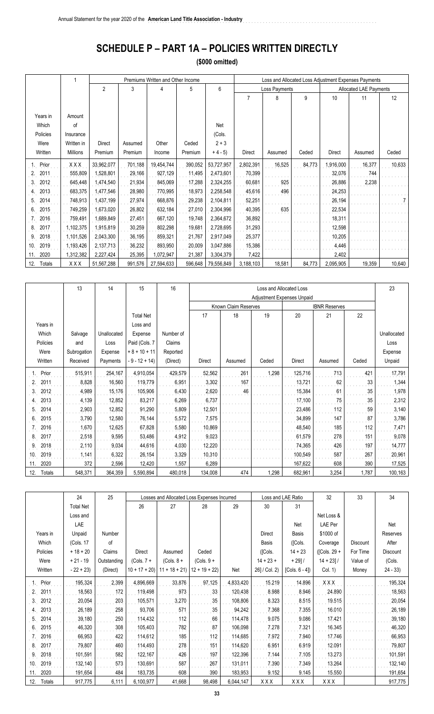## **SCHEDULE P – PART 1A – POLICIES WRITTEN DIRECTLY**

**(\$000 omitted)**

|               |            |                |         | Premiums Written and Other Income |         |            |               |               |        |               | Loss and Allocated Loss Adjustment Expenses Payments |        |
|---------------|------------|----------------|---------|-----------------------------------|---------|------------|---------------|---------------|--------|---------------|------------------------------------------------------|--------|
|               |            | $\overline{2}$ | 3       | 4                                 | 5       | 6          |               | Loss Payments |        |               | <b>Allocated LAE Payments</b>                        |        |
|               |            |                |         |                                   |         |            | 7             | 8             | 9      | 10            | 11                                                   | 12     |
|               |            |                |         |                                   |         |            |               |               |        |               |                                                      |        |
| Years in      | Amount     |                |         |                                   |         |            |               |               |        |               |                                                      |        |
| Which         | of         |                |         |                                   |         | Net        |               |               |        |               |                                                      |        |
| Policies      | Insurance  |                |         |                                   |         | (Cols.     |               |               |        |               |                                                      |        |
| Were          | Written in | <b>Direct</b>  | Assumed | Other                             | Ceded   | $2 + 3$    |               |               |        |               |                                                      |        |
| Written       | Millions   | Premium        | Premium | Income                            | Premium | $+4-5$     | <b>Direct</b> | Assumed       | Ceded  | <b>Direct</b> | Assumed                                              | Ceded  |
| Prior         | XXX        | 33,962,077     | 701,188 | 19,454,744                        | 390,052 | 53,727,957 | 2,802,391     | 16,525        | 84,773 | 1,916,000     | 16,377                                               | 10,633 |
| 2011<br>2.    | 555,809    | 1,528,801      | 29,166  | 927,129                           | 11,495  | 2,473,601  | 70,399        |               |        | 32,076        | 744                                                  |        |
| 2012<br>3.    | 645,448    | 1,474,540      | 21,934  | 845,069                           | 17,288  | 2,324,255  | 60,681        | 925           |        | 26,886        | 2,238                                                |        |
| 2013          | 683,375    | 1,477,546      | 28,980  | 770,995                           | 18,973  | 2,258,548  | 45,616        | 496           |        | 24,253        |                                                      |        |
| 2014<br>5     | 748,913    | 1,437,199      | 27,974  | 668,876                           | 29,238  | 2,104,811  | 52,251        |               |        | 26,194        |                                                      |        |
| 2015<br>6.    | 749,259    | 1,673,020      | 26,802  | 632,184                           | 27,010  | 2,304,996  | 40,395        | 635           |        | 22,534        |                                                      |        |
| 2016          | 759,491    | 1,689,849      | 27,451  | 667,120                           | 19,748  | 2,364,672  | 36,892        |               |        | 18,311        |                                                      |        |
| 2017<br>8.    | 1,102,375  | 1,915,819      | 30,259  | 802,298                           | 19,681  | 2,728,695  | 31,293        |               |        | 12,598        |                                                      |        |
| 2018<br>9     | 1,101,526  | 2,043,300      | 36,195  | 859,321                           | 21,767  | 2,917,049  | 25,377        |               |        | 10,205        |                                                      |        |
| 2019<br>10.   | 1,193,426  | 2,137,713      | 36,232  | 893,950                           | 20,009  | 3,047,886  | 15,386        |               |        | 4,446         |                                                      |        |
| 2020<br>11.   | 1,312,382  | 2,227,424      | 25,395  | 1,072,947                         | 21,387  | 3,304,379  | 7,422         |               |        | 2,402         |                                                      |        |
| 12.<br>Totals | XXX        | 51,567,288     | 991,576 | 27,594,633                        | 596,648 | 79,556,849 | 3,188,103     | 18,581        | 84,773 | 2,095,905     | 19,359                                               | 10,640 |

|               | 13          | 14          | 15               | 16        |         |                      | 23    |                            |                      |       |             |
|---------------|-------------|-------------|------------------|-----------|---------|----------------------|-------|----------------------------|----------------------|-------|-------------|
|               |             |             |                  |           |         | Known Claim Reserves |       | Adjustment Expenses Unpaid | <b>IBNR Reserves</b> |       |             |
|               |             |             | <b>Total Net</b> |           | 17      | 18                   | 19    | 20                         | 21                   | 22    |             |
| Years in      |             |             | Loss and         |           |         |                      |       |                            |                      |       |             |
| Which         | Salvage     | Unallocated | Expense          | Number of |         |                      |       |                            |                      |       | Unallocated |
| Policies      | and         | Loss        | Paid (Cols. 7    | Claims    |         |                      |       |                            |                      |       | Loss        |
| Were          | Subrogation | Expense     | $+8 + 10 + 11$   | Reported  |         |                      |       |                            |                      |       | Expense     |
| Written       | Received    | Payments    | $-9 - 12 + 14$   | (Direct)  | Direct  | Assumed              | Ceded | Direct                     | Assumed              | Ceded | Unpaid      |
| Prior         | 515,911     | 254,167     | 4,910,054        | 429,579   | 52,562  | 261                  | 1,298 | 125,716                    | 713                  | 421   | 17,791      |
| 2011          | 8,828       | 16,560      | 119,779          | 6,951     | 3,302   | 167                  |       | 13,721                     | 62                   | 33    | 1,344       |
| 2012<br>3.    | 4,989       | 15,176      | 105,906          | 6,430     | 2,620   | 46                   |       | 15,384                     | 61                   | 35    | 1,978       |
| 2013<br>4.    | 4,139       | 12,852      | 83,217           | 6,269     | 6,737   |                      |       | 17,100                     | 75                   | 35    | 2,312       |
| 2014<br>5.    | 2,903       | 12,852      | 91,290           | 5,809     | 12,501  |                      |       | 23,486                     | 112                  | 59    | 3,140       |
| 2015<br>6.    | 3,790       | 12,580      | 76,144           | 5,572     | 7,575   |                      |       | 34,899                     | 147                  | 87    | 3,786       |
| 2016<br>7.    | 1,670       | 12,625      | 67,828           | 5,580     | 10,869  |                      |       | 48,540                     | 185                  | 112   | 7,471       |
| 2017<br>8.    | 2,518       | 9,595       | 53,486           | 4,912     | 9,023   |                      |       | 61,579                     | 278                  | 151   | 9,078       |
| 2018<br>9     | 2,110       | 9,034       | 44,616           | 4,030     | 12,220  |                      |       | 74,365                     | 426                  | 197   | 14,777      |
| 2019<br>10.   | 1,141       | 6,322       | 26,154           | 3,329     | 10,310  |                      |       | 100,549                    | 587                  | 267   | 20,961      |
| 2020<br>11.   | 372         | 2,596       | 12,420           | 1,557     | 6,289   |                      |       | 167,622                    | 608                  | 390   | 17,525      |
| Totals<br>12. | 548,371     | 364,359     | 5,590,894        | 480,018   | 134,008 | 474                  | 1,298 | 682,961                    | 3,254                | 1,787 | 100,163     |

|               | 24               | 25          |                | Losses and Allocated Loss Expenses Incurred |                |           |               | Loss and LAE Ratio | 32              | 33              | 34        |
|---------------|------------------|-------------|----------------|---------------------------------------------|----------------|-----------|---------------|--------------------|-----------------|-----------------|-----------|
|               | <b>Total Net</b> |             | 26             | 27                                          | 28             | 29        | 30            | 31                 |                 |                 |           |
|               | Loss and         |             |                |                                             |                |           |               |                    | Net Loss &      |                 |           |
|               | LAE              |             |                |                                             |                |           |               | Net                | LAE Per         |                 | Net       |
| Years in      | Unpaid           | Number      |                |                                             |                |           | Direct        | Basis              | \$1000 of       |                 | Reserves  |
| Which         | (Cols. 17        | οf          |                |                                             |                |           | Basis         | ([Cols.            | Coverage        | <b>Discount</b> | After     |
| Policies      | $+18 + 20$       | Claims      | <b>Direct</b>  | Assumed                                     | Ceded          |           | ([Cols.       | $14 + 23$          | $($ [Cols. 29 + | For Time        | Discount  |
| Were          | $+21 - 19$       | Outstanding | $(Cols. 7 +$   | $(Cols. 8 +$                                | $(Cols. 9 +$   |           | $14 + 23 +$   | $+ 29$ ] $/$       | $14 + 23$ ] /   | Value of        | (Cols.    |
| Written       | $-22 + 23$       | (Direct)    | $10 + 17 + 20$ | $11 + 18 + 21$                              | $12 + 19 + 22$ | Net       | 26] / Col. 2) | $[Cols. 6 - 4]$    | Col. 1)         | Money           | $24 - 33$ |
| Prior         | 195,324          | 2,399       | 4,896,669      | 33,876                                      | 97,125         | 4,833,420 | 15.219        | 14.896             | XXX             |                 | 195,324   |
| 2011          | 18,563           | 172         | 119,498        | 973                                         | 33             | 120,438   | 8.988         | 8.946              | 24.890          |                 | 18,563    |
| 2012          | 20,054           | 203         | 105,571        | 3,270                                       | 35             | 108,806   | 8.323         | 8.515              | 19.515          |                 | 20,054    |
| 2013          | 26,189           | 258         | 93,706         | 571                                         | 35             | 94,242    | 7.368         | 7.355              | 16.010          |                 | 26,189    |
| 2014          | 39,180           | 250         | 114,432        | 112                                         | 66             | 114,478   | 9.075         | 9.086              | 17.421          |                 | 39,180    |
| 2015<br>6.    | 46,320           | 308         | 105,403        | 782                                         | 87             | 106,098   | 7.278         | 7.321              | 16.345          |                 | 46,320    |
| 2016          | 66,953           | 422         | 114,612        | 185                                         | 112            | 114,685   | 7.972         | 7.940              | 17.746          |                 | 66,953    |
| 2017<br>8.    | 79,807           | 460         | 114,493        | 278                                         | 151            | 114,620   | 6.951         | 6.919              | 12.091          |                 | 79,807    |
| 2018<br>9.    | 101,591          | 582         | 122,167        | 426                                         | 197            | 122,396   | 7.144         | 7.105              | 13.273          |                 | 101,591   |
| 2019<br>10.   | 132,140          | 573         | 130,691        | 587                                         | 267            | 131,011   | 7.390         | 7.349              | 13.264          |                 | 132,140   |
| 2020<br>11.   | 191,654          | 484         | 183,735        | 608                                         | 390            | 183,953   | 9.152         | 9.145              | 15.550          |                 | 191,654   |
| 12.<br>Totals | 917,775          | 6,111       | 6,100,977      | 41,668                                      | 98,498         | 6,044,147 | XXX           | XXX                | XXX             |                 | 917,775   |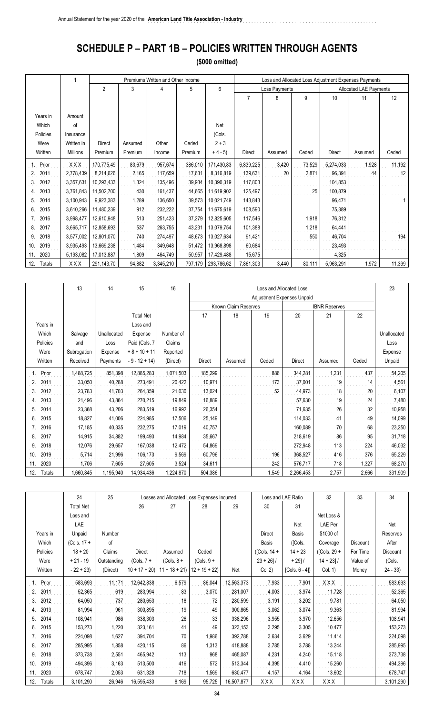## **SCHEDULE P – PART 1B – POLICIES WRITTEN THROUGH AGENTS**

**(\$000 omitted)**

|               |                 |                |         | Premiums Written and Other Income |         |            | Loss and Allocated Loss Adjustment Expenses Payments |               |        |               |                        |        |
|---------------|-----------------|----------------|---------|-----------------------------------|---------|------------|------------------------------------------------------|---------------|--------|---------------|------------------------|--------|
|               |                 | $\overline{2}$ | 3       | 4                                 | 5       | 6          |                                                      | Loss Payments |        |               | Allocated LAE Payments |        |
|               |                 |                |         |                                   |         |            | 7                                                    | 8             | 9      | 10            | 11                     | 12     |
|               |                 |                |         |                                   |         |            |                                                      |               |        |               |                        |        |
| Years in      | Amount          |                |         |                                   |         |            |                                                      |               |        |               |                        |        |
| Which         | of              |                |         |                                   |         | Net        |                                                      |               |        |               |                        |        |
| Policies      | Insurance       |                |         |                                   |         | (Cols.     |                                                      |               |        |               |                        |        |
| Were          | Written in      | <b>Direct</b>  | Assumed | Other                             | Ceded   | $2 + 3$    |                                                      |               |        |               |                        |        |
| Written       | <b>Millions</b> | Premium        | Premium | Income                            | Premium | $+4-5$     | <b>Direct</b>                                        | Assumed       | Ceded  | <b>Direct</b> | Assumed                | Ceded  |
| Prior         | XXX             | 170,775,49     | 83,679  | 957,674                           | 386,010 | 171,430,83 | 6,839,225                                            | 3,420         | 73,529 | 5,274,033     | 1,928                  | 11,192 |
| 2011<br>2.    | 2,778,439       | 8,214,626      | 2,165   | 117,659                           | 17,631  | 8,316,819  | 139,631                                              | 20            | 2,871  | 96,391        | 44                     | 12     |
| 2012<br>3.    | 3,357,631       | 10,293,433     | 1,324   | 135,496                           | 39,934  | 10,390,319 | 117,803                                              |               |        | 104,853       |                        |        |
| 2013<br>4.    | 3,761,843       | 11,502,700     | 430     | 161,437                           | 44,665  | 11,619,902 | 125,497                                              |               | 25     | 100,879       |                        |        |
| 2014<br>5.    | 3,100,943       | 9,923,383      | 1,289   | 136,650                           | 39,573  | 10,021,749 | 143,843                                              |               |        | 96,471        |                        |        |
| 2015<br>6.    | 3,610,266       | 11,480,239     | 912     | 232,222                           | 37,754  | 11,675,619 | 108,590                                              |               |        | 75,389        |                        |        |
| 2016          | 3,998,477       | 12,610,948     | 513     | 251,423                           | 37,279  | 12,825,605 | 117,546                                              |               | 1,918  | 76,312        |                        |        |
| 2017<br>8.    | 3,665,717       | 12,858,693     | 537     | 263,755                           | 43,231  | 13,079,754 | 101,388                                              |               | 1,218  | 64,441        |                        |        |
| 2018<br>9     | 3,577,002       | 12,801,070     | 740     | 274,497                           | 48,673  | 13,027,634 | 91,421                                               |               | 550    | 46,704        |                        | 194    |
| 2019<br>10.   | 3,935,493       | 13,669,238     | 1,484   | 349,648                           | 51,472  | 13,968,898 | 60,684                                               |               |        | 23,493        |                        |        |
| 2020<br>11.   | 5,193,082       | 17,013,887     | 1,809   | 464,749                           | 50,957  | 17,429,488 | 15,675                                               |               |        | 4,325         |                        |        |
| 12.<br>Totals | XXX             | 291,143,70     | 94,882  | 3,345,210                         | 797,179 | 293,786,62 | 7,861,303                                            | 3,440         | 80,111 | 5,963,291     | 1,972                  | 11,399 |

|                      | 13          | 14          | 15               | 16        | Loss and Allocated Loss<br>Adjustment Expenses Unpaid |                      |       |               |                      |       |             |
|----------------------|-------------|-------------|------------------|-----------|-------------------------------------------------------|----------------------|-------|---------------|----------------------|-------|-------------|
|                      |             |             |                  |           |                                                       | Known Claim Reserves |       |               | <b>IBNR Reserves</b> |       |             |
|                      |             |             | <b>Total Net</b> |           | 17                                                    | 18                   | 19    | 20            | 21                   | 22    |             |
| Years in             |             |             | Loss and         |           |                                                       |                      |       |               |                      |       |             |
| Which                | Salvage     | Unallocated | Expense          | Number of |                                                       |                      |       |               |                      |       | Unallocated |
| Policies             | and         | Loss        | Paid (Cols. 7    | Claims    |                                                       |                      |       |               |                      |       | Loss        |
| Were                 | Subrogation | Expense     | $+8 + 10 + 11$   | Reported  |                                                       |                      |       |               |                      |       | Expense     |
| Written              | Received    | Payments    | $-9 - 12 + 14$   | (Direct)  | <b>Direct</b>                                         | Assumed              | Ceded | <b>Direct</b> | Assumed              | Ceded | Unpaid      |
|                      |             |             |                  |           |                                                       |                      |       |               |                      |       |             |
| Prior                | ,488,725    | 851,398     | 12,885,283       | 1,071,503 | 185,299                                               |                      | 886   | 344,281       | 1,231                | 437   | 54,205      |
| 2011<br>2.           | 33,050      | 40,288      | 273,491          | 20,422    | 10,971                                                |                      | 173   | 37,001        | 19                   | 14    | 4,561       |
| 2012<br>3.           | 23,783      | 41,703      | 264,359          | 21,030    | 13,024                                                |                      | 52    | 44,973        | 18                   | 20    | 6,107       |
| 2013<br>4.           | 21,496      | 43,864      | 270,215          | 19,849    | 16,889                                                |                      |       | 57,630        | 19                   | 24    | 7,480       |
| 2014<br>5.           | 23,368      | 43,206      | 283,519          | 16,992    | 26,354                                                |                      |       | 71,635        | 26                   | 32    | 10,958      |
| 2015<br>6.           | 18,827      | 41,006      | 224,985          | 17,506    | 25,149                                                |                      |       | 114,033       | 41                   | 49    | 14,099      |
| 2016                 | 17,185      | 40,335      | 232,275          | 17,019    | 40,757                                                |                      |       | 160,089       | 70                   | 68    | 23,250      |
| 2017<br>8.           | 14,915      | 34,882      | 199,493          | 14,984    | 35,667                                                |                      |       | 218,619       | 86                   | 95    | 31,718      |
| 2018<br>9.           | 12,076      | 29,657      | 167,038          | 12,472    | 54,869                                                |                      |       | 272,948       | 113                  | 224   | 46,032      |
| 2019<br>10.          | 5,714       | 21,996      | 106,173          | 9,569     | 60,796                                                |                      | 196   | 368,527       | 416                  | 376   | 65,229      |
| 2020<br>11.          | 1,706       | 7,605       | 27,605           | 3,524     | 34,611                                                |                      | 242   | 576,717       | 718                  | 1,327 | 68,270      |
| <b>Totals</b><br>12. | ,660,845    | 1,195,940   | 14,934,436       | 1,224,870 | 504,386                                               |                      | 1,549 | 2,266,453     | 2,757                | 2,666 | 331,909     |

|               | 24               | 25            |                | Losses and Allocated Loss Expenses Incurred |                |            |               | Loss and LAE Ratio | 32              | 33              | 34        |
|---------------|------------------|---------------|----------------|---------------------------------------------|----------------|------------|---------------|--------------------|-----------------|-----------------|-----------|
|               | <b>Total Net</b> |               | 26             | 27                                          | 28             | 29         | 30            | 31                 |                 |                 |           |
|               | Loss and         |               |                |                                             |                |            |               |                    | Net Loss &      |                 |           |
|               | LAE              |               |                |                                             |                |            |               | Net                | <b>LAE Per</b>  |                 | Net       |
| Years in      | Unpaid           | <b>Number</b> |                |                                             |                |            | Direct        | Basis              | \$1000 of       |                 | Reserves  |
| Which         | $(Cols. 17 +$    | of            |                |                                             |                |            | Basis         | ([Cols.            | Coverage        | <b>Discount</b> | After     |
| Policies      | $18 + 20$        | Claims        | Direct         | Assumed                                     | Ceded          |            | ([Cols. 14 +  | $14 + 23$          | $($ [Cols. 29 + | For Time        | Discount  |
| Were          | $+21 - 19$       | Outstanding   | $(Cols. 7 +$   | $(Cols. 8 +$                                | $(Cols. 9 +$   |            | $23 + 26$ ] / | $+ 29$ ] $/$       | $14 + 23$ ] /   | Value of        | (Cols.    |
| Written       | $-22 + 23$       | (Direct)      | $10 + 17 + 20$ | $11 + 18 + 21$                              | $12 + 19 + 22$ | Net        | Col(2)        | [Cols. $6 - 4$ ])  | Col. 1)         | Money           | $24 - 33$ |
| Prior         | 583,693          | 11,171        | 12,642,838     | 6,579                                       | 86,044         | 12,563,373 | 7.933         | 7.901              | <b>XXX</b>      |                 | 583,693   |
| 2011          | 52,365           | 619           | 283,994        | 83                                          | 3,070          | 281,007    | 4.003         | 3.974              | 11.728          |                 | 52,365    |
| 2012<br>3.    | 64,050           | 737           | 280,653        | 18                                          | 72             | 280,599    | 3.191         | 3.202              | 9.781           |                 | 64,050    |
| 2013          | 81,994           | 961           | 300,895        | 19                                          | 49             | 300,865    | 3.062         | 3.074              | 9.363           |                 | 81,994    |
| 2014<br>5     | 108,941          | 986           | 338,303        | 26                                          | 33             | 338,296    | 3.955         | 3.970              | 12.656          |                 | 108,941   |
| 2015<br>6.    | 153,273          | 1,220         | 323,161        | 41                                          | 49             | 323,153    | 3.295         | 3.305              | 10.477          |                 | 153,273   |
| 2016          | 224,098          | 1,627         | 394,704        | 70                                          | 1,986          | 392,788    | 3.634         | 3.629              | 11.414          |                 | 224,098   |
| 2017<br>8.    | 285,995          | 1,858         | 420,115        | 86                                          | 1,313          | 418,888    | 3.785         | 3.788              | 13.244          |                 | 285,995   |
| 2018<br>9     | 373,738          | 2,551         | 465,942        | 113                                         | 968            | 465,087    | 4.231         | 4.240              | 15.118          |                 | 373,738   |
| 2019<br>10.   | 494,396          | 3,163         | 513,500        | 416                                         | 572            | 513,344    | 4.395         | 4.410              | 15.260          |                 | 494,396   |
| 2020<br>11.   | 678,747          | 2,053         | 631,328        | 718                                         | 1,569          | 630,477    | 4.157         | 4.164              | 13.602          |                 | 678,747   |
| 12.<br>Totals | 3,101,290        | 26,946        | 16,595,433     | 8,169                                       | 95,725         | 16,507,877 | XXX           | XXX                | XXX             |                 | 3,101,290 |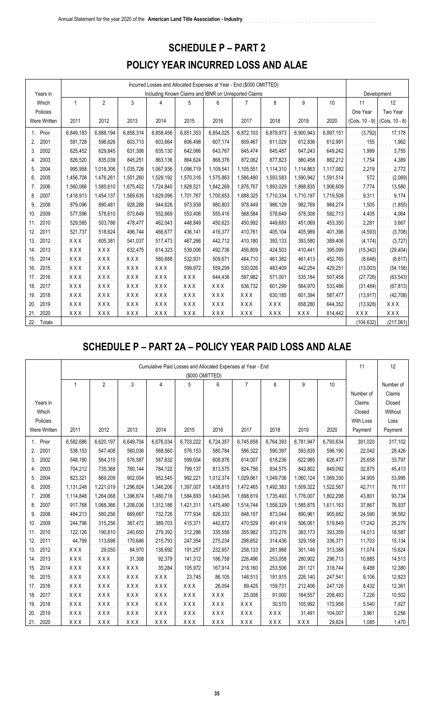### **SCHEDULE P – PART 2**

### **POLICY YEAR INCURRED LOSS AND ALAE**

| Years in      |            |                |            |            | Including Known Claims and IBNR on Unreported Claims |            |            |            |           |           |                  | Development    |
|---------------|------------|----------------|------------|------------|------------------------------------------------------|------------|------------|------------|-----------|-----------|------------------|----------------|
| Which         | 1          | $\overline{2}$ | 3          | 4          | 5                                                    | 6          |            | 8          | 9         | 10        | 11               | 12             |
| Policies      |            |                |            |            |                                                      |            |            |            |           |           | One Year         | Two Year       |
| Were Written  | 2011       | 2012           | 2013       | 2014       | 2015                                                 | 2016       | 2017       | 2018       | 2019      | 2020      | $(Cols. 10 - 9)$ | (Cols. 10 - 8) |
| Prior<br>1.   | 6,849,183  | 6,888,194      | 6,858,314  | 6,858,456  | 6,851,353                                            | 6,854,025  | 6,872,103  | 6,879,973  | 6,900,943 | 6,897,151 | (3, 792)         | 17,178         |
| 2001<br>2.    | 591,728    | 596,626        | 603,713    | 603,664    | 606,498                                              | 607,174    | 609,467    | 611,029    | 612,836   | 612,991   | 155              | 1,962          |
| 3.<br>2002    | 625,452    | 629,845        | 631,306    | 635,130    | 642,066                                              | 643,767    | 645,474    | 645,487    | 647,243   | 649,242   | 1,999            | 3,755          |
| 2003<br>4.    | 826,520    | 835,039        | 845,251    | 863,136    | 864,624                                              | 868,376    | 872,062    | 877,823    | 880,458   | 882,212   | 1,754            | 4,389          |
| 2004<br>5.    | 995,958    | 1,018,306      | 1,035,726  | 1,067,936  | 1,098,719                                            | 1,109,541  | 1,105,551  | 1,114,310  | 1,114,863 | 1,117,082 | 2,219            | 2,772          |
| 2005<br>6     | 1,456,708  | 1,476,261      | 1,501,260  | 1,529,192  | 1,570,316                                            | 1,575,863  | 1,586,480  | 1,593,583  | 1,590,942 | 1,591,514 | 572              | (2,069)        |
| 2006          | 1,560,066  | 1,585,610      | 1,675,402  | 1,724,840  | 1,828,521                                            | 1,842,269  | 1,876,767  | 1,893,029  | 1,898,835 | 1,906,609 | 7,774            | 13,580         |
| 2007<br>8.    | 1,418,913  | 1,454,137      | 1,569,635  | 1,629,098  | 1,701,767                                            | 1,700,653  | 1,688,325  | 1,710,334  | 1,710,197 | 1,719,508 | 9,311            | 9,174          |
| 2008<br>9     | 879,096    | 890,481        | 928,288    | 944,626    | 973,939                                              | 980,803    | 978,449    | 986,129    | 982,769   | 984,274   | 1,505            | (1, 855)       |
| 2009<br>10.   | 577,596    | 578.610        | 573,649    | 552,669    | 553,406                                              | 555,416    | 568,584    | 578,649    | 578,308   | 582,713   | 4,405            | 4,064          |
| 2010<br>11.   | 529,585    | 503,786        | 478,477    | 462,043    | 448,849                                              | 450,623    | 450,992    | 449,683    | 451,069   | 453,350   | 2,281            | 3,667          |
| 2011<br>12.   | 521,737    | 518,624        | 496,744    | 466,677    | 436,141                                              | 416,377    | 410,761    | 405,104    | 405,989   | 401,396   | (4, 593)         | (3,708)        |
| 2012<br>13.   | XXX        | 605,381        | 541,037    | 517,473    | 467,266                                              | 442,712    | 410,180    | 393,133    | 393,580   | 389,406   | (4, 174)         | (3, 727)       |
| 2013<br>14.   | XXX        | XXX            | 632,475    | 614,323    | 539,006                                              | 492,736    | 456,809    | 424,503    | 410,441   | 395,099   | (15, 342)        | (29, 404)      |
| 2014<br>15.   | XXX        | <b>XXX</b>     | <b>XXX</b> | 580,688    | 532,931                                              | 509,671    | 484,710    | 461,382    | 461,413   | 452,765   | (8,648)          | (8,617)        |
| 2015<br>16.   | XXX        | <b>XXX</b>     | XXX        | XXX        | 599,972                                              | 559,299    | 530,026    | 483,409    | 442,254   | 429,251   | (13,003)         | (54, 158)      |
| 2016<br>17.   | XXX        | XXX            | XXX        | XXX        | <b>XXX</b>                                           | 644,436    | 597,982    | 571,001    | 535,184   | 507,458   | (27, 726)        | (63, 543)      |
| 2017<br>18.   | XXX        | $X$ $X$ $X$    | XXX        | XXX        | XXX                                                  | <b>XXX</b> | 636,732    | 601,299    | 564,970   | 533,486   | (31, 484)        | (67, 813)      |
| 2018<br>19.   | XXX        | <b>XXX</b>     | XXX        | XXX        | XXX                                                  | <b>XXX</b> | XXX        | 630,185    | 601,394   | 587,477   | (13, 917)        | (42, 708)      |
| 2019<br>20.   | <b>XXX</b> | XXX            | XXX        | <b>XXX</b> | <b>XXX</b>                                           | <b>XXX</b> | XXX        | XXX        | 658,280   | 644,352   | (13, 928)        | XXX            |
| 21.<br>2020   | <b>XXX</b> | XXX            | XXX        | <b>XXX</b> | <b>XXX</b>                                           | <b>XXX</b> | <b>XXX</b> | <b>XXX</b> | XXX       | 814,442   | XXX              | <b>XXX</b>     |
| 22.<br>Totals |            |                |            |            |                                                      |            |            |            |           |           | (104, 632)       | (217,061)      |

## **SCHEDULE P – PART 2A – POLICY YEAR PAID LOSS AND ALAE**

|                        |            |                |            |            |            | Cumulative Paid Losses and Allocated Expenses at Year - End |                |            |           |           | 11        | 12        |
|------------------------|------------|----------------|------------|------------|------------|-------------------------------------------------------------|----------------|------------|-----------|-----------|-----------|-----------|
|                        |            |                |            |            |            | (\$000 OMITTED)                                             |                |            |           |           |           |           |
|                        | 1          | $\overline{2}$ | 3          | 4          | 5          | 6                                                           | $\overline{7}$ | 8          | 9         | $10$      |           | Number of |
|                        |            |                |            |            |            |                                                             |                |            |           |           | Number of | Claims    |
| Years in               |            |                |            |            |            |                                                             |                |            |           |           | Claims    | Closed    |
| Which                  |            |                |            |            |            |                                                             |                |            |           |           | Closed    | Without   |
| Policies               |            |                |            |            |            |                                                             |                |            |           |           | With Loss | Loss      |
| Were Written           | 2011       | 2012           | 2013       | 2014       | 2015       | 2016                                                        | 2017           | 2018       | 2019      | 2020      | Payment   | Payment   |
| Prior<br>1.            | 6,582,686  | 6,620,197      | 6,649,704  | 6,676,034  | 6,703,222  | 6,724,357                                                   | 6,745,658      | 6,764,393  | 6,781,947 | 6,793,634 | 391,020   | 317,102   |
| 2001<br>2.             | 538,153    | 547,408        | 560,036    | 568,560    | 576,153    | 580,784                                                     | 586,322        | 590,397    | 593,835   | 596,190   | 22,042    | 28,426    |
| 3.<br>2002             | 548,190    | 564,315        | 576,587    | 587,632    | 599,004    | 608,876                                                     | 614,007        | 618,236    | 622,985   | 626,477   | 25,658    | 33,797    |
| 2003<br>$\overline{4}$ | 704,212    | 735,368        | 760,144    | 784,122    | 799,137    | 813,575                                                     | 824,756        | 834,575    | 842,802   | 849,092   | 32,875    | 45,413    |
| 2004<br>5.             | 823,321    | 869,209        | 902,004    | 952,545    | 992,221    | 1,012,374                                                   | 1,029,661      | 1,049,736  | 1,060,124 | 1,069,330 | 34,905    | 53,995    |
| 6.<br>2005             | 1,131,248  | 1,221,019      | 1,296,824  | 1,346,206  | 1,397,007  | 1,438,815                                                   | 1,472,465      | 1,492,383  | 1,509,322 | 1,522,567 | 42,711    | 78,117    |
| 2006<br>7.             | 1,114,848  | 1,264,068      | 1,396,674  | 1,480,716  | 1,584,693  | 1,643,045                                                   | 1,698,619      | 1,735,493  | 1,776,007 | 1,802,298 | 43,801    | 93,734    |
| 2007<br>8.             | 917,768    | 1,068,366      | 1,208,036  | 1,312,186  | 1,421,311  | 1,475,490                                                   | 1,514,744      | 1,558,329  | 1,585,875 | 1,611,163 | 37,867    | 76,937    |
| 2008<br>9              | 484,213    | 580,256        | 669,667    | 732,726    | 777,934    | 826,333                                                     | 848,157        | 873,044    | 890,961   | 905,682   | 24,590    | 38,562    |
| 2009<br>10.            | 244,796    | 315,256        | 367,472    | 389,703    | 415,371    | 442,872                                                     | 470,529        | 491,419    | 506,061   | 519,849   | 17,242    | 25,279    |
| 2010<br>11.            | 122,126    | 190,810        | 240,650    | 279,392    | 312,286    | 335,556                                                     | 355,982        | 372,278    | 383,173   | 393,359   | 14,013    | 18,587    |
| 2011<br>12.            | 44,799     | 113,698        | 170,646    | 215,793    | 247,354    | 275,234                                                     | 298,652        | 314,436    | 329,158   | 336,371   | 11,703    | 15,134    |
| 2012<br>13.            | XXX        | 29,050         | 84,970     | 138,692    | 191,257    | 232,657                                                     | 258,133        | 281,988    | 301,146   | 313,388   | 11,074    | 15,624    |
| 2013<br>14.            | <b>XXX</b> | <b>XXX</b>     | 31,308     | 92,379     | 141,312    | 186,758                                                     | 226,496        | 253,058    | 280,902   | 296,713   | 10,885    | 14,513    |
| 2014<br>15.            | <b>XXX</b> | XXX            | XXX        | 35,284     | 105,972    | 167,914                                                     | 218,160        | 253,506    | 291,121   | 318,744   | 9,488     | 12,380    |
| 2015<br>16.            | <b>XXX</b> | <b>XXX</b>     | <b>XXX</b> | XXX        | 23,745     | 86,105                                                      | 148,513        | 191,915    | 226,140   | 247,541   | 9,106     | 12,823    |
| 2016<br>17.            | <b>XXX</b> | <b>XXX</b>     | XXX        | <b>XXX</b> | XXX        | 26,054                                                      | 89,425         | 159,731    | 212,406   | 247,126   | 8,432     | 12,361    |
| 2017<br>18.            | <b>XXX</b> | <b>XXX</b>     | <b>XXX</b> | <b>XXX</b> | <b>XXX</b> | <b>XXX</b>                                                  | 25,008         | 91,000     | 164,557   | 208,483   | 7,226     | 10,502    |
| 2018<br>19.            | <b>XXX</b> | XXX            | <b>XXX</b> | <b>XXX</b> | <b>XXX</b> | <b>XXX</b>                                                  | <b>XXX</b>     | 30,570     | 105,992   | 172,958   | 5,540     | 7,927     |
| 2019<br>20.            | XXX        | <b>XXX</b>     | XXX        | XXX        | <b>XXX</b> | <b>XXX</b>                                                  | <b>XXX</b>     | XXX        | 31,491    | 104,007   | 3,961     | 5,256     |
| 2020<br>21.            | <b>XXX</b> | XXX            | XXX        | XXX        | XXX        | <b>XXX</b>                                                  | <b>XXX</b>     | <b>XXX</b> | XXX       | 29,824    | 1,085     | 1,470     |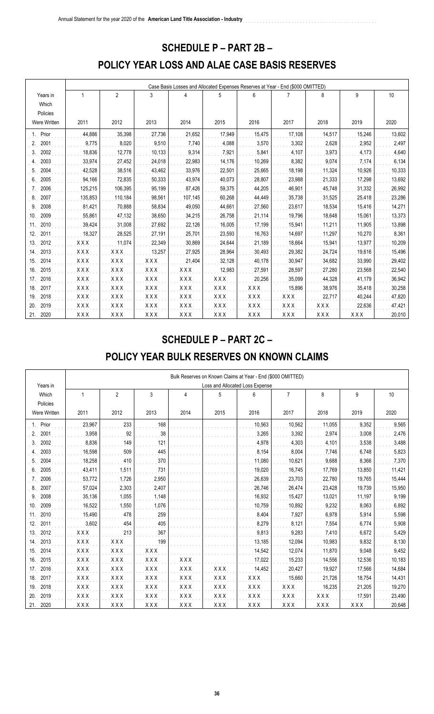#### **SCHEDULE P – PART 2B –**

### **POLICY YEAR LOSS AND ALAE CASE BASIS RESERVES**

|                     |            | Case Basis Losses and Allocated Expenses Reserves at Year - End (\$000 OMITTED) |            |                                        |            |            |            |            |            |        |  |  |  |
|---------------------|------------|---------------------------------------------------------------------------------|------------|----------------------------------------|------------|------------|------------|------------|------------|--------|--|--|--|
| Years in            | 1          | $\overline{2}$                                                                  | 3          | 4                                      | 5          | 6          | 7          | 8          | 9          | 10     |  |  |  |
| Which               |            |                                                                                 |            |                                        |            |            |            |            |            |        |  |  |  |
| Policies            |            |                                                                                 |            |                                        |            |            |            |            |            |        |  |  |  |
| <b>Were Written</b> | 2011       | 2012                                                                            | 2013       | 2014                                   | 2015       | 2016       | 2017       | 2018       | 2019       | 2020   |  |  |  |
| Prior               | 44,886     | 35,398                                                                          | 27,736     | 21,652                                 | 17,949     | 15,475     | 17,108     | 14,517     | 15,246     | 13,602 |  |  |  |
| 2001                | 9,775      | 8,020                                                                           | 9,510      | 7,740                                  | 4,088      | 3,570      | 3,302      | 2,628      | 2,952      | 2,497  |  |  |  |
| 2002<br>3.          | 18,836     | 12,778                                                                          | 10,133     | 9,314                                  | 7,921      | 5,841      | 4,107      | 3,973      | 4,173      | 4,640  |  |  |  |
| 2003                | 33,974     | 27,452                                                                          | 24,018     | 22,983                                 | 14,176     | 10,269     | 8,382      | 9,074      | 7,174      | 6,134  |  |  |  |
| 2004<br>5.          | 42,528     | 38,516                                                                          | 43,462     | 33,976                                 | 22,501     | 25,665     | 18,198     | 11,324     | 10,926     | 10,333 |  |  |  |
| 2005<br>6.          | 94,166     | 72,835                                                                          | 50,333     | 43,974                                 | 40,073     | 28,807     | 23,988     | 21,333     | 17,298     | 13,692 |  |  |  |
| 2006                | 125,215    | 106,395                                                                         | 95,199     | 87,426                                 | 59,375     | 44,205     | 46,901     | 45,748     | 31,332     | 26,992 |  |  |  |
| 2007<br>8.          | 135,853    | 110,184                                                                         | 98,561     | 107,145                                | 60,268     | 44,449     | 35,738     | 31,525     | 25,418     | 23,286 |  |  |  |
| 2008<br>9.          | 81,421     | 70,888                                                                          | 58,834     | 49,050                                 | 44,661     | 27,560     | 23,617     | 18,534     | 15,416     | 14,271 |  |  |  |
| 2009<br>10.         | 55,861     | 47,132                                                                          | 38,650     | 34,215                                 | 26,758     | 21,114     | 19,796     | 18,648     | 15,061     | 13,373 |  |  |  |
| 2010<br>11.         | 39,424     | 31,008                                                                          | 27,692     | 22,126                                 | 16,005     | 17,199     | 15,941     | 11,211     | 11,905     | 13,898 |  |  |  |
| 12.<br>2011         | 18,327     | 28,525                                                                          | 27,191     | 25,701                                 | 23,593     | 16,763     | 14,697     | 11,297     | 10,270     | 8,361  |  |  |  |
| 2012<br>13.         | XXX        | 11,074                                                                          | 22,349     | 30,869                                 | 24,644     | 21,189     | 18,664     | 15,941     | 13,977     | 10,209 |  |  |  |
| 2013<br>14.         | <b>XXX</b> | XXX                                                                             | 13,257     | 27,925                                 | 28,964     | 30,493     | 29,382     | 24,724     | 19,616     | 15,496 |  |  |  |
| 2014<br>15.         | XXX        | XXX                                                                             | XXX        | 21,404                                 | 32,128     | 40,178     | 30,947     | 34,682     | 33,990     | 29,402 |  |  |  |
| 2015<br>16.         | <b>XXX</b> | XXX                                                                             | <b>XXX</b> | XXX                                    | 12,983     | 27,591     | 28,597     | 27,280     | 23,568     | 22,540 |  |  |  |
| 2016<br>17.         | <b>XXX</b> | <b>XXX</b>                                                                      | <b>XXX</b> | <b>XXX</b>                             | <b>XXX</b> | 20,256     | 35,099     | 44,328     | 41,179     | 36,942 |  |  |  |
| 2017<br>18.         | <b>XXX</b> | <b>XXX</b>                                                                      | <b>XXX</b> | <b>XXX</b>                             | <b>XXX</b> | XXX        | 15,896     | 38,976     | 35,418     | 30,258 |  |  |  |
| 2018<br>19.         | XXX        | XXX                                                                             | <b>XXX</b> | $\mathsf{X}\, \mathsf{X}\, \mathsf{X}$ | <b>XXX</b> | XXX        | XXX        | 22,717     | 40,244     | 47,820 |  |  |  |
| 2019<br>20.         | XXX        | XXX                                                                             | <b>XXX</b> | XXX                                    | <b>XXX</b> | <b>XXX</b> | <b>XXX</b> | XXX        | 22,636     | 47,421 |  |  |  |
| 2020<br>21.         | XXX        | <b>XXX</b>                                                                      | <b>XXX</b> | <b>XXX</b>                             | <b>XXX</b> | <b>XXX</b> | <b>XXX</b> | <b>XXX</b> | <b>XXX</b> | 20,010 |  |  |  |

#### **SCHEDULE P – PART 2C –**

## **POLICY YEAR BULK RESERVES ON KNOWN CLAIMS**

|              | Bulk Reserves on Known Claims at Year - End (\$000 OMITTED) |                |            |            |            |                                 |                |        |        |        |  |  |  |
|--------------|-------------------------------------------------------------|----------------|------------|------------|------------|---------------------------------|----------------|--------|--------|--------|--|--|--|
| Years in     |                                                             |                |            |            |            | Loss and Allocated Loss Expense |                |        |        |        |  |  |  |
| Which        |                                                             | $\overline{2}$ | 3          | 4          | 5          | 6                               | $\overline{7}$ | 8      | 9      | 10     |  |  |  |
| Policies     |                                                             |                |            |            |            |                                 |                |        |        |        |  |  |  |
| Were Written | 2011                                                        | 2012           | 2013       | 2014       | 2015       | 2016                            | 2017           | 2018   | 2019   | 2020   |  |  |  |
| Prior        | 23,967                                                      | 233            | 168        |            |            | 10,563                          | 10,562         | 11,055 | 9,352  | 9,565  |  |  |  |
| 2001<br>2.   | 3,958                                                       | 92             | 38         |            |            | 3,265                           | 3,392          | 2,974  | 3,008  | 2,476  |  |  |  |
| 2002<br>3.   | 8,836                                                       | 149            | 121        |            |            | 4,978                           | 4,303          | 4,101  | 3,538  | 3,488  |  |  |  |
| 2003         | 16,598                                                      | 509            | 445        |            |            | 8,154                           | 8,004          | 7,746  | 6,748  | 5,823  |  |  |  |
| 2004<br>5.   | 18,258                                                      | 410            | 370        |            |            | 11,080                          | 10,621         | 9,688  | 8,366  | 7,370  |  |  |  |
| 2005<br>6.   | 43,411                                                      | 1,511          | 731        |            |            | 19,020                          | 16,745         | 17,769 | 13,850 | 11,421 |  |  |  |
| 2006         | 53,772                                                      | 1,726          | 2,950      |            |            | 26,639                          | 23,703         | 22,780 | 19,765 | 15,444 |  |  |  |
| 2007<br>8.   | 57,024                                                      | 2,303          | 2,407      |            |            | 26,746                          | 26,474         | 23,428 | 19,739 | 15,950 |  |  |  |
| 2008<br>9.   | 35,136                                                      | 1,055          | 1,148      |            |            | 16,932                          | 15,427         | 13,021 | 11,197 | 9,199  |  |  |  |
| 2009<br>10.  | 16,522                                                      | 1,550          | 1,076      |            |            | 10,759                          | 10,892         | 9,232  | 8,063  | 6,892  |  |  |  |
| 2010<br>11.  | 15,490                                                      | 478            | 259        |            |            | 8,404                           | 7,927          | 6,978  | 5,914  | 5,598  |  |  |  |
| 2011<br>12.  | 3,602                                                       | 454            | 405        |            |            | 8,279                           | 8,121          | 7,554  | 6,774  | 5,908  |  |  |  |
| 2012<br>13.  | XXX                                                         | 213            | 367        |            |            | 9,813                           | 9,283          | 7,410  | 6,672  | 5,429  |  |  |  |
| 2013<br>14.  | XXX                                                         | XXX            | 199        |            |            | 13,185                          | 12,094         | 10,983 | 9,832  | 8,130  |  |  |  |
| 2014<br>15.  | XXX                                                         | XXX            | <b>XXX</b> |            |            | 14,542                          | 12,074         | 11,870 | 9,048  | 9,452  |  |  |  |
| 16.<br>2015  | <b>XXX</b>                                                  | XXX            | <b>XXX</b> | XXX        |            | 17,022                          | 15,233         | 14,556 | 12,536 | 10,183 |  |  |  |
| 2016<br>17.  | XXX                                                         | XXX            | <b>XXX</b> | <b>XXX</b> | <b>XXX</b> | 14,452                          | 20,427         | 19,927 | 17,566 | 14,684 |  |  |  |
| 2017<br>18.  | XXX                                                         | XXX            | <b>XXX</b> | <b>XXX</b> | <b>XXX</b> | XXX                             | 15,660         | 21,726 | 18,754 | 14,431 |  |  |  |
| 2018<br>19.  | XXX                                                         | XXX            | XXX        | XXX        | <b>XXX</b> | <b>XXX</b>                      | XXX            | 16,235 | 21,205 | 19,270 |  |  |  |
| 2019<br>20.  | XXX                                                         | <b>XXX</b>     | <b>XXX</b> | <b>XXX</b> | <b>XXX</b> | XXX                             | <b>XXX</b>     | XXX    | 17,591 | 23,490 |  |  |  |
| 21.<br>2020  | XXX                                                         | XXX            | <b>XXX</b> | <b>XXX</b> | <b>XXX</b> | XXX                             | <b>XXX</b>     | XXX    | XXX    | 20,648 |  |  |  |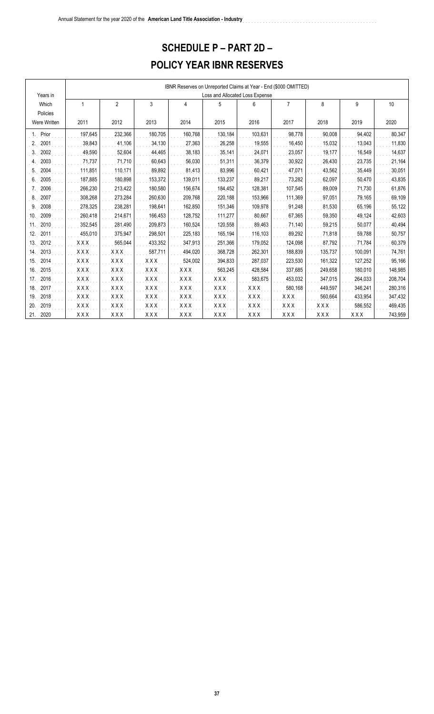### **SCHEDULE P – PART 2D –**

### **POLICY YEAR IBNR RESERVES**

|              |            | IBNR Reserves on Unreported Claims at Year - End (\$000 OMITTED)<br>Loss and Allocated Loss Expense |            |            |            |            |                |            |            |         |  |  |  |  |
|--------------|------------|-----------------------------------------------------------------------------------------------------|------------|------------|------------|------------|----------------|------------|------------|---------|--|--|--|--|
| Years in     |            |                                                                                                     |            |            |            |            |                |            |            |         |  |  |  |  |
| Which        | 1          | $\overline{2}$                                                                                      | 3          | 4          | 5          | 6          | $\overline{7}$ | 8          | 9          | 10      |  |  |  |  |
| Policies     |            |                                                                                                     |            |            |            |            |                |            |            |         |  |  |  |  |
| Were Written | 2011       | 2012                                                                                                | 2013       | 2014       | 2015       | 2016       | 2017           | 2018       | 2019       | 2020    |  |  |  |  |
| Prior        | 197,645    | 232,366                                                                                             | 180,705    | 160,768    | 130,184    | 103,631    | 98,778         | 90,008     | 94,402     | 80,347  |  |  |  |  |
| 2001<br>2.   | 39,843     | 41,106                                                                                              | 34,130     | 27,363     | 26,258     | 19,555     | 16,450         | 15,032     | 13,043     | 11,830  |  |  |  |  |
| 2002<br>3.   | 49,590     | 52,604                                                                                              | 44,465     | 38,183     | 35,141     | 24,071     | 23,057         | 19,177     | 16,549     | 14,637  |  |  |  |  |
| 2003<br>4.   | 71,737     | 71,710                                                                                              | 60,643     | 56,030     | 51,311     | 36,379     | 30,922         | 26,430     | 23,735     | 21,164  |  |  |  |  |
| 2004<br>5.   | 111,851    | 110,171                                                                                             | 89,892     | 81,413     | 83,996     | 60,421     | 47,071         | 43,562     | 35,449     | 30,051  |  |  |  |  |
| 2005<br>6.   | 187,885    | 180,898                                                                                             | 153,372    | 139,011    | 133,237    | 89,217     | 73,282         | 62,097     | 50,470     | 43,835  |  |  |  |  |
| 2006         | 266,230    | 213,422                                                                                             | 180,580    | 156,674    | 184,452    | 128,381    | 107,545        | 89,009     | 71,730     | 61,876  |  |  |  |  |
| 2007<br>8.   | 308,268    | 273,284                                                                                             | 260,630    | 209,768    | 220,188    | 153,966    | 111,369        | 97,051     | 79,165     | 69,109  |  |  |  |  |
| 2008<br>9.   | 278,325    | 238,281                                                                                             | 198,641    | 162,850    | 151,346    | 109,978    | 91,248         | 81,530     | 65,196     | 55,122  |  |  |  |  |
| 2009<br>10.  | 260,418    | 214,671                                                                                             | 166,453    | 128,752    | 111,277    | 80,667     | 67,365         | 59,350     | 49,124     | 42,603  |  |  |  |  |
| 2010<br>11.  | 352,545    | 281,490                                                                                             | 209,873    | 160,524    | 120,558    | 89,463     | 71,140         | 59,215     | 50,077     | 40,494  |  |  |  |  |
| 12.<br>2011  | 455,010    | 375,947                                                                                             | 298.501    | 225,183    | 165,194    | 116,103    | 89,292         | 71,818     | 59.788     | 50,757  |  |  |  |  |
| 13.<br>2012  | <b>XXX</b> | 565,044                                                                                             | 433,352    | 347,913    | 251,366    | 179,052    | 124,098        | 87,792     | 71,784     | 60,379  |  |  |  |  |
| 2013<br>14.  | XXX        | <b>XXX</b>                                                                                          | 587,711    | 494,020    | 368,728    | 262,301    | 188,839        | 135,737    | 100,091    | 74,761  |  |  |  |  |
| 2014<br>15.  | <b>XXX</b> | <b>XXX</b>                                                                                          | <b>XXX</b> | 524,002    | 394,833    | 287,037    | 223,530        | 161,322    | 127,252    | 95,166  |  |  |  |  |
| 2015<br>16.  | <b>XXX</b> | <b>XXX</b>                                                                                          | <b>XXX</b> | <b>XXX</b> | 563,245    | 428,584    | 337,685        | 249,658    | 180,010    | 148,985 |  |  |  |  |
| 2016<br>17.  | <b>XXX</b> | <b>XXX</b>                                                                                          | <b>XXX</b> | <b>XXX</b> | <b>XXX</b> | 583,675    | 453,032        | 347,015    | 264,033    | 208,704 |  |  |  |  |
| 18.<br>2017  | <b>XXX</b> | <b>XXX</b>                                                                                          | <b>XXX</b> | <b>XXX</b> | <b>XXX</b> | <b>XXX</b> | 580,168        | 449,597    | 346,241    | 280,316 |  |  |  |  |
| 19.<br>2018  | <b>XXX</b> | <b>XXX</b>                                                                                          | <b>XXX</b> | <b>XXX</b> | <b>XXX</b> | <b>XXX</b> | XXX            | 560,664    | 433,954    | 347,432 |  |  |  |  |
| 2019<br>20.  | XXX        | <b>XXX</b>                                                                                          | <b>XXX</b> | <b>XXX</b> | <b>XXX</b> | <b>XXX</b> | <b>XXX</b>     | XXX        | 586,552    | 469,435 |  |  |  |  |
| 21.<br>2020  | XXX        | <b>XXX</b>                                                                                          | <b>XXX</b> | <b>XXX</b> | <b>XXX</b> | <b>XXX</b> | <b>XXX</b>     | <b>XXX</b> | <b>XXX</b> | 743,959 |  |  |  |  |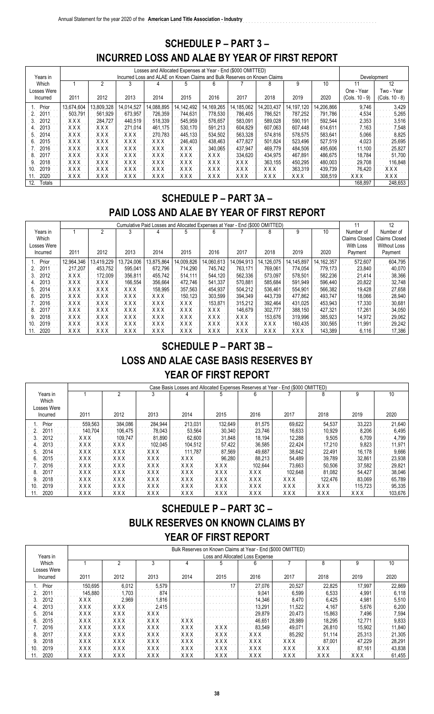#### **SCHEDULE P – PART 3 – INCURRED LOSS AND ALAE BY YEAR OF FIRST REPORT**

|               |            |            |            | Losses and Allocated Expenses at Year - End (\$000 OMITTED) |                                                                          |              |            |            |            |            |                  |                |
|---------------|------------|------------|------------|-------------------------------------------------------------|--------------------------------------------------------------------------|--------------|------------|------------|------------|------------|------------------|----------------|
| Years in      |            |            |            |                                                             | Incurred Loss and ALAE on Known Claims and Bulk Reserves on Known Claims |              |            |            |            |            |                  | Development    |
|               |            |            |            |                                                             |                                                                          |              |            |            |            |            |                  |                |
| Which         |            |            | 3          |                                                             | 5                                                                        | 6            |            | 8          | g          | 10         |                  | 12             |
| Losses Were   |            |            |            |                                                             |                                                                          |              |            |            |            |            | One - Year       | Two - Year     |
| Incurred      | 2011       | 2012       | 2013       | 2014                                                        | 2015                                                                     | 2016         | 2017       | 2018       | 2019       | 2020       | $(Cols. 10 - 9)$ | (Cols. 10 - 8) |
| Prior         | 13,674,604 | 13,809,328 | 14,014,527 | 14,088,895                                                  | 14,142,492                                                               | 14, 169, 265 | 14,185,062 | 14,203,437 | 14,197,120 | 14,206,866 | 9.746            | 3,429          |
| 2011          | 503.791    | 561,929    | 673.957    | 726,359                                                     | 744.631                                                                  | 778.530      | 786.405    | 786,521    | 787,252    | 791,786    | 4,534            | 5,265          |
| 2012          | xxx        | 284.727    | 440.519    | 518,339                                                     | 545,959                                                                  | 576.657      | 583.091    | 589,028    | 590.191    | 592,544    | 2,353            | 3,516          |
| 2013<br>4.    | xxx        | <b>XXX</b> | 271.014    | 461.175                                                     | 530.170                                                                  | 591,213      | 604.829    | 607.063    | 607.448    | 614,611    | 7.163            | 7,548          |
| 2014<br>5     | <b>XXX</b> | <b>XXX</b> | <b>XXX</b> | 270.783                                                     | 445.133                                                                  | 534,502      | 563,328    | 574,816    | 578,575    | 583,641    | 5,066            | 8,825          |
| 2015<br>6     | <b>XXX</b> | XXX        | <b>XXX</b> | <b>XXX</b>                                                  | 246.403                                                                  | 438.463      | 477.827    | 501.824    | 523,496    | 527,519    | 4,023            | 25,695         |
| 2016          | <b>XXX</b> | XXX        | <b>XXX</b> | <b>XXX</b>                                                  | <b>XXX</b>                                                               | 340,065      | 437.947    | 469,779    | 484,506    | 495,606    | 11.100           | 25,827         |
| 2017<br>8     | <b>XXX</b> | <b>XXX</b> | <b>XXX</b> | <b>XXX</b>                                                  | <b>XXX</b>                                                               | xxx          | 334.620    | 434.975    | 467.891    | 486.675    | 18.784           | 51,700         |
| 2018<br>9     | <b>XXX</b> | <b>XXX</b> | <b>XXX</b> | <b>XXX</b>                                                  | <b>XXX</b>                                                               | <b>XXX</b>   | <b>XXX</b> | 363.155    | 450.295    | 480.003    | 29.708           | 116.848        |
| 2019<br>10    | <b>XXX</b> | <b>XXX</b> | <b>XXX</b> | <b>XXX</b>                                                  | <b>XXX</b>                                                               | <b>XXX</b>   | <b>XXX</b> | <b>XXX</b> | 363,319    | 439.739    | 76.420           | <b>XXX</b>     |
| 2020<br>11    | <b>XXX</b> | <b>XXX</b> | <b>XXX</b> | <b>XXX</b>                                                  | <b>XXX</b>                                                               | XXX          | XXX        | <b>XXX</b> | <b>XXX</b> | 308,519    | <b>XXX</b>       | <b>XXX</b>     |
| 12.<br>Totals |            |            |            |                                                             |                                                                          |              |            |            |            |            | 168,897          | 248,653        |

#### **SCHEDULE P – PART 3A –**

#### **PAID LOSS AND ALAE BY YEAR OF FIRST REPORT**

|             |            |            |            |            | Cumulative Paid Losses and Allocated Expenses at Year - End (\$000 OMITTED) |            |            |            |            |              | 11            | 12                  |
|-------------|------------|------------|------------|------------|-----------------------------------------------------------------------------|------------|------------|------------|------------|--------------|---------------|---------------------|
| Years in    |            |            |            |            |                                                                             | հ          |            | 8          |            | 10           | Number of     | Number of           |
| Which       |            |            |            |            |                                                                             |            |            |            |            |              | Claims Closed | Claims Closed       |
| Losses Were |            |            |            |            |                                                                             |            |            |            |            |              | With Loss     | <b>Without Loss</b> |
| Incurred    | 2011       | 2012       | 2013       | 2014       | 2015                                                                        | 2016       | 2017       | 2018       | 2019       | 2020         | Payment       | Payment             |
| Prior       | 12.964.346 | 13,419,229 | 13,724,006 | 13.875.864 | 14,009,826                                                                  | 14,060,613 | 14,094,913 | 14,126,075 | 14,145,897 | 14, 162, 357 | 572,607       | 604,795             |
| 2011        | 217.207    | 453.752    | 595.041    | 672.796    | 714.290                                                                     | 745.742    | 763.171    | 769.061    | 774.054    | 779.173      | 23.840        | 40.070              |
| 2012        | <b>XXX</b> | 172.009    | 356.811    | 455.742    | 514.111                                                                     | 544,120    | 562,336    | 573.097    | 578,501    | 582,236      | 21,414        | 38,366              |
| 2013        | XXX        | XXX        | 166.554    | 356.664    | 472.746                                                                     | 541.337    | 570.881    | 585.684    | 591.949    | 596.440      | 20.822        | 32.748              |
| 2014        | <b>XXX</b> | xxx        | xxx        | 158.995    | 357.563                                                                     | 454.937    | 504.212    | 536,461    | 554.901    | 566.382      | 19,428        | 27,658              |
| 2015<br>b.  | <b>XXX</b> | <b>XXX</b> | <b>XXX</b> | <b>XXX</b> | 150.123                                                                     | 303,599    | 394,349    | 443.739    | 477.862    | 493.747      | 18.066        | 28,940              |
| 2016        | XXX        | XXX        | XXX        | XXX        | XXX                                                                         | 153.871    | 315.212    | 392.464    | 431.025    | 453.943      | 17.330        | 30,681              |
| 2017        | <b>XXX</b> | <b>XXX</b> | <b>XXX</b> | <b>XXX</b> | <b>XXX</b>                                                                  | <b>XXX</b> | 146.679    | 302.777    | 388,150    | 427.321      | 17.261        | 34,050              |
| 2018        | XXX        | XXX        | XXX        | XXX        | <b>XXX</b>                                                                  | XXX        | XXX        | 153.676    | 319.996    | 385,923      | 14.972        | 29,062              |
| 2019<br>10  | <b>XXX</b> | <b>XXX</b> | <b>XXX</b> | <b>XXX</b> | <b>XXX</b>                                                                  | <b>XXX</b> | <b>XXX</b> | XXX        | 160.435    | 300,565      | 11.991        | 29,242              |
| 2020<br>11. | XXX        | XXX        | <b>XXX</b> | XXX        | <b>XXX</b>                                                                  | <b>XXX</b> | <b>XXX</b> | <b>XXX</b> | <b>XXX</b> | 143.389      | 6.116         | 17,386              |

#### **SCHEDULE P – PART 3B –**

#### **LOSS AND ALAE CASE BASIS RESERVES BY**

#### **YEAR OF FIRST REPORT**

|             |            |            |            |            |            |            | Case Basis Losses and Allocated Expenses Reserves at Year - End (\$000 OMITTED) |            |            |         |
|-------------|------------|------------|------------|------------|------------|------------|---------------------------------------------------------------------------------|------------|------------|---------|
| Years in    |            | 2          |            |            | 5          |            |                                                                                 | 8          |            | 10      |
| Which       |            |            |            |            |            |            |                                                                                 |            |            |         |
| Losses Were |            |            |            |            |            |            |                                                                                 |            |            |         |
| Incurred    | 2011       | 2012       | 2013       | 2014       | 2015       | 2016       | 2017                                                                            | 2018       | 2019       | 2020    |
| Prior       | 559,563    | 384.086    | 284.944    | 213.031    | 132.649    | 81.575     | 69,622                                                                          | 54,537     | 33,223     | 21,640  |
| 201'        | 140.704    | 106.475    | 78,043     | 53,564     | 30.340     | 23.746     | 16,633                                                                          | 10,929     | 8,206      | 6,495   |
| 2012        | XXX        | 109.747    | 81.890     | 62.600     | 31.848     | 18.194     | 12.288                                                                          | 9,505      | 6.709      | 4,799   |
| 2013        | <b>XXX</b> | <b>XXX</b> | 102.045    | 104.512    | 57.422     | 36,585     | 22.424                                                                          | 17.210     | 9.823      | 11,971  |
| 2014        | <b>XXX</b> | <b>XXX</b> | XXX        | 111.787    | 87.569     | 49,687     | 38,642                                                                          | 22,491     | 16,178     | 9,666   |
| 2015        | <b>XXX</b> | <b>XXX</b> | <b>XXX</b> | <b>XXX</b> | 96.280     | 88,213     | 54,489                                                                          | 39,789     | 32,861     | 23,938  |
| 2016        | <b>XXX</b> | <b>XXX</b> | <b>XXX</b> | <b>XXX</b> | <b>XXX</b> | 102.644    | 73.663                                                                          | 50,506     | 37,582     | 29,821  |
| 2017        | <b>XXX</b> | <b>XXX</b> | <b>XXX</b> | <b>XXX</b> | <b>XXX</b> | <b>XXX</b> | 102.648                                                                         | 81.082     | 54.427     | 38,046  |
| 2018        | XXX        | <b>XXX</b> | <b>XXX</b> | <b>XXX</b> | <b>XXX</b> | <b>XXX</b> | <b>XXX</b>                                                                      | 122.476    | 83.069     | 65,789  |
| 2019<br>10. | <b>XXX</b> | <b>XXX</b> | <b>XXX</b> | <b>XXX</b> | <b>XXX</b> | <b>XXX</b> | <b>XXX</b>                                                                      | <b>XXX</b> | 115.723    | 95,335  |
| 2020        | <b>XXX</b> | XXX        | <b>XXX</b> | <b>XXX</b> | <b>XXX</b> | XXX        | <b>XXX</b>                                                                      | <b>XXX</b> | <b>XXX</b> | 103,676 |

## **SCHEDULE P – PART 3C – BULK RESERVES ON KNOWN CLAIMS BY YEAR OF FIRST REPORT**

|             |            |            |            |            | Bulk Reserves on Known Claims at Year - End (\$000 OMITTED) |            |            |            |        |        |
|-------------|------------|------------|------------|------------|-------------------------------------------------------------|------------|------------|------------|--------|--------|
| Years in    |            |            |            |            | Loss and Allocated Loss Expense                             |            |            |            |        |        |
| Which       |            |            |            |            |                                                             |            |            | 8          |        | 10     |
| Losses Were |            |            |            |            |                                                             |            |            |            |        |        |
| Incurred    | 2011       | 2012       | 2013       | 2014       | 2015                                                        | 2016       | 2017       | 2018       | 2019   | 2020   |
| Prior       | 150,695    | 6,012      | 5,579      |            | 17                                                          | 27.076     | 20,527     | 22,825     | 17.997 | 22,869 |
| 2011        | 145,880    | .703       | 874        |            |                                                             | 9.041      | 6.599      | 6.533      | 4.991  | 6,118  |
| 2012        | XXX        | 2.969      | 1,816      |            |                                                             | 14.346     | 8.470      | 6.425      | 4.981  | 5,510  |
| 2013        | XXX        | XXX        | 2.415      |            |                                                             | 13.291     | 11.522     | 4.167      | 5.676  | 6,200  |
| 2014        | <b>XXX</b> | <b>XXX</b> | <b>XXX</b> |            |                                                             | 29.879     | 20,473     | 15,863     | 7.496  | 7.594  |
| 2015        | xxx        | <b>XXX</b> | <b>XXX</b> | <b>XXX</b> |                                                             | 46.651     | 28.989     | 18.295     | 12.771 | 9,833  |
| 2016        | <b>XXX</b> | <b>XXX</b> | <b>XXX</b> | <b>XXX</b> | <b>XXX</b>                                                  | 83.549     | 49.071     | 26.810     | 15.902 | 11,840 |
| 2017        | XXX        | XXX        | XXX        | xxx        | <b>XXX</b>                                                  | XXX        | 85.292     | 51.114     | 25,313 | 21,305 |
| 2018        | <b>XXX</b> | <b>XXX</b> | <b>XXX</b> | <b>XXX</b> | <b>XXX</b>                                                  | XXX        | <b>XXX</b> | 87.001     | 47.229 | 28,291 |
| 2019<br>10. | XXX        | <b>XXX</b> | <b>XXX</b> | <b>XXX</b> | <b>XXX</b>                                                  | <b>XXX</b> | <b>XXX</b> | <b>XXX</b> | 87.161 | 43,838 |
| 2020        | XXX        | XXX        | XXX        | <b>XXX</b> | <b>XXX</b>                                                  | XXX        | <b>XXX</b> | <b>XXX</b> | xxx    | 61,455 |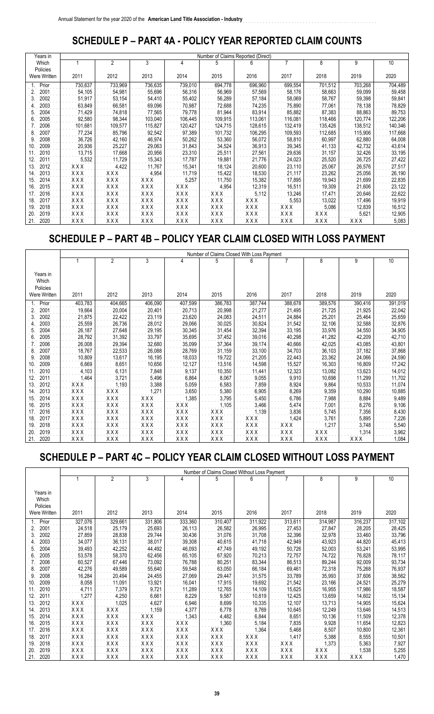### **SCHEDULE P – PART 4A - POLICY YEAR REPORTED CLAIM COUNTS**

|     | Years in     |         |         |         |            | Number of Claims Reported (Direct) |            |         |         |         |         |
|-----|--------------|---------|---------|---------|------------|------------------------------------|------------|---------|---------|---------|---------|
|     | Which        |         | 2       | 3       | 4          | 5                                  | 6          |         | 8       | 9       | 10      |
|     | Policies     |         |         |         |            |                                    |            |         |         |         |         |
|     | Were Written | 2011    | 2012    | 2013    | 2014       | 2015                               | 2016       | 2017    | 2018    | 2019    | 2020    |
|     | Prior        | 730,637 | 733,969 | 736,635 | 739,010    | 694,778                            | 696,960    | 699,554 | 701,512 | 703,268 | 704,489 |
| 2.  | 2001         | 54,105  | 54,981  | 55,696  | 56,316     | 56,969                             | 57,569     | 58,176  | 58,663  | 59,099  | 59,458  |
| 3.  | 2002         | 51,917  | 53,154  | 54,410  | 55,402     | 56,289                             | 57,184     | 58,069  | 58,767  | 59,398  | 59,841  |
| 4.  | 2003         | 63,849  | 66,581  | 69,096  | 70,987     | 72,688                             | 74,235     | 75,890  | 77,061  | 78,138  | 78,829  |
| 5.  | 2004         | 71,429  | 74,818  | 77,565  | 79,778     | 81,944                             | 83,914     | 85,882  | 87,383  | 88,863  | 89,753  |
| 6.  | 2005         | 92,580  | 98,344  | 103,040 | 106,445    | 109,915                            | 113,061    | 116,081 | 118,466 | 120,774 | 122,206 |
|     | 2006         | 101,681 | 109,577 | 115,827 | 120,427    | 124,715                            | 128,615    | 132,419 | 135,426 | 138,512 | 140,346 |
| 8.  | 2007         | 77,234  | 85,796  | 92,542  | 97,389     | 101,732                            | 106,295    | 109,593 | 112,685 | 115,906 | 117,668 |
| 9.  | 2008         | 36,726  | 42,160  | 46,974  | 50,262     | 53,360                             | 56,072     | 58,810  | 60,997  | 62,880  | 64,008  |
| 10. | 2009         | 20,936  | 25,227  | 29,063  | 31,843     | 34,524                             | 36,913     | 39,345  | 41,133  | 42,732  | 43,614  |
| 11. | 2010         | 13,715  | 17,668  | 20,956  | 23,310     | 25,511                             | 27,561     | 29,636  | 31,157  | 32,426  | 33,195  |
| 12. | 2011         | 5,532   | 11,729  | 15,343  | 17,787     | 19,881                             | 21,776     | 24,023  | 25,520  | 26,725  | 27,422  |
| 13. | 2012         | XXX     | 4,422   | 11,767  | 15,341     | 18,124                             | 20,600     | 23,110  | 25,067  | 26,576  | 27,517  |
| 14. | 2013         | XXX     | XXX     | 4,954   | 11,719     | 15,422                             | 18,530     | 21,117  | 23,262  | 25,056  | 26,190  |
| 15. | 2014         | XXX     | XXX     | XXX     | 5,257      | 11,750                             | 15,382     | 17,895  | 19,943  | 21,699  | 22,835  |
| 16. | 2015         | XXX     | XXX     | XXX     | XXX        | 4,954                              | 12,319     | 16,511  | 19,309  | 21,606  | 23,122  |
| 17. | 2016         | XXX     | XXX     | XXX     | XXX        | XXX                                | 5,112      | 13,246  | 17,471  | 20,646  | 22,622  |
| 18. | 2017         | XXX     | XXX     | XXX     | XXX        | XXX                                | XXX        | 5,553   | 13,022  | 17,496  | 19,919  |
| 19. | 2018         | XXX     | XXX     | XXX     | <b>XXX</b> | XXX                                | XXX        | XXX     | 5,086   | 12,839  | 16,512  |
| 20. | 2019         | XXX     | XXX     | XXX     | XXX        | XXX                                | XXX        | XXX     | XXX     | 5,621   | 12,905  |
| 21. | 2020         | XXX     | XXX     | XXX     | XXX        | XXX                                | <b>XXX</b> | XXX     | XXX     | XXX     | 5,083   |

#### **SCHEDULE P – PART 4B – POLICY YEAR CLAIM CLOSED WITH LOSS PAYMENT**

|                        |            |            |            |            | Number of Claims Closed With Loss Payment |            |         |            |            |         |
|------------------------|------------|------------|------------|------------|-------------------------------------------|------------|---------|------------|------------|---------|
|                        | 1          | 2          | 3          | 4          | 5                                         | 6          |         | 8          | 9          | 10      |
|                        |            |            |            |            |                                           |            |         |            |            |         |
| Years in               |            |            |            |            |                                           |            |         |            |            |         |
| Which                  |            |            |            |            |                                           |            |         |            |            |         |
| Policies               |            |            |            |            |                                           |            |         |            |            |         |
| <b>Were Written</b>    | 2011       | 2012       | 2013       | 2014       | 2015                                      | 2016       | 2017    | 2018       | 2019       | 2020    |
| Prior                  | 403,783    | 404,665    | 406,090    | 407,599    | 386,783                                   | 387,744    | 388,678 | 389,576    | 390,416    | 391,019 |
| 2001<br>$\overline{2}$ | 19,664     | 20,004     | 20,401     | 20,713     | 20,998                                    | 21,277     | 21,495  | 21,725     | 21,925     | 22,042  |
| 2002                   | 21,875     | 22,422     | 23,119     | 23,620     | 24,083                                    | 24,511     | 24,884  | 25,201     | 25,464     | 25,659  |
| 2003                   | 25,559     | 26,736     | 28,012     | 29,066     | 30,025                                    | 30,824     | 31,542  | 32,106     | 32,588     | 32,876  |
| 2004<br>5              | 26,187     | 27,648     | 29,195     | 30,345     | 31,454                                    | 32,394     | 33,195  | 33,976     | 34,550     | 34,905  |
| 2005<br>6              | 28,792     | 31,392     | 33,797     | 35,695     | 37,452                                    | 39,016     | 40,298  | 41,282     | 42,209     | 42,710  |
| 2006                   | 26,008     | 29,394     | 32,680     | 35,099     | 37,364                                    | 39,174     | 40,666  | 42,025     | 43,085     | 43,801  |
| 2007<br>8              | 18,767     | 22,533     | 26,088     | 28,769     | 31,159                                    | 33,100     | 34,703  | 36,103     | 37,182     | 37,868  |
| 2008<br>9              | 10,809     | 13,617     | 16,195     | 18,033     | 19,722                                    | 21,205     | 22,443  | 23,362     | 24,066     | 24,590  |
| 2009<br>10.            | 6,669      | 8,651      | 10,656     | 12,127     | 13,516                                    | 14,598     | 15,527  | 16,303     | 16,809     | 17,242  |
| 2010<br>11             | 4,103      | 6,131      | 7,848      | 9,137      | 10,350                                    | 11,441     | 12,323  | 13,082     | 13,623     | 14,012  |
| 12<br>2011             | 1,464      | 3,721      | 5,496      | 6,864      | 8,067                                     | 9,055      | 9,910   | 10,698     | 11,299     | 11,702  |
| 2012<br>13.            | <b>XXX</b> | 1,193      | 3,388      | 5,059      | 6,583                                     | 7,859      | 8,924   | 9,864      | 10,533     | 11,074  |
| 2013<br>14.            | XXX        | XXX        | 1,271      | 3,650      | 5,380                                     | 6,905      | 8,269   | 9,359      | 10,290     | 10,885  |
| 2014<br>15.            | <b>XXX</b> | <b>XXX</b> | XXX        | ,385       | 3,795                                     | 5,450      | 6,786   | 7,988      | 8,884      | 9,489   |
| 2015<br>16.            | <b>XXX</b> | <b>XXX</b> | XXX        | <b>XXX</b> | 1.105                                     | 3,466      | 5,474   | 7,001      | 8,276      | 9,106   |
| 2016<br>17.            | XXX        | XXX        | XXX        | XXX        | XXX                                       | 1,139      | 3,836   | 5,745      | 7,356      | 8,430   |
| 18.<br>2017            | <b>XXX</b> | <b>XXX</b> | <b>XXX</b> | <b>XXX</b> | <b>XXX</b>                                | <b>XXX</b> | 1,424   | 3,761      | 5,895      | 7,226   |
| 2018<br>19.            | <b>XXX</b> | XXX        | XXX        | XXX        | XXX                                       | XXX        | XXX     | 1,217      | 3,748      | 5,540   |
| 20<br>2019             | XXX        | XXX        | XXX        | XXX        | XXX                                       | XXX        | XXX     | XXX        | 1,314      | 3,962   |
| 21.<br>2020            | XXX        | XXX        | XXX        | XXX        | XXX                                       | XXX        | XXX     | <b>XXX</b> | <b>XXX</b> | 1,084   |

## **SCHEDULE P – PART 4C – POLICY YEAR CLAIM CLOSED WITHOUT LOSS PAYMENT**

|              |            |                                          |                                          |            |         | Number of Claims Closed Without Loss Payment |            |         |            |         |
|--------------|------------|------------------------------------------|------------------------------------------|------------|---------|----------------------------------------------|------------|---------|------------|---------|
|              |            | $\overline{2}$                           | 3                                        |            | 5       | 6                                            |            | 8       | 9          | 10      |
|              |            |                                          |                                          |            |         |                                              |            |         |            |         |
| Years in     |            |                                          |                                          |            |         |                                              |            |         |            |         |
| Which        |            |                                          |                                          |            |         |                                              |            |         |            |         |
| Policies     |            |                                          |                                          |            |         |                                              |            |         |            |         |
| Were Written | 2011       | 2012                                     | 2013                                     | 2014       | 2015    | 2016                                         | 2017       | 2018    | 2019       | 2020    |
| Prior        | 327,076    | 329,661                                  | 331,806                                  | 333,360    | 310,407 | 311,922                                      | 313,611    | 314,987 | 316,237    | 317,102 |
| 2001         | 24,518     | 25,179                                   | 25,693                                   | 26,113     | 26,582  | 26,995                                       | 27,453     | 27,847  | 28,205     | 28,425  |
| 2002<br>3.   | 27,859     | 28,838                                   | 29,744                                   | 30,436     | 31,076  | 31,708                                       | 32,396     | 32,978  | 33,460     | 33,796  |
| 2003         | 34,077     | 36,131                                   | 38,017                                   | 39,308     | 40,615  | 41,718                                       | 42,949     | 43,923  | 44,820     | 45,413  |
| 2004<br>5.   | 39,493     | 42,252                                   | 44,492                                   | 46,093     | 47,749  | 49,192                                       | 50,726     | 52,003  | 53,241     | 53,995  |
| 2005<br>6    | 53,578     | 58,370                                   | 62,456                                   | 65,105     | 67,920  | 70,213                                       | 72,757     | 74,722  | 76,828     | 78,117  |
| 2006         | 60,527     | 67,446                                   | 73,092                                   | 76,788     | 80,251  | 83,344                                       | 86,513     | 89,244  | 92,009     | 93,734  |
| 2007<br>8.   | 42,276     | 49,589                                   | 55,640                                   | 59,548     | 63,050  | 66,184                                       | 69,461     | 72,318  | 75,268     | 76,937  |
| 2008<br>9    | 16,284     | 20,494                                   | 24,455                                   | 27,069     | 29,447  | 31,575                                       | 33,789     | 35,993  | 37,606     | 38,562  |
| 2009<br>10.  | 8,058      | 11,091                                   | 13,921                                   | 16,041     | 17,915  | 19,692                                       | 21,542     | 23,166  | 24,521     | 25,279  |
| 11.<br>2010  | 4,711      | 7,379                                    | 9,721                                    | 11,289     | 12,765  | 14,109                                       | 15,625     | 16,955  | 17,986     | 18,587  |
| 12<br>2011   | ,277       | 4,250                                    | 6,661                                    | 8,229      | 9,587   | 10,819                                       | 12,425     | 13,659  | 14,602     | 15,134  |
| 2012<br>13.  | XXX        | 1,025                                    | 4,627                                    | 6,946      | 8,699   | 10,335                                       | 12,107     | 13,713  | 14,905     | 15,624  |
| 14<br>2013   | XXX        | XXX                                      | 1,159                                    | 4,377      | 6,778   | 8,769                                        | 10,645     | 12,249  | 13,646     | 14,513  |
| 2014<br>15.  | <b>XXX</b> | $\overline{X} \overline{X} \overline{X}$ | XXX                                      | 1,343      | 4,482   | 6,844                                        | 8,651      | 10,136  | 11,509     | 12,378  |
| 2015<br>16.  | XXX        | <b>XXX</b>                               | <b>XXX</b>                               | <b>XXX</b> | 1,360   | 5,184                                        | 7,835      | 9,928   | 11,654     | 12,823  |
| 2016<br>17.  | XXX        | <b>XXX</b>                               | XXX                                      | XXX        | XXX     | 1,364                                        | 5,468      | 8,507   | 10,800     | 12,361  |
| 18.<br>2017  | <b>XXX</b> | XXX                                      | XXX                                      | <b>XXX</b> | XXX     | <b>XXX</b>                                   | 1,417      | 5,388   | 8,555      | 10,501  |
| 2018<br>19.  | XXX        | XXX                                      | XXX                                      | <b>XXX</b> | XXX     | <b>XXX</b>                                   | XXX        | 1,373   | 5,363      | 7,927   |
| 20.<br>2019  | XXX        | XXX                                      | $\overline{X} \overline{X} \overline{X}$ | XXX        | XXX     | XXX                                          | <b>XXX</b> | XXX     | 1,538      | 5,255   |
| 21.<br>2020  | <b>XXX</b> | <b>XXX</b>                               | <b>XXX</b>                               | <b>XXX</b> | XXX     | <b>XXX</b>                                   | <b>XXX</b> | XXX     | <b>XXX</b> | 1,470   |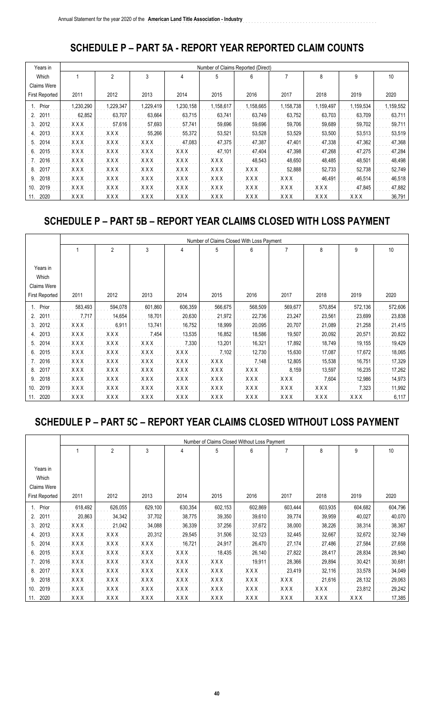#### **SCHEDULE P - PART 5A - REPORT YEAR REPORTED CLAIM COUNTS**

| Years in              |            |                |            |            | Number of Claims Reported (Direct) |            |            |            |           |           |
|-----------------------|------------|----------------|------------|------------|------------------------------------|------------|------------|------------|-----------|-----------|
| Which                 |            | $\overline{2}$ | 3          | 4          | 5                                  | 6          |            | 8          | 9         | 10        |
| <b>Claims Were</b>    |            |                |            |            |                                    |            |            |            |           |           |
| <b>First Reported</b> | 2011       | 2012           | 2013       | 2014       | 2015                               | 2016       | 2017       | 2018       | 2019      | 2020      |
| Prior                 | 1,230,290  | 1,229,347      | 1,229,419  | 1,230,158  | 1,158,617                          | 1,158,665  | 1,158,738  | 1,159,497  | 1,159,534 | 1,159,552 |
| 2011                  | 62.852     | 63,707         | 63,664     | 63,715     | 63,741                             | 63.749     | 63,752     | 63,703     | 63,709    | 63,711    |
| 2012<br>3.            | XXX        | 57,616         | 57,693     | 57,741     | 59,696                             | 59,696     | 59,706     | 59,689     | 59,702    | 59,711    |
| 2013                  | XXX        | XXX            | 55,266     | 55,372     | 53,521                             | 53,528     | 53,529     | 53,500     | 53,513    | 53,519    |
| 2014<br>5.            | <b>XXX</b> | XXX            | <b>XXX</b> | 47,083     | 47,375                             | 47,387     | 47,401     | 47,338     | 47,362    | 47,368    |
| 2015<br>6.            | <b>XXX</b> | <b>XXX</b>     | XXX        | <b>XXX</b> | 47,101                             | 47.404     | 47,398     | 47,268     | 47,275    | 47,284    |
| 2016                  | <b>XXX</b> | <b>XXX</b>     | <b>XXX</b> | <b>XXX</b> | <b>XXX</b>                         | 48,543     | 48,650     | 48,485     | 48,501    | 48,498    |
| 2017<br>8.            | XXX        | XXX            | <b>XXX</b> | <b>XXX</b> | X X X                              | <b>XXX</b> | 52,888     | 52,733     | 52,738    | 52,749    |
| 2018<br>9             | XXX        | <b>XXX</b>     | XXX        | <b>XXX</b> | <b>XXX</b>                         | <b>XXX</b> | <b>XXX</b> | 46,491     | 46,514    | 46,518    |
| 2019<br>10.           | <b>XXX</b> | XXX            | <b>XXX</b> | XXX        | <b>XXX</b>                         | <b>XXX</b> | <b>XXX</b> | <b>XXX</b> | 47,845    | 47,882    |
| 2020<br>11.           | XXX        | XXX            | XXX        | XXX        | XXX                                | <b>XXX</b> | XXX        | XXX        | XXX       | 36,791    |

#### SCHEDULE P - PART 5B - REPORT YEAR CLAIMS CLOSED WITH LOSS PAYMENT

|                       |         |                |         |            |            | Number of Claims Closed With Loss Payment |            |            |         |         |
|-----------------------|---------|----------------|---------|------------|------------|-------------------------------------------|------------|------------|---------|---------|
|                       |         | $\overline{2}$ | 3       | 4          | 5          | 6                                         |            | 8          | 9       | 10      |
|                       |         |                |         |            |            |                                           |            |            |         |         |
| Years in              |         |                |         |            |            |                                           |            |            |         |         |
| Which                 |         |                |         |            |            |                                           |            |            |         |         |
| <b>Claims Were</b>    |         |                |         |            |            |                                           |            |            |         |         |
| <b>First Reported</b> | 2011    | 2012           | 2013    | 2014       | 2015       | 2016                                      | 2017       | 2018       | 2019    | 2020    |
| Prior                 | 583,493 | 594,078        | 601,860 | 606,359    | 566,675    | 568,509                                   | 569,677    | 570,854    | 572,136 | 572,606 |
| 2011<br>2.            | 7,717   | 14,654         | 18,701  | 20,630     | 21,972     | 22,736                                    | 23,247     | 23,561     | 23,699  | 23,838  |
| 2012<br>3.            | XXX     | 6,911          | 13,741  | 16,752     | 18,999     | 20,095                                    | 20,707     | 21,089     | 21,258  | 21,415  |
| 2013<br>4.            | XXX     | <b>XXX</b>     | 7,454   | 13,535     | 16,852     | 18,586                                    | 19,507     | 20,092     | 20,571  | 20,822  |
| 2014<br>5.            | XXX     | XXX            | XXX     | 7,330      | 13,201     | 16,321                                    | 17,892     | 18,749     | 19,155  | 19,429  |
| 2015<br>6.            | XXX     | XXX            | XXX     | XXX        | 7,102      | 12,730                                    | 15,630     | 17,087     | 17,672  | 18,065  |
| 2016                  | XXX     | XXX            | XXX     | XXX        | <b>XXX</b> | 7,148                                     | 12,805     | 15,538     | 16,751  | 17,329  |
| 2017<br>8.            | XXX     | XXX            | XXX     | XXX        | <b>XXX</b> | <b>XXX</b>                                | 8,159      | 13,597     | 16,235  | 17,262  |
| 2018<br>9.            | XXX     | XXX            | XXX     | XXX        | <b>XXX</b> | <b>XXX</b>                                | <b>XXX</b> | 7,604      | 12,986  | 14,973  |
| 2019<br>10.           | XXX     | XXX            | XXX     | <b>XXX</b> | <b>XXX</b> | <b>XXX</b>                                | <b>XXX</b> | <b>XXX</b> | 7,323   | 11,992  |
| 2020<br>11.           | XXX     | XXX            | XXX     | XXX        | <b>XXX</b> | <b>XXX</b>                                | <b>XXX</b> | <b>XXX</b> | XXX     | 6,117   |

## SCHEDULE P - PART 5C - REPORT YEAR CLAIMS CLOSED WITHOUT LOSS PAYMENT

|                |            |                |         |            |         | Number of Claims Closed Without Loss Payment |            |            |            |         |
|----------------|------------|----------------|---------|------------|---------|----------------------------------------------|------------|------------|------------|---------|
|                |            | $\overline{2}$ | 3       | 4          | 5       | 6                                            |            | 8          | 9          | 10      |
|                |            |                |         |            |         |                                              |            |            |            |         |
| Years in       |            |                |         |            |         |                                              |            |            |            |         |
| Which          |            |                |         |            |         |                                              |            |            |            |         |
| Claims Were    |            |                |         |            |         |                                              |            |            |            |         |
| First Reported | 2011       | 2012           | 2013    | 2014       | 2015    | 2016                                         | 2017       | 2018       | 2019       | 2020    |
| Prior          | 618,492    | 626,055        | 629,100 | 630,354    | 602,153 | 602,869                                      | 603,444    | 603,935    | 604,682    | 604,796 |
| 2011           | 20,863     | 34,342         | 37,702  | 38,775     | 39,350  | 39,610                                       | 39,774     | 39,959     | 40,027     | 40,070  |
| 2012           | XXX        | 21,042         | 34,088  | 36,339     | 37,256  | 37,672                                       | 38,000     | 38,226     | 38,314     | 38,367  |
| 2013           | XXX        | XXX            | 20,312  | 29,545     | 31,506  | 32,123                                       | 32,445     | 32,667     | 32,672     | 32,749  |
| 2014           | <b>XXX</b> | XXX            | XXX     | 16,721     | 24,917  | 26,470                                       | 27,174     | 27,486     | 27,584     | 27,658  |
| 2015<br>6.     | <b>XXX</b> | XXX            | XXX     | XXX        | 18,435  | 26,140                                       | 27,822     | 28,417     | 28,834     | 28,940  |
| 2016           | <b>XXX</b> | XXX            | XXX     | XXX        | XXX     | 19,911                                       | 28,366     | 29,894     | 30,421     | 30,681  |
| 2017<br>8.     | <b>XXX</b> | <b>XXX</b>     | XXX     | <b>XXX</b> | XXX     | <b>XXX</b>                                   | 23,419     | 32,116     | 33,578     | 34,049  |
| 2018<br>9.     | <b>XXX</b> | <b>XXX</b>     | XXX     | <b>XXX</b> | XXX     | <b>XXX</b>                                   | <b>XXX</b> | 21,616     | 28,132     | 29,063  |
| 2019<br>10.    | <b>XXX</b> | <b>XXX</b>     | XXX     | <b>XXX</b> | XXX     | <b>XXX</b>                                   | XXX        | <b>XXX</b> | 23,812     | 29,242  |
| 2020<br>11.    | XXX        | <b>XXX</b>     | XXX     | XXX        | XXX     | <b>XXX</b>                                   | XXX        | <b>XXX</b> | <b>XXX</b> | 17,385  |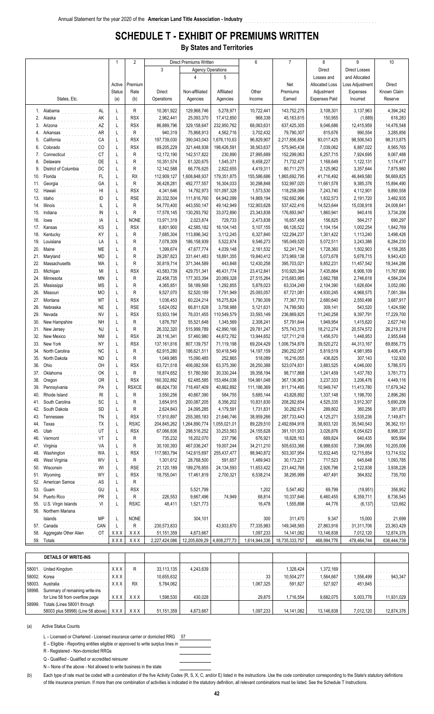### **SCHEDULE T - EXHIBIT OF PREMIUMS WRITTEN**

**By States and Territories**

| 3<br><b>Agency Operations</b><br>Direct<br><b>Direct Losses</b><br>$\overline{4}$<br>5<br>and Allocated<br>Losses and<br>Premium<br><b>Allocated Loss</b><br>Loss Adjustment<br>Direct<br>Net<br>Active<br>Known Claim<br>Rate<br>Adjustment<br>Expenses<br><b>Status</b><br>Direct<br>Non-affiliated<br>Affiliated<br>Other<br>Premiums<br>(a)<br>States, Etc.<br>(b)<br>Operations<br>Agencies<br>Agencies<br>Earned<br><b>Expenses Paid</b><br>Incurred<br>Reserve<br>Income<br>1. Alabama<br>Ŗ<br>10,361,922<br>129,968,746<br>5,278,971<br>10,722,441<br>143,752,275<br>3,108,301<br>3,137,963<br>4,394,242<br>AL<br>L<br>.<br>AK<br>2.<br>Alaska<br><b>RSX</b><br>2,962,441<br>150,955<br>616,283<br>L<br>25,093,370<br>17,412,850<br>968,338<br>45, 163, 615<br>(1,889)<br>.<br>14,476,548<br>3.<br><b>AZ</b><br>86,889,796<br>637,425,305<br>9,046,686<br>Arizona<br>JL.<br>RSX<br>329,158,647<br>232,950,762<br>68,063,631<br>12,415,959<br>.<br>79,790,307<br>990,554<br>3,285,856<br>AR<br>Ŗ<br>940,319<br>75,868,913<br>4,562,716<br>3,702,432<br>815,676<br>Arkansas<br>4.<br>L<br>.<br>98,313,875<br>California<br>CA<br><b>RSX</b><br>197,739,030<br>2,217,856,854<br>93,017,425<br>98,506,543<br>5.<br>390,043,043<br>1,676,110,63<br>96,829,907<br>$\mathbf{r}^{\top}$<br>CO<br><b>RSX</b><br>69,205,229<br>38,563,637<br>575,945,438<br>7,039,062<br>6,887,022<br>8,565,765<br>6.<br>Colorado<br>321,448,938<br>198,426,591<br>L<br>.<br>Connecticut CT<br>R<br>12,172,190<br>230,890<br>27,995,689<br>152,299,063<br>6,257,715<br>7,924,695<br>9,067,488<br>7.<br>L<br>142,517,822<br>1,174,477<br>8.<br>Delaware<br>DE<br>R<br>10,351,574<br>61,320,675<br>1,545,371<br>8,458,227<br>71,732,427<br>1,168,649<br>1,122,131<br>.<br>.<br>L<br>$\mathsf{DC}$<br>District of Columbia<br>9.<br>R<br>7,875,980<br>L<br>12,142,588<br>66,776,625<br>2,822,655<br>4,419,311<br>80,711,275<br>2,125,962<br>3,357,644<br>$\ldots \ldots \ldots \ldots$<br>Florida<br>112,909,127<br>155,586,686<br>1,865,692,795<br>41,716,492<br>46,849,580<br>56,669,825<br>10.<br>RX<br>1,608,848,937<br>179,351,875<br>L<br>Georgia (CA<br>30,298,848<br>9,385,376<br>15,894,490<br>11.<br>R<br>36,428,281<br>16,304,033<br>532,997,020<br>11,661,578<br>492,777,557<br>L<br>12. Hawaii H!<br>9,890,558<br><b>RSX</b><br>4,341,646<br>101,097,328<br>1,573,530<br>118,258,069<br>7,243,740<br>4,112,901<br>L<br>14,792,973<br><b>RSE</b><br>3,482,935<br>13.<br>Idaho<br>20,332,504<br>111,816,760<br>64,942,099<br>14,869,194<br>192,692,996<br>1,832,573<br>2,191,720<br>L<br>. <u>. .</u><br>Ŗ<br>24,008,641<br>14.<br>Illinois<br>54,770,400<br>49,142,949<br>132,903,628<br>537,422,416<br>14,523,644<br>15,038,918<br>443,550,147<br>L<br>${\sf IN}$<br>23,343,838<br>176,893,947<br>3,734,206<br>15.<br>Indiana $\frac{1}{2}$<br>R<br>17,578,145<br>130,293,792<br>33,072,890<br>1,860,941<br>940,416<br>L<br>. 14<br>16.<br>690,297<br><b>NONE</b><br>2,473,838<br>lowa<br>L<br>13,971,319<br>2,023,874<br>729,733<br>16,657,458<br>156,825<br>564,217<br>. KS<br>17.<br>8,801,900<br>42,585,182<br>5,107,155<br>66,126,522<br>1,104,154<br>1,002,254<br>1,842,769<br>Kansas<br>L<br><b>RSX</b><br>16,104,145<br>Kentucky<br>NY<br>3,498,426<br>18.<br>R<br>7,685,304<br>3,112,245<br>6,327,840<br>122,294,237<br>1,301,422<br>1,113,240<br>113,896,342<br>L<br>Louisiana<br>19.<br>R<br>7,078,309<br>5,522,874<br>9,546,273<br>195,049,520<br>5,072,511<br>3,243,386<br>6,284,230<br>186, 158, 939<br>L<br>1,399,674<br>20.<br>Maine<br>ME<br>R<br>4,039,148<br>2,161,532<br>52,241,740<br>1,728,360<br>1,502,903<br>4,158,265<br>47,677,774<br>L<br>.<br>MD<br>9,943,420<br>21.<br>Maryland<br>29,287,823<br>18,891,355<br>19,840,412<br>373,969,138<br>5,073,678<br>5,678,715<br>R<br>331,441,483<br>L<br>19,344,286<br>22.<br>Massachusetts MA<br>Ŗ<br>30,819,714<br>371,344,589<br>443,848<br>12,430,258<br>395,703,021<br>9,852,231<br>11,457,542<br>L<br>MI<br>23.<br>Michigan<br><b>RSX</b><br>510,920,394<br>6,906,109<br>11,767,690<br>L<br>43,583,739<br>429,751,341<br>46,431,774<br>23,412,841<br>7,435,864<br>.<br>Ŗ<br>24.<br>Minnesota<br>MN<br>22,458,735<br>215,683,985<br>3,662,788<br>2,746,618<br>4,584,204<br>177,303,394<br>20,069,328<br>27,515,264<br>L<br>25.<br>Mississippi MS<br>4,365,851<br>58,189,568<br>1,292,855<br>5,878,023<br>63,334,249<br>2,104,390<br>1,626,604<br>3,052,080<br>R<br>L<br>$_{\rm MO}$<br>26.<br>Missouri<br>Ŗ<br>9,527,070<br>7,791,949<br>25,093,057<br>67,721,081<br>4,930,245<br>4,968,575<br>7,061,384<br>52,520,189<br>, Լ<br>MT<br>27.<br>Montana<br><b>RSX</b><br>1,036,453<br>60,224,214<br>1,790,309<br>77,367,770<br>2,680,640<br>2,550,498<br>3,687,917<br>18,275,824<br>L<br>.<br>309,141<br>28.<br>Nebraska<br><b>NE</b><br>L<br>RSE<br>5,624,052<br>66,811,628<br>3,758,988<br>5,121,631<br>74,799,583<br>543,520<br>1,424,590<br><b>NV</b><br>17,229,700<br>29.<br>Nevada<br><b>RSX</b><br>53,933,194<br>76,031,455<br>110,549,579<br>33,593,149<br>236,869,825<br>11,240,258<br>9,397,791<br>Ļ,<br>.<br><b>NH</b><br>R<br>30.<br>New Hampshire<br>2,308,241<br>57,791,644<br>2,627,740<br>L<br>1,876,797<br>55,521,648<br>1,345,569<br>1,949,954<br>1,415,620<br>New Jersey<br>Ŗ<br>26,332,320<br>18,212,274<br>26,219,318<br>31.<br>515,999,789<br>42,990,166<br>29,781,247<br>575,743,315<br>20,574,572<br>Ļ,<br>New Mexico<br>2,955,648<br>32.<br><b>RSX</b><br>1,456,570<br>1,448,953<br>28,116,341<br>57,460,980<br>44,672,782<br>13,944,652<br>127,711,218<br>L<br>. NY<br><b>RSX</b><br>33.<br>New York<br>69,204,429<br>39,520,272<br>44,313,167<br>69,856,775<br>L<br>137, 161, 816<br>807,139,757<br>71,119,198<br>1,006,754,878<br>North Carolina<br>1990 - Patricia II, MC<br>9,406,479<br>34.<br>R<br>62,915,280<br>50,418,549<br>14, 197, 159<br>290,252,057<br>5,819,519<br>4,981,959<br>186,621,511<br>L<br>North Dakota<br>436,825<br>132,930<br>35.<br>R<br>1,049,985<br>15,090,485<br>252,865<br>518,089<br>16,216,055<br>307,143<br>L.<br>$\mathsf{OH}$<br>36.<br>Ohio<br>63,375,390<br>28,250,388<br>523,074,831<br>3,883,525<br>4,046,000<br>5,786,570<br>RSX<br>63,721,518<br>406,082,506<br>L<br>.<br>OK<br>R<br>39,358,194<br>3,761,773<br>37. Oklahoma<br>L<br>18,874,652<br>51,780,590<br>30,330,244<br>98,717,868<br>1,241,459<br>1,437,783<br>160,302,892<br>367, 136, 963<br>4,449,116<br>38. Oregon<br>OR<br><b>RSX</b><br>62,485,585<br>153,484,038<br>104,981,048<br>3,237,333<br>3,206,476<br>L<br>39. Pennsylvania<br><b>RSXCE</b><br>66,824,730<br>718,497,409<br>40,862,892<br>111,186,369<br>811,714,495<br>10,949,747<br>11,413,780<br>17,679,342<br>PA<br>L<br>40. Rhode Island<br>Ŗ<br>3,550,256<br>43,828,892<br>2,896,280<br>40,667,390<br>584,755<br>5,685,144<br>1,337,148<br>1,198,700<br><b>RI</b><br>ĮĒ,<br>41. South Carolina<br>sc<br>3,654,915<br>10,831,630<br>208,282,654<br>4,525,335<br>3,912,307<br>5,690,206<br>Ŗ<br>200,087,205<br>8,356,202<br>L<br>42. South Dakota<br>SD<br>2,624,843<br>30,282,674<br>289,802<br>360,256<br>381,870<br>Ŗ<br>24,095,285<br>4,179,591<br>1,731,831<br>L<br>43. Tennessee<br>3,535,236<br>ŢŅ<br>17,810,897<br>255,385,183<br>21,646,746<br>38,959,266<br>287,733,443<br>4,125,271<br>7,149,871<br>RSX<br>Ŀ,<br>44. Texas<br>TX<br><b>RSXC</b><br>36,362,151<br>204,845,262<br>,264,890,774<br>,055,021,01<br>89,229,510<br>2,492,694,918<br>38,603,120<br>35,540,543<br>L<br>ŲŢ<br>45. Utah<br><b>RSX</b><br>24,155,628<br>6,054,623<br>8,998,337<br>67,066,836<br>298,516,252<br>33,253,563<br>391,101,933<br>3,026,876<br>L<br>905,994<br>46.<br>Vermont<br>V<br>237,796<br>676,921<br>18,828,163<br>689,824<br>640,435<br>Ŗ<br>735,232<br>18,202,070<br>L<br>47. Virginia<br>30,100,393<br>505,633,366<br>6,988,630<br>7,394,065<br>10,205,006<br>VĄ<br>R<br>467,036,247<br>19,007,244<br>34,211,210<br>$\mathsf{F}$<br>48. Washington<br>12,832,445<br>12,715,854<br>13,714,532<br>WA<br><b>RSX</b><br>117,983,794<br>142,615,697<br>255,437,477<br>98,940,872<br>503,307,954<br>L<br>49.<br>West Virginia<br>WV<br>$\overline{R}$<br>1,489,943<br>645,648<br>1,093,785<br>1,301,612<br>28,768,500<br>591,657<br>30,173,221<br>717,523<br>L<br>50. Wisconsin<br>231,442,768<br>2,122,838<br>3,938,226<br>WI<br><b>RSE</b><br>21,120,189<br>189,276,855<br>24, 134, 593<br>11,653,422<br>2,926,796<br>Ļ,<br>51. Wyoming<br>WY<br><b>RSX</b><br>18,755,041<br>17,461,819<br>2,700,321<br>6,538,214<br>38,295,999<br>407,491<br>364,832<br>735,700<br>L<br>52. American Samoa<br>$\mathsf{R}$<br>AS<br>L<br>53. Guam<br>GU<br>5,547,462<br>356,952<br><b>RSX</b><br>5,521,799<br>69,799<br>(19, 951)<br>1,202<br>$\mathbf{r}^{\top}$<br>PR<br>54. Puerto Rico<br>$\mathsf{R}$<br>226,553<br>68,814<br>10,337,646<br>6,460,455<br>6,359,711<br>8,736,545<br>9,667,496<br>74,949<br>, Լ<br>VI<br>55. U.S. Virgin Islands<br>48,411<br>1,555,898<br>123,662<br><b>RSXC</b><br>1,521,773<br>16,478<br>44,776<br>(6, 137)<br>L<br>56. Northern Mariana<br>Islands<br>ΜP<br><b>NONE</b><br>304,101<br>311,470<br>9,347<br>15,000<br>21,699<br>300<br>Ŀ,<br>57. Canada<br>CAN<br>Ŗ<br>230,573,833<br>43,933,870<br>149,348,565<br>27,863,916<br>31,311,706<br>23,363,429<br>77,335,983<br>L,<br>12,874,376<br>58. Aggregate Other Alien<br>OT<br>51,151,359<br>4,673,667<br>1,097,233<br>14, 141, 082<br>13,146,838<br>7,012,120<br>XXX<br>XXX<br>59. Totals |  |     | $\overline{2}$ |               | Direct Premiums Written |              | 6             | $\overline{7}$ | 8           | 9           | 10          |
|---------------------------------------------------------------------------------------------------------------------------------------------------------------------------------------------------------------------------------------------------------------------------------------------------------------------------------------------------------------------------------------------------------------------------------------------------------------------------------------------------------------------------------------------------------------------------------------------------------------------------------------------------------------------------------------------------------------------------------------------------------------------------------------------------------------------------------------------------------------------------------------------------------------------------------------------------------------------------------------------------------------------------------------------------------------------------------------------------------------------------------------------------------------------------------------------------------------------------------------------------------------------------------------------------------------------------------------------------------------------------------------------------------------------------------------------------------------------------------------------------------------------------------------------------------------------------------------------------------------------------------------------------------------------------------------------------------------------------------------------------------------------------------------------------------------------------------------------------------------------------------------------------------------------------------------------------------------------------------------------------------------------------------------------------------------------------------------------------------------------------------------------------------------------------------------------------------------------------------------------------------------------------------------------------------------------------------------------------------------------------------------------------------------------------------------------------------------------------------------------------------------------------------------------------------------------------------------------------------------------------------------------------------------------------------------------------------------------------------------------------------------------------------------------------------------------------------------------------------------------------------------------------------------------------------------------------------------------------------------------------------------------------------------------------------------------------------------------------------------------------------------------------------------------------------------------------------------------------------------------------------------------------------------------------------------------------------------------------------------------------------------------------------------------------------------------------------------------------------------------------------------------------------------------------------------------------------------------------------------------------------------------------------------------------------------------------------------------------------------------------------------------------------------------------------------------------------------------------------------------------------------------------------------------------------------------------------------------------------------------------------------------------------------------------------------------------------------------------------------------------------------------------------------------------------------------------------------------------------------------------------------------------------------------------------------------------------------------------------------------------------------------------------------------------------------------------------------------------------------------------------------------------------------------------------------------------------------------------------------------------------------------------------------------------------------------------------------------------------------------------------------------------------------------------------------------------------------------------------------------------------------------------------------------------------------------------------------------------------------------------------------------------------------------------------------------------------------------------------------------------------------------------------------------------------------------------------------------------------------------------------------------------------------------------------------------------------------------------------------------------------------------------------------------------------------------------------------------------------------------------------------------------------------------------------------------------------------------------------------------------------------------------------------------------------------------------------------------------------------------------------------------------------------------------------------------------------------------------------------------------------------------------------------------------------------------------------------------------------------------------------------------------------------------------------------------------------------------------------------------------------------------------------------------------------------------------------------------------------------------------------------------------------------------------------------------------------------------------------------------------------------------------------------------------------------------------------------------------------------------------------------------------------------------------------------------------------------------------------------------------------------------------------------------------------------------------------------------------------------------------------------------------------------------------------------------------------------------------------------------------------------------------------------------------------------------------------------------------------------------------------------------------------------------------------------------------------------------------------------------------------------------------------------------------------------------------------------------------------------------------------------------------------------------------------------------------------------------------------------------------------------------------------------------------------------------------------------------------------------------------------------------------------------------------------------------------------------------------------------------------------------------------------------------------------------------------------------------------------------------------------------------------------------------------------------------------------------------------------------------------------------------------------------------------------------------------------------------------------------------------------------------------------------------------------------------------------------------------------------------------------------------------------------------------------------------------------------------------------------------------------------------------------------------------------------------------------------------------------------------------------------------------------------------------------------------------------------------------------------------------------------------------------------------------------------------------------------------------------------------------------------------------------------------------------------------------------------------------------------------------------------------------------------------------------------------------------------------------------------------------------------------------------------------------------------------------------------------------------------------------------------------------------------------------------------------------------------------------------------------------------------------------------------------------------------------------------------------------------------------------------------------------------------------------------------------------------------------------------------------------------------------------------------------------------|--|-----|----------------|---------------|-------------------------|--------------|---------------|----------------|-------------|-------------|-------------|
|                                                                                                                                                                                                                                                                                                                                                                                                                                                                                                                                                                                                                                                                                                                                                                                                                                                                                                                                                                                                                                                                                                                                                                                                                                                                                                                                                                                                                                                                                                                                                                                                                                                                                                                                                                                                                                                                                                                                                                                                                                                                                                                                                                                                                                                                                                                                                                                                                                                                                                                                                                                                                                                                                                                                                                                                                                                                                                                                                                                                                                                                                                                                                                                                                                                                                                                                                                                                                                                                                                                                                                                                                                                                                                                                                                                                                                                                                                                                                                                                                                                                                                                                                                                                                                                                                                                                                                                                                                                                                                                                                                                                                                                                                                                                                                                                                                                                                                                                                                                                                                                                                                                                                                                                                                                                                                                                                                                                                                                                                                                                                                                                                                                                                                                                                                                                                                                                                                                                                                                                                                                                                                                                                                                                                                                                                                                                                                                                                                                                                                                                                                                                                                                                                                                                                                                                                                                                                                                                                                                                                                                                                                                                                                                                                                                                                                                                                                                                                                                                                                                                                                                                                                                                                                                                                                                                                                                                                                                                                                                                                                                                                                                                                                                                                                                                                                                                                                                                                                                                                                                                                                                                                                                                                                                                                                                                                                                                                                                                                                                                                                                                                                                                                                                                                                                                                                                                                                                                                                 |  |     |                |               |                         |              |               |                |             |             |             |
|                                                                                                                                                                                                                                                                                                                                                                                                                                                                                                                                                                                                                                                                                                                                                                                                                                                                                                                                                                                                                                                                                                                                                                                                                                                                                                                                                                                                                                                                                                                                                                                                                                                                                                                                                                                                                                                                                                                                                                                                                                                                                                                                                                                                                                                                                                                                                                                                                                                                                                                                                                                                                                                                                                                                                                                                                                                                                                                                                                                                                                                                                                                                                                                                                                                                                                                                                                                                                                                                                                                                                                                                                                                                                                                                                                                                                                                                                                                                                                                                                                                                                                                                                                                                                                                                                                                                                                                                                                                                                                                                                                                                                                                                                                                                                                                                                                                                                                                                                                                                                                                                                                                                                                                                                                                                                                                                                                                                                                                                                                                                                                                                                                                                                                                                                                                                                                                                                                                                                                                                                                                                                                                                                                                                                                                                                                                                                                                                                                                                                                                                                                                                                                                                                                                                                                                                                                                                                                                                                                                                                                                                                                                                                                                                                                                                                                                                                                                                                                                                                                                                                                                                                                                                                                                                                                                                                                                                                                                                                                                                                                                                                                                                                                                                                                                                                                                                                                                                                                                                                                                                                                                                                                                                                                                                                                                                                                                                                                                                                                                                                                                                                                                                                                                                                                                                                                                                                                                                                                 |  |     |                |               |                         |              |               |                |             |             |             |
|                                                                                                                                                                                                                                                                                                                                                                                                                                                                                                                                                                                                                                                                                                                                                                                                                                                                                                                                                                                                                                                                                                                                                                                                                                                                                                                                                                                                                                                                                                                                                                                                                                                                                                                                                                                                                                                                                                                                                                                                                                                                                                                                                                                                                                                                                                                                                                                                                                                                                                                                                                                                                                                                                                                                                                                                                                                                                                                                                                                                                                                                                                                                                                                                                                                                                                                                                                                                                                                                                                                                                                                                                                                                                                                                                                                                                                                                                                                                                                                                                                                                                                                                                                                                                                                                                                                                                                                                                                                                                                                                                                                                                                                                                                                                                                                                                                                                                                                                                                                                                                                                                                                                                                                                                                                                                                                                                                                                                                                                                                                                                                                                                                                                                                                                                                                                                                                                                                                                                                                                                                                                                                                                                                                                                                                                                                                                                                                                                                                                                                                                                                                                                                                                                                                                                                                                                                                                                                                                                                                                                                                                                                                                                                                                                                                                                                                                                                                                                                                                                                                                                                                                                                                                                                                                                                                                                                                                                                                                                                                                                                                                                                                                                                                                                                                                                                                                                                                                                                                                                                                                                                                                                                                                                                                                                                                                                                                                                                                                                                                                                                                                                                                                                                                                                                                                                                                                                                                                                                 |  |     |                |               |                         |              |               |                |             |             |             |
|                                                                                                                                                                                                                                                                                                                                                                                                                                                                                                                                                                                                                                                                                                                                                                                                                                                                                                                                                                                                                                                                                                                                                                                                                                                                                                                                                                                                                                                                                                                                                                                                                                                                                                                                                                                                                                                                                                                                                                                                                                                                                                                                                                                                                                                                                                                                                                                                                                                                                                                                                                                                                                                                                                                                                                                                                                                                                                                                                                                                                                                                                                                                                                                                                                                                                                                                                                                                                                                                                                                                                                                                                                                                                                                                                                                                                                                                                                                                                                                                                                                                                                                                                                                                                                                                                                                                                                                                                                                                                                                                                                                                                                                                                                                                                                                                                                                                                                                                                                                                                                                                                                                                                                                                                                                                                                                                                                                                                                                                                                                                                                                                                                                                                                                                                                                                                                                                                                                                                                                                                                                                                                                                                                                                                                                                                                                                                                                                                                                                                                                                                                                                                                                                                                                                                                                                                                                                                                                                                                                                                                                                                                                                                                                                                                                                                                                                                                                                                                                                                                                                                                                                                                                                                                                                                                                                                                                                                                                                                                                                                                                                                                                                                                                                                                                                                                                                                                                                                                                                                                                                                                                                                                                                                                                                                                                                                                                                                                                                                                                                                                                                                                                                                                                                                                                                                                                                                                                                                                 |  |     |                |               |                         |              |               |                |             |             |             |
|                                                                                                                                                                                                                                                                                                                                                                                                                                                                                                                                                                                                                                                                                                                                                                                                                                                                                                                                                                                                                                                                                                                                                                                                                                                                                                                                                                                                                                                                                                                                                                                                                                                                                                                                                                                                                                                                                                                                                                                                                                                                                                                                                                                                                                                                                                                                                                                                                                                                                                                                                                                                                                                                                                                                                                                                                                                                                                                                                                                                                                                                                                                                                                                                                                                                                                                                                                                                                                                                                                                                                                                                                                                                                                                                                                                                                                                                                                                                                                                                                                                                                                                                                                                                                                                                                                                                                                                                                                                                                                                                                                                                                                                                                                                                                                                                                                                                                                                                                                                                                                                                                                                                                                                                                                                                                                                                                                                                                                                                                                                                                                                                                                                                                                                                                                                                                                                                                                                                                                                                                                                                                                                                                                                                                                                                                                                                                                                                                                                                                                                                                                                                                                                                                                                                                                                                                                                                                                                                                                                                                                                                                                                                                                                                                                                                                                                                                                                                                                                                                                                                                                                                                                                                                                                                                                                                                                                                                                                                                                                                                                                                                                                                                                                                                                                                                                                                                                                                                                                                                                                                                                                                                                                                                                                                                                                                                                                                                                                                                                                                                                                                                                                                                                                                                                                                                                                                                                                                                                 |  |     |                |               |                         |              |               |                |             |             |             |
|                                                                                                                                                                                                                                                                                                                                                                                                                                                                                                                                                                                                                                                                                                                                                                                                                                                                                                                                                                                                                                                                                                                                                                                                                                                                                                                                                                                                                                                                                                                                                                                                                                                                                                                                                                                                                                                                                                                                                                                                                                                                                                                                                                                                                                                                                                                                                                                                                                                                                                                                                                                                                                                                                                                                                                                                                                                                                                                                                                                                                                                                                                                                                                                                                                                                                                                                                                                                                                                                                                                                                                                                                                                                                                                                                                                                                                                                                                                                                                                                                                                                                                                                                                                                                                                                                                                                                                                                                                                                                                                                                                                                                                                                                                                                                                                                                                                                                                                                                                                                                                                                                                                                                                                                                                                                                                                                                                                                                                                                                                                                                                                                                                                                                                                                                                                                                                                                                                                                                                                                                                                                                                                                                                                                                                                                                                                                                                                                                                                                                                                                                                                                                                                                                                                                                                                                                                                                                                                                                                                                                                                                                                                                                                                                                                                                                                                                                                                                                                                                                                                                                                                                                                                                                                                                                                                                                                                                                                                                                                                                                                                                                                                                                                                                                                                                                                                                                                                                                                                                                                                                                                                                                                                                                                                                                                                                                                                                                                                                                                                                                                                                                                                                                                                                                                                                                                                                                                                                                                 |  |     |                |               |                         |              |               |                |             |             |             |
|                                                                                                                                                                                                                                                                                                                                                                                                                                                                                                                                                                                                                                                                                                                                                                                                                                                                                                                                                                                                                                                                                                                                                                                                                                                                                                                                                                                                                                                                                                                                                                                                                                                                                                                                                                                                                                                                                                                                                                                                                                                                                                                                                                                                                                                                                                                                                                                                                                                                                                                                                                                                                                                                                                                                                                                                                                                                                                                                                                                                                                                                                                                                                                                                                                                                                                                                                                                                                                                                                                                                                                                                                                                                                                                                                                                                                                                                                                                                                                                                                                                                                                                                                                                                                                                                                                                                                                                                                                                                                                                                                                                                                                                                                                                                                                                                                                                                                                                                                                                                                                                                                                                                                                                                                                                                                                                                                                                                                                                                                                                                                                                                                                                                                                                                                                                                                                                                                                                                                                                                                                                                                                                                                                                                                                                                                                                                                                                                                                                                                                                                                                                                                                                                                                                                                                                                                                                                                                                                                                                                                                                                                                                                                                                                                                                                                                                                                                                                                                                                                                                                                                                                                                                                                                                                                                                                                                                                                                                                                                                                                                                                                                                                                                                                                                                                                                                                                                                                                                                                                                                                                                                                                                                                                                                                                                                                                                                                                                                                                                                                                                                                                                                                                                                                                                                                                                                                                                                                                                 |  |     |                |               |                         |              |               |                |             |             |             |
|                                                                                                                                                                                                                                                                                                                                                                                                                                                                                                                                                                                                                                                                                                                                                                                                                                                                                                                                                                                                                                                                                                                                                                                                                                                                                                                                                                                                                                                                                                                                                                                                                                                                                                                                                                                                                                                                                                                                                                                                                                                                                                                                                                                                                                                                                                                                                                                                                                                                                                                                                                                                                                                                                                                                                                                                                                                                                                                                                                                                                                                                                                                                                                                                                                                                                                                                                                                                                                                                                                                                                                                                                                                                                                                                                                                                                                                                                                                                                                                                                                                                                                                                                                                                                                                                                                                                                                                                                                                                                                                                                                                                                                                                                                                                                                                                                                                                                                                                                                                                                                                                                                                                                                                                                                                                                                                                                                                                                                                                                                                                                                                                                                                                                                                                                                                                                                                                                                                                                                                                                                                                                                                                                                                                                                                                                                                                                                                                                                                                                                                                                                                                                                                                                                                                                                                                                                                                                                                                                                                                                                                                                                                                                                                                                                                                                                                                                                                                                                                                                                                                                                                                                                                                                                                                                                                                                                                                                                                                                                                                                                                                                                                                                                                                                                                                                                                                                                                                                                                                                                                                                                                                                                                                                                                                                                                                                                                                                                                                                                                                                                                                                                                                                                                                                                                                                                                                                                                                                                 |  |     |                |               |                         |              |               |                |             |             |             |
|                                                                                                                                                                                                                                                                                                                                                                                                                                                                                                                                                                                                                                                                                                                                                                                                                                                                                                                                                                                                                                                                                                                                                                                                                                                                                                                                                                                                                                                                                                                                                                                                                                                                                                                                                                                                                                                                                                                                                                                                                                                                                                                                                                                                                                                                                                                                                                                                                                                                                                                                                                                                                                                                                                                                                                                                                                                                                                                                                                                                                                                                                                                                                                                                                                                                                                                                                                                                                                                                                                                                                                                                                                                                                                                                                                                                                                                                                                                                                                                                                                                                                                                                                                                                                                                                                                                                                                                                                                                                                                                                                                                                                                                                                                                                                                                                                                                                                                                                                                                                                                                                                                                                                                                                                                                                                                                                                                                                                                                                                                                                                                                                                                                                                                                                                                                                                                                                                                                                                                                                                                                                                                                                                                                                                                                                                                                                                                                                                                                                                                                                                                                                                                                                                                                                                                                                                                                                                                                                                                                                                                                                                                                                                                                                                                                                                                                                                                                                                                                                                                                                                                                                                                                                                                                                                                                                                                                                                                                                                                                                                                                                                                                                                                                                                                                                                                                                                                                                                                                                                                                                                                                                                                                                                                                                                                                                                                                                                                                                                                                                                                                                                                                                                                                                                                                                                                                                                                                                                                 |  |     |                |               |                         |              |               |                |             |             |             |
|                                                                                                                                                                                                                                                                                                                                                                                                                                                                                                                                                                                                                                                                                                                                                                                                                                                                                                                                                                                                                                                                                                                                                                                                                                                                                                                                                                                                                                                                                                                                                                                                                                                                                                                                                                                                                                                                                                                                                                                                                                                                                                                                                                                                                                                                                                                                                                                                                                                                                                                                                                                                                                                                                                                                                                                                                                                                                                                                                                                                                                                                                                                                                                                                                                                                                                                                                                                                                                                                                                                                                                                                                                                                                                                                                                                                                                                                                                                                                                                                                                                                                                                                                                                                                                                                                                                                                                                                                                                                                                                                                                                                                                                                                                                                                                                                                                                                                                                                                                                                                                                                                                                                                                                                                                                                                                                                                                                                                                                                                                                                                                                                                                                                                                                                                                                                                                                                                                                                                                                                                                                                                                                                                                                                                                                                                                                                                                                                                                                                                                                                                                                                                                                                                                                                                                                                                                                                                                                                                                                                                                                                                                                                                                                                                                                                                                                                                                                                                                                                                                                                                                                                                                                                                                                                                                                                                                                                                                                                                                                                                                                                                                                                                                                                                                                                                                                                                                                                                                                                                                                                                                                                                                                                                                                                                                                                                                                                                                                                                                                                                                                                                                                                                                                                                                                                                                                                                                                                                                 |  |     |                |               |                         |              |               |                |             |             |             |
|                                                                                                                                                                                                                                                                                                                                                                                                                                                                                                                                                                                                                                                                                                                                                                                                                                                                                                                                                                                                                                                                                                                                                                                                                                                                                                                                                                                                                                                                                                                                                                                                                                                                                                                                                                                                                                                                                                                                                                                                                                                                                                                                                                                                                                                                                                                                                                                                                                                                                                                                                                                                                                                                                                                                                                                                                                                                                                                                                                                                                                                                                                                                                                                                                                                                                                                                                                                                                                                                                                                                                                                                                                                                                                                                                                                                                                                                                                                                                                                                                                                                                                                                                                                                                                                                                                                                                                                                                                                                                                                                                                                                                                                                                                                                                                                                                                                                                                                                                                                                                                                                                                                                                                                                                                                                                                                                                                                                                                                                                                                                                                                                                                                                                                                                                                                                                                                                                                                                                                                                                                                                                                                                                                                                                                                                                                                                                                                                                                                                                                                                                                                                                                                                                                                                                                                                                                                                                                                                                                                                                                                                                                                                                                                                                                                                                                                                                                                                                                                                                                                                                                                                                                                                                                                                                                                                                                                                                                                                                                                                                                                                                                                                                                                                                                                                                                                                                                                                                                                                                                                                                                                                                                                                                                                                                                                                                                                                                                                                                                                                                                                                                                                                                                                                                                                                                                                                                                                                                                 |  |     |                |               |                         |              |               |                |             |             |             |
|                                                                                                                                                                                                                                                                                                                                                                                                                                                                                                                                                                                                                                                                                                                                                                                                                                                                                                                                                                                                                                                                                                                                                                                                                                                                                                                                                                                                                                                                                                                                                                                                                                                                                                                                                                                                                                                                                                                                                                                                                                                                                                                                                                                                                                                                                                                                                                                                                                                                                                                                                                                                                                                                                                                                                                                                                                                                                                                                                                                                                                                                                                                                                                                                                                                                                                                                                                                                                                                                                                                                                                                                                                                                                                                                                                                                                                                                                                                                                                                                                                                                                                                                                                                                                                                                                                                                                                                                                                                                                                                                                                                                                                                                                                                                                                                                                                                                                                                                                                                                                                                                                                                                                                                                                                                                                                                                                                                                                                                                                                                                                                                                                                                                                                                                                                                                                                                                                                                                                                                                                                                                                                                                                                                                                                                                                                                                                                                                                                                                                                                                                                                                                                                                                                                                                                                                                                                                                                                                                                                                                                                                                                                                                                                                                                                                                                                                                                                                                                                                                                                                                                                                                                                                                                                                                                                                                                                                                                                                                                                                                                                                                                                                                                                                                                                                                                                                                                                                                                                                                                                                                                                                                                                                                                                                                                                                                                                                                                                                                                                                                                                                                                                                                                                                                                                                                                                                                                                                                                 |  |     |                |               |                         |              |               |                |             |             |             |
|                                                                                                                                                                                                                                                                                                                                                                                                                                                                                                                                                                                                                                                                                                                                                                                                                                                                                                                                                                                                                                                                                                                                                                                                                                                                                                                                                                                                                                                                                                                                                                                                                                                                                                                                                                                                                                                                                                                                                                                                                                                                                                                                                                                                                                                                                                                                                                                                                                                                                                                                                                                                                                                                                                                                                                                                                                                                                                                                                                                                                                                                                                                                                                                                                                                                                                                                                                                                                                                                                                                                                                                                                                                                                                                                                                                                                                                                                                                                                                                                                                                                                                                                                                                                                                                                                                                                                                                                                                                                                                                                                                                                                                                                                                                                                                                                                                                                                                                                                                                                                                                                                                                                                                                                                                                                                                                                                                                                                                                                                                                                                                                                                                                                                                                                                                                                                                                                                                                                                                                                                                                                                                                                                                                                                                                                                                                                                                                                                                                                                                                                                                                                                                                                                                                                                                                                                                                                                                                                                                                                                                                                                                                                                                                                                                                                                                                                                                                                                                                                                                                                                                                                                                                                                                                                                                                                                                                                                                                                                                                                                                                                                                                                                                                                                                                                                                                                                                                                                                                                                                                                                                                                                                                                                                                                                                                                                                                                                                                                                                                                                                                                                                                                                                                                                                                                                                                                                                                                                                 |  |     |                |               |                         |              |               |                |             |             |             |
|                                                                                                                                                                                                                                                                                                                                                                                                                                                                                                                                                                                                                                                                                                                                                                                                                                                                                                                                                                                                                                                                                                                                                                                                                                                                                                                                                                                                                                                                                                                                                                                                                                                                                                                                                                                                                                                                                                                                                                                                                                                                                                                                                                                                                                                                                                                                                                                                                                                                                                                                                                                                                                                                                                                                                                                                                                                                                                                                                                                                                                                                                                                                                                                                                                                                                                                                                                                                                                                                                                                                                                                                                                                                                                                                                                                                                                                                                                                                                                                                                                                                                                                                                                                                                                                                                                                                                                                                                                                                                                                                                                                                                                                                                                                                                                                                                                                                                                                                                                                                                                                                                                                                                                                                                                                                                                                                                                                                                                                                                                                                                                                                                                                                                                                                                                                                                                                                                                                                                                                                                                                                                                                                                                                                                                                                                                                                                                                                                                                                                                                                                                                                                                                                                                                                                                                                                                                                                                                                                                                                                                                                                                                                                                                                                                                                                                                                                                                                                                                                                                                                                                                                                                                                                                                                                                                                                                                                                                                                                                                                                                                                                                                                                                                                                                                                                                                                                                                                                                                                                                                                                                                                                                                                                                                                                                                                                                                                                                                                                                                                                                                                                                                                                                                                                                                                                                                                                                                                                                 |  |     |                |               |                         |              |               |                |             |             |             |
|                                                                                                                                                                                                                                                                                                                                                                                                                                                                                                                                                                                                                                                                                                                                                                                                                                                                                                                                                                                                                                                                                                                                                                                                                                                                                                                                                                                                                                                                                                                                                                                                                                                                                                                                                                                                                                                                                                                                                                                                                                                                                                                                                                                                                                                                                                                                                                                                                                                                                                                                                                                                                                                                                                                                                                                                                                                                                                                                                                                                                                                                                                                                                                                                                                                                                                                                                                                                                                                                                                                                                                                                                                                                                                                                                                                                                                                                                                                                                                                                                                                                                                                                                                                                                                                                                                                                                                                                                                                                                                                                                                                                                                                                                                                                                                                                                                                                                                                                                                                                                                                                                                                                                                                                                                                                                                                                                                                                                                                                                                                                                                                                                                                                                                                                                                                                                                                                                                                                                                                                                                                                                                                                                                                                                                                                                                                                                                                                                                                                                                                                                                                                                                                                                                                                                                                                                                                                                                                                                                                                                                                                                                                                                                                                                                                                                                                                                                                                                                                                                                                                                                                                                                                                                                                                                                                                                                                                                                                                                                                                                                                                                                                                                                                                                                                                                                                                                                                                                                                                                                                                                                                                                                                                                                                                                                                                                                                                                                                                                                                                                                                                                                                                                                                                                                                                                                                                                                                                                                 |  |     |                |               |                         |              |               |                |             |             |             |
|                                                                                                                                                                                                                                                                                                                                                                                                                                                                                                                                                                                                                                                                                                                                                                                                                                                                                                                                                                                                                                                                                                                                                                                                                                                                                                                                                                                                                                                                                                                                                                                                                                                                                                                                                                                                                                                                                                                                                                                                                                                                                                                                                                                                                                                                                                                                                                                                                                                                                                                                                                                                                                                                                                                                                                                                                                                                                                                                                                                                                                                                                                                                                                                                                                                                                                                                                                                                                                                                                                                                                                                                                                                                                                                                                                                                                                                                                                                                                                                                                                                                                                                                                                                                                                                                                                                                                                                                                                                                                                                                                                                                                                                                                                                                                                                                                                                                                                                                                                                                                                                                                                                                                                                                                                                                                                                                                                                                                                                                                                                                                                                                                                                                                                                                                                                                                                                                                                                                                                                                                                                                                                                                                                                                                                                                                                                                                                                                                                                                                                                                                                                                                                                                                                                                                                                                                                                                                                                                                                                                                                                                                                                                                                                                                                                                                                                                                                                                                                                                                                                                                                                                                                                                                                                                                                                                                                                                                                                                                                                                                                                                                                                                                                                                                                                                                                                                                                                                                                                                                                                                                                                                                                                                                                                                                                                                                                                                                                                                                                                                                                                                                                                                                                                                                                                                                                                                                                                                                                 |  |     |                |               |                         |              |               |                |             |             |             |
|                                                                                                                                                                                                                                                                                                                                                                                                                                                                                                                                                                                                                                                                                                                                                                                                                                                                                                                                                                                                                                                                                                                                                                                                                                                                                                                                                                                                                                                                                                                                                                                                                                                                                                                                                                                                                                                                                                                                                                                                                                                                                                                                                                                                                                                                                                                                                                                                                                                                                                                                                                                                                                                                                                                                                                                                                                                                                                                                                                                                                                                                                                                                                                                                                                                                                                                                                                                                                                                                                                                                                                                                                                                                                                                                                                                                                                                                                                                                                                                                                                                                                                                                                                                                                                                                                                                                                                                                                                                                                                                                                                                                                                                                                                                                                                                                                                                                                                                                                                                                                                                                                                                                                                                                                                                                                                                                                                                                                                                                                                                                                                                                                                                                                                                                                                                                                                                                                                                                                                                                                                                                                                                                                                                                                                                                                                                                                                                                                                                                                                                                                                                                                                                                                                                                                                                                                                                                                                                                                                                                                                                                                                                                                                                                                                                                                                                                                                                                                                                                                                                                                                                                                                                                                                                                                                                                                                                                                                                                                                                                                                                                                                                                                                                                                                                                                                                                                                                                                                                                                                                                                                                                                                                                                                                                                                                                                                                                                                                                                                                                                                                                                                                                                                                                                                                                                                                                                                                                                                 |  |     |                |               |                         |              |               |                |             |             |             |
|                                                                                                                                                                                                                                                                                                                                                                                                                                                                                                                                                                                                                                                                                                                                                                                                                                                                                                                                                                                                                                                                                                                                                                                                                                                                                                                                                                                                                                                                                                                                                                                                                                                                                                                                                                                                                                                                                                                                                                                                                                                                                                                                                                                                                                                                                                                                                                                                                                                                                                                                                                                                                                                                                                                                                                                                                                                                                                                                                                                                                                                                                                                                                                                                                                                                                                                                                                                                                                                                                                                                                                                                                                                                                                                                                                                                                                                                                                                                                                                                                                                                                                                                                                                                                                                                                                                                                                                                                                                                                                                                                                                                                                                                                                                                                                                                                                                                                                                                                                                                                                                                                                                                                                                                                                                                                                                                                                                                                                                                                                                                                                                                                                                                                                                                                                                                                                                                                                                                                                                                                                                                                                                                                                                                                                                                                                                                                                                                                                                                                                                                                                                                                                                                                                                                                                                                                                                                                                                                                                                                                                                                                                                                                                                                                                                                                                                                                                                                                                                                                                                                                                                                                                                                                                                                                                                                                                                                                                                                                                                                                                                                                                                                                                                                                                                                                                                                                                                                                                                                                                                                                                                                                                                                                                                                                                                                                                                                                                                                                                                                                                                                                                                                                                                                                                                                                                                                                                                                                                 |  |     |                |               |                         |              |               |                |             |             |             |
|                                                                                                                                                                                                                                                                                                                                                                                                                                                                                                                                                                                                                                                                                                                                                                                                                                                                                                                                                                                                                                                                                                                                                                                                                                                                                                                                                                                                                                                                                                                                                                                                                                                                                                                                                                                                                                                                                                                                                                                                                                                                                                                                                                                                                                                                                                                                                                                                                                                                                                                                                                                                                                                                                                                                                                                                                                                                                                                                                                                                                                                                                                                                                                                                                                                                                                                                                                                                                                                                                                                                                                                                                                                                                                                                                                                                                                                                                                                                                                                                                                                                                                                                                                                                                                                                                                                                                                                                                                                                                                                                                                                                                                                                                                                                                                                                                                                                                                                                                                                                                                                                                                                                                                                                                                                                                                                                                                                                                                                                                                                                                                                                                                                                                                                                                                                                                                                                                                                                                                                                                                                                                                                                                                                                                                                                                                                                                                                                                                                                                                                                                                                                                                                                                                                                                                                                                                                                                                                                                                                                                                                                                                                                                                                                                                                                                                                                                                                                                                                                                                                                                                                                                                                                                                                                                                                                                                                                                                                                                                                                                                                                                                                                                                                                                                                                                                                                                                                                                                                                                                                                                                                                                                                                                                                                                                                                                                                                                                                                                                                                                                                                                                                                                                                                                                                                                                                                                                                                                                 |  |     |                |               |                         |              |               |                |             |             |             |
|                                                                                                                                                                                                                                                                                                                                                                                                                                                                                                                                                                                                                                                                                                                                                                                                                                                                                                                                                                                                                                                                                                                                                                                                                                                                                                                                                                                                                                                                                                                                                                                                                                                                                                                                                                                                                                                                                                                                                                                                                                                                                                                                                                                                                                                                                                                                                                                                                                                                                                                                                                                                                                                                                                                                                                                                                                                                                                                                                                                                                                                                                                                                                                                                                                                                                                                                                                                                                                                                                                                                                                                                                                                                                                                                                                                                                                                                                                                                                                                                                                                                                                                                                                                                                                                                                                                                                                                                                                                                                                                                                                                                                                                                                                                                                                                                                                                                                                                                                                                                                                                                                                                                                                                                                                                                                                                                                                                                                                                                                                                                                                                                                                                                                                                                                                                                                                                                                                                                                                                                                                                                                                                                                                                                                                                                                                                                                                                                                                                                                                                                                                                                                                                                                                                                                                                                                                                                                                                                                                                                                                                                                                                                                                                                                                                                                                                                                                                                                                                                                                                                                                                                                                                                                                                                                                                                                                                                                                                                                                                                                                                                                                                                                                                                                                                                                                                                                                                                                                                                                                                                                                                                                                                                                                                                                                                                                                                                                                                                                                                                                                                                                                                                                                                                                                                                                                                                                                                                                                 |  |     |                |               |                         |              |               |                |             |             |             |
|                                                                                                                                                                                                                                                                                                                                                                                                                                                                                                                                                                                                                                                                                                                                                                                                                                                                                                                                                                                                                                                                                                                                                                                                                                                                                                                                                                                                                                                                                                                                                                                                                                                                                                                                                                                                                                                                                                                                                                                                                                                                                                                                                                                                                                                                                                                                                                                                                                                                                                                                                                                                                                                                                                                                                                                                                                                                                                                                                                                                                                                                                                                                                                                                                                                                                                                                                                                                                                                                                                                                                                                                                                                                                                                                                                                                                                                                                                                                                                                                                                                                                                                                                                                                                                                                                                                                                                                                                                                                                                                                                                                                                                                                                                                                                                                                                                                                                                                                                                                                                                                                                                                                                                                                                                                                                                                                                                                                                                                                                                                                                                                                                                                                                                                                                                                                                                                                                                                                                                                                                                                                                                                                                                                                                                                                                                                                                                                                                                                                                                                                                                                                                                                                                                                                                                                                                                                                                                                                                                                                                                                                                                                                                                                                                                                                                                                                                                                                                                                                                                                                                                                                                                                                                                                                                                                                                                                                                                                                                                                                                                                                                                                                                                                                                                                                                                                                                                                                                                                                                                                                                                                                                                                                                                                                                                                                                                                                                                                                                                                                                                                                                                                                                                                                                                                                                                                                                                                                                                 |  |     |                |               |                         |              |               |                |             |             |             |
|                                                                                                                                                                                                                                                                                                                                                                                                                                                                                                                                                                                                                                                                                                                                                                                                                                                                                                                                                                                                                                                                                                                                                                                                                                                                                                                                                                                                                                                                                                                                                                                                                                                                                                                                                                                                                                                                                                                                                                                                                                                                                                                                                                                                                                                                                                                                                                                                                                                                                                                                                                                                                                                                                                                                                                                                                                                                                                                                                                                                                                                                                                                                                                                                                                                                                                                                                                                                                                                                                                                                                                                                                                                                                                                                                                                                                                                                                                                                                                                                                                                                                                                                                                                                                                                                                                                                                                                                                                                                                                                                                                                                                                                                                                                                                                                                                                                                                                                                                                                                                                                                                                                                                                                                                                                                                                                                                                                                                                                                                                                                                                                                                                                                                                                                                                                                                                                                                                                                                                                                                                                                                                                                                                                                                                                                                                                                                                                                                                                                                                                                                                                                                                                                                                                                                                                                                                                                                                                                                                                                                                                                                                                                                                                                                                                                                                                                                                                                                                                                                                                                                                                                                                                                                                                                                                                                                                                                                                                                                                                                                                                                                                                                                                                                                                                                                                                                                                                                                                                                                                                                                                                                                                                                                                                                                                                                                                                                                                                                                                                                                                                                                                                                                                                                                                                                                                                                                                                                                                 |  |     |                |               |                         |              |               |                |             |             |             |
|                                                                                                                                                                                                                                                                                                                                                                                                                                                                                                                                                                                                                                                                                                                                                                                                                                                                                                                                                                                                                                                                                                                                                                                                                                                                                                                                                                                                                                                                                                                                                                                                                                                                                                                                                                                                                                                                                                                                                                                                                                                                                                                                                                                                                                                                                                                                                                                                                                                                                                                                                                                                                                                                                                                                                                                                                                                                                                                                                                                                                                                                                                                                                                                                                                                                                                                                                                                                                                                                                                                                                                                                                                                                                                                                                                                                                                                                                                                                                                                                                                                                                                                                                                                                                                                                                                                                                                                                                                                                                                                                                                                                                                                                                                                                                                                                                                                                                                                                                                                                                                                                                                                                                                                                                                                                                                                                                                                                                                                                                                                                                                                                                                                                                                                                                                                                                                                                                                                                                                                                                                                                                                                                                                                                                                                                                                                                                                                                                                                                                                                                                                                                                                                                                                                                                                                                                                                                                                                                                                                                                                                                                                                                                                                                                                                                                                                                                                                                                                                                                                                                                                                                                                                                                                                                                                                                                                                                                                                                                                                                                                                                                                                                                                                                                                                                                                                                                                                                                                                                                                                                                                                                                                                                                                                                                                                                                                                                                                                                                                                                                                                                                                                                                                                                                                                                                                                                                                                                                                 |  |     |                |               |                         |              |               |                |             |             |             |
|                                                                                                                                                                                                                                                                                                                                                                                                                                                                                                                                                                                                                                                                                                                                                                                                                                                                                                                                                                                                                                                                                                                                                                                                                                                                                                                                                                                                                                                                                                                                                                                                                                                                                                                                                                                                                                                                                                                                                                                                                                                                                                                                                                                                                                                                                                                                                                                                                                                                                                                                                                                                                                                                                                                                                                                                                                                                                                                                                                                                                                                                                                                                                                                                                                                                                                                                                                                                                                                                                                                                                                                                                                                                                                                                                                                                                                                                                                                                                                                                                                                                                                                                                                                                                                                                                                                                                                                                                                                                                                                                                                                                                                                                                                                                                                                                                                                                                                                                                                                                                                                                                                                                                                                                                                                                                                                                                                                                                                                                                                                                                                                                                                                                                                                                                                                                                                                                                                                                                                                                                                                                                                                                                                                                                                                                                                                                                                                                                                                                                                                                                                                                                                                                                                                                                                                                                                                                                                                                                                                                                                                                                                                                                                                                                                                                                                                                                                                                                                                                                                                                                                                                                                                                                                                                                                                                                                                                                                                                                                                                                                                                                                                                                                                                                                                                                                                                                                                                                                                                                                                                                                                                                                                                                                                                                                                                                                                                                                                                                                                                                                                                                                                                                                                                                                                                                                                                                                                                                                 |  |     |                |               |                         |              |               |                |             |             |             |
|                                                                                                                                                                                                                                                                                                                                                                                                                                                                                                                                                                                                                                                                                                                                                                                                                                                                                                                                                                                                                                                                                                                                                                                                                                                                                                                                                                                                                                                                                                                                                                                                                                                                                                                                                                                                                                                                                                                                                                                                                                                                                                                                                                                                                                                                                                                                                                                                                                                                                                                                                                                                                                                                                                                                                                                                                                                                                                                                                                                                                                                                                                                                                                                                                                                                                                                                                                                                                                                                                                                                                                                                                                                                                                                                                                                                                                                                                                                                                                                                                                                                                                                                                                                                                                                                                                                                                                                                                                                                                                                                                                                                                                                                                                                                                                                                                                                                                                                                                                                                                                                                                                                                                                                                                                                                                                                                                                                                                                                                                                                                                                                                                                                                                                                                                                                                                                                                                                                                                                                                                                                                                                                                                                                                                                                                                                                                                                                                                                                                                                                                                                                                                                                                                                                                                                                                                                                                                                                                                                                                                                                                                                                                                                                                                                                                                                                                                                                                                                                                                                                                                                                                                                                                                                                                                                                                                                                                                                                                                                                                                                                                                                                                                                                                                                                                                                                                                                                                                                                                                                                                                                                                                                                                                                                                                                                                                                                                                                                                                                                                                                                                                                                                                                                                                                                                                                                                                                                                                                 |  |     |                |               |                         |              |               |                |             |             |             |
|                                                                                                                                                                                                                                                                                                                                                                                                                                                                                                                                                                                                                                                                                                                                                                                                                                                                                                                                                                                                                                                                                                                                                                                                                                                                                                                                                                                                                                                                                                                                                                                                                                                                                                                                                                                                                                                                                                                                                                                                                                                                                                                                                                                                                                                                                                                                                                                                                                                                                                                                                                                                                                                                                                                                                                                                                                                                                                                                                                                                                                                                                                                                                                                                                                                                                                                                                                                                                                                                                                                                                                                                                                                                                                                                                                                                                                                                                                                                                                                                                                                                                                                                                                                                                                                                                                                                                                                                                                                                                                                                                                                                                                                                                                                                                                                                                                                                                                                                                                                                                                                                                                                                                                                                                                                                                                                                                                                                                                                                                                                                                                                                                                                                                                                                                                                                                                                                                                                                                                                                                                                                                                                                                                                                                                                                                                                                                                                                                                                                                                                                                                                                                                                                                                                                                                                                                                                                                                                                                                                                                                                                                                                                                                                                                                                                                                                                                                                                                                                                                                                                                                                                                                                                                                                                                                                                                                                                                                                                                                                                                                                                                                                                                                                                                                                                                                                                                                                                                                                                                                                                                                                                                                                                                                                                                                                                                                                                                                                                                                                                                                                                                                                                                                                                                                                                                                                                                                                                                                 |  |     |                |               |                         |              |               |                |             |             |             |
|                                                                                                                                                                                                                                                                                                                                                                                                                                                                                                                                                                                                                                                                                                                                                                                                                                                                                                                                                                                                                                                                                                                                                                                                                                                                                                                                                                                                                                                                                                                                                                                                                                                                                                                                                                                                                                                                                                                                                                                                                                                                                                                                                                                                                                                                                                                                                                                                                                                                                                                                                                                                                                                                                                                                                                                                                                                                                                                                                                                                                                                                                                                                                                                                                                                                                                                                                                                                                                                                                                                                                                                                                                                                                                                                                                                                                                                                                                                                                                                                                                                                                                                                                                                                                                                                                                                                                                                                                                                                                                                                                                                                                                                                                                                                                                                                                                                                                                                                                                                                                                                                                                                                                                                                                                                                                                                                                                                                                                                                                                                                                                                                                                                                                                                                                                                                                                                                                                                                                                                                                                                                                                                                                                                                                                                                                                                                                                                                                                                                                                                                                                                                                                                                                                                                                                                                                                                                                                                                                                                                                                                                                                                                                                                                                                                                                                                                                                                                                                                                                                                                                                                                                                                                                                                                                                                                                                                                                                                                                                                                                                                                                                                                                                                                                                                                                                                                                                                                                                                                                                                                                                                                                                                                                                                                                                                                                                                                                                                                                                                                                                                                                                                                                                                                                                                                                                                                                                                                                                 |  |     |                |               |                         |              |               |                |             |             |             |
|                                                                                                                                                                                                                                                                                                                                                                                                                                                                                                                                                                                                                                                                                                                                                                                                                                                                                                                                                                                                                                                                                                                                                                                                                                                                                                                                                                                                                                                                                                                                                                                                                                                                                                                                                                                                                                                                                                                                                                                                                                                                                                                                                                                                                                                                                                                                                                                                                                                                                                                                                                                                                                                                                                                                                                                                                                                                                                                                                                                                                                                                                                                                                                                                                                                                                                                                                                                                                                                                                                                                                                                                                                                                                                                                                                                                                                                                                                                                                                                                                                                                                                                                                                                                                                                                                                                                                                                                                                                                                                                                                                                                                                                                                                                                                                                                                                                                                                                                                                                                                                                                                                                                                                                                                                                                                                                                                                                                                                                                                                                                                                                                                                                                                                                                                                                                                                                                                                                                                                                                                                                                                                                                                                                                                                                                                                                                                                                                                                                                                                                                                                                                                                                                                                                                                                                                                                                                                                                                                                                                                                                                                                                                                                                                                                                                                                                                                                                                                                                                                                                                                                                                                                                                                                                                                                                                                                                                                                                                                                                                                                                                                                                                                                                                                                                                                                                                                                                                                                                                                                                                                                                                                                                                                                                                                                                                                                                                                                                                                                                                                                                                                                                                                                                                                                                                                                                                                                                                                                 |  |     |                |               |                         |              |               |                |             |             |             |
|                                                                                                                                                                                                                                                                                                                                                                                                                                                                                                                                                                                                                                                                                                                                                                                                                                                                                                                                                                                                                                                                                                                                                                                                                                                                                                                                                                                                                                                                                                                                                                                                                                                                                                                                                                                                                                                                                                                                                                                                                                                                                                                                                                                                                                                                                                                                                                                                                                                                                                                                                                                                                                                                                                                                                                                                                                                                                                                                                                                                                                                                                                                                                                                                                                                                                                                                                                                                                                                                                                                                                                                                                                                                                                                                                                                                                                                                                                                                                                                                                                                                                                                                                                                                                                                                                                                                                                                                                                                                                                                                                                                                                                                                                                                                                                                                                                                                                                                                                                                                                                                                                                                                                                                                                                                                                                                                                                                                                                                                                                                                                                                                                                                                                                                                                                                                                                                                                                                                                                                                                                                                                                                                                                                                                                                                                                                                                                                                                                                                                                                                                                                                                                                                                                                                                                                                                                                                                                                                                                                                                                                                                                                                                                                                                                                                                                                                                                                                                                                                                                                                                                                                                                                                                                                                                                                                                                                                                                                                                                                                                                                                                                                                                                                                                                                                                                                                                                                                                                                                                                                                                                                                                                                                                                                                                                                                                                                                                                                                                                                                                                                                                                                                                                                                                                                                                                                                                                                                                                 |  |     |                |               |                         |              |               |                |             |             |             |
|                                                                                                                                                                                                                                                                                                                                                                                                                                                                                                                                                                                                                                                                                                                                                                                                                                                                                                                                                                                                                                                                                                                                                                                                                                                                                                                                                                                                                                                                                                                                                                                                                                                                                                                                                                                                                                                                                                                                                                                                                                                                                                                                                                                                                                                                                                                                                                                                                                                                                                                                                                                                                                                                                                                                                                                                                                                                                                                                                                                                                                                                                                                                                                                                                                                                                                                                                                                                                                                                                                                                                                                                                                                                                                                                                                                                                                                                                                                                                                                                                                                                                                                                                                                                                                                                                                                                                                                                                                                                                                                                                                                                                                                                                                                                                                                                                                                                                                                                                                                                                                                                                                                                                                                                                                                                                                                                                                                                                                                                                                                                                                                                                                                                                                                                                                                                                                                                                                                                                                                                                                                                                                                                                                                                                                                                                                                                                                                                                                                                                                                                                                                                                                                                                                                                                                                                                                                                                                                                                                                                                                                                                                                                                                                                                                                                                                                                                                                                                                                                                                                                                                                                                                                                                                                                                                                                                                                                                                                                                                                                                                                                                                                                                                                                                                                                                                                                                                                                                                                                                                                                                                                                                                                                                                                                                                                                                                                                                                                                                                                                                                                                                                                                                                                                                                                                                                                                                                                                                                 |  |     |                |               |                         |              |               |                |             |             |             |
|                                                                                                                                                                                                                                                                                                                                                                                                                                                                                                                                                                                                                                                                                                                                                                                                                                                                                                                                                                                                                                                                                                                                                                                                                                                                                                                                                                                                                                                                                                                                                                                                                                                                                                                                                                                                                                                                                                                                                                                                                                                                                                                                                                                                                                                                                                                                                                                                                                                                                                                                                                                                                                                                                                                                                                                                                                                                                                                                                                                                                                                                                                                                                                                                                                                                                                                                                                                                                                                                                                                                                                                                                                                                                                                                                                                                                                                                                                                                                                                                                                                                                                                                                                                                                                                                                                                                                                                                                                                                                                                                                                                                                                                                                                                                                                                                                                                                                                                                                                                                                                                                                                                                                                                                                                                                                                                                                                                                                                                                                                                                                                                                                                                                                                                                                                                                                                                                                                                                                                                                                                                                                                                                                                                                                                                                                                                                                                                                                                                                                                                                                                                                                                                                                                                                                                                                                                                                                                                                                                                                                                                                                                                                                                                                                                                                                                                                                                                                                                                                                                                                                                                                                                                                                                                                                                                                                                                                                                                                                                                                                                                                                                                                                                                                                                                                                                                                                                                                                                                                                                                                                                                                                                                                                                                                                                                                                                                                                                                                                                                                                                                                                                                                                                                                                                                                                                                                                                                                                                 |  |     |                |               |                         |              |               |                |             |             |             |
|                                                                                                                                                                                                                                                                                                                                                                                                                                                                                                                                                                                                                                                                                                                                                                                                                                                                                                                                                                                                                                                                                                                                                                                                                                                                                                                                                                                                                                                                                                                                                                                                                                                                                                                                                                                                                                                                                                                                                                                                                                                                                                                                                                                                                                                                                                                                                                                                                                                                                                                                                                                                                                                                                                                                                                                                                                                                                                                                                                                                                                                                                                                                                                                                                                                                                                                                                                                                                                                                                                                                                                                                                                                                                                                                                                                                                                                                                                                                                                                                                                                                                                                                                                                                                                                                                                                                                                                                                                                                                                                                                                                                                                                                                                                                                                                                                                                                                                                                                                                                                                                                                                                                                                                                                                                                                                                                                                                                                                                                                                                                                                                                                                                                                                                                                                                                                                                                                                                                                                                                                                                                                                                                                                                                                                                                                                                                                                                                                                                                                                                                                                                                                                                                                                                                                                                                                                                                                                                                                                                                                                                                                                                                                                                                                                                                                                                                                                                                                                                                                                                                                                                                                                                                                                                                                                                                                                                                                                                                                                                                                                                                                                                                                                                                                                                                                                                                                                                                                                                                                                                                                                                                                                                                                                                                                                                                                                                                                                                                                                                                                                                                                                                                                                                                                                                                                                                                                                                                                                 |  |     |                |               |                         |              |               |                |             |             |             |
|                                                                                                                                                                                                                                                                                                                                                                                                                                                                                                                                                                                                                                                                                                                                                                                                                                                                                                                                                                                                                                                                                                                                                                                                                                                                                                                                                                                                                                                                                                                                                                                                                                                                                                                                                                                                                                                                                                                                                                                                                                                                                                                                                                                                                                                                                                                                                                                                                                                                                                                                                                                                                                                                                                                                                                                                                                                                                                                                                                                                                                                                                                                                                                                                                                                                                                                                                                                                                                                                                                                                                                                                                                                                                                                                                                                                                                                                                                                                                                                                                                                                                                                                                                                                                                                                                                                                                                                                                                                                                                                                                                                                                                                                                                                                                                                                                                                                                                                                                                                                                                                                                                                                                                                                                                                                                                                                                                                                                                                                                                                                                                                                                                                                                                                                                                                                                                                                                                                                                                                                                                                                                                                                                                                                                                                                                                                                                                                                                                                                                                                                                                                                                                                                                                                                                                                                                                                                                                                                                                                                                                                                                                                                                                                                                                                                                                                                                                                                                                                                                                                                                                                                                                                                                                                                                                                                                                                                                                                                                                                                                                                                                                                                                                                                                                                                                                                                                                                                                                                                                                                                                                                                                                                                                                                                                                                                                                                                                                                                                                                                                                                                                                                                                                                                                                                                                                                                                                                                                                 |  |     |                |               |                         |              |               |                |             |             |             |
|                                                                                                                                                                                                                                                                                                                                                                                                                                                                                                                                                                                                                                                                                                                                                                                                                                                                                                                                                                                                                                                                                                                                                                                                                                                                                                                                                                                                                                                                                                                                                                                                                                                                                                                                                                                                                                                                                                                                                                                                                                                                                                                                                                                                                                                                                                                                                                                                                                                                                                                                                                                                                                                                                                                                                                                                                                                                                                                                                                                                                                                                                                                                                                                                                                                                                                                                                                                                                                                                                                                                                                                                                                                                                                                                                                                                                                                                                                                                                                                                                                                                                                                                                                                                                                                                                                                                                                                                                                                                                                                                                                                                                                                                                                                                                                                                                                                                                                                                                                                                                                                                                                                                                                                                                                                                                                                                                                                                                                                                                                                                                                                                                                                                                                                                                                                                                                                                                                                                                                                                                                                                                                                                                                                                                                                                                                                                                                                                                                                                                                                                                                                                                                                                                                                                                                                                                                                                                                                                                                                                                                                                                                                                                                                                                                                                                                                                                                                                                                                                                                                                                                                                                                                                                                                                                                                                                                                                                                                                                                                                                                                                                                                                                                                                                                                                                                                                                                                                                                                                                                                                                                                                                                                                                                                                                                                                                                                                                                                                                                                                                                                                                                                                                                                                                                                                                                                                                                                                                                 |  |     |                |               |                         |              |               |                |             |             |             |
|                                                                                                                                                                                                                                                                                                                                                                                                                                                                                                                                                                                                                                                                                                                                                                                                                                                                                                                                                                                                                                                                                                                                                                                                                                                                                                                                                                                                                                                                                                                                                                                                                                                                                                                                                                                                                                                                                                                                                                                                                                                                                                                                                                                                                                                                                                                                                                                                                                                                                                                                                                                                                                                                                                                                                                                                                                                                                                                                                                                                                                                                                                                                                                                                                                                                                                                                                                                                                                                                                                                                                                                                                                                                                                                                                                                                                                                                                                                                                                                                                                                                                                                                                                                                                                                                                                                                                                                                                                                                                                                                                                                                                                                                                                                                                                                                                                                                                                                                                                                                                                                                                                                                                                                                                                                                                                                                                                                                                                                                                                                                                                                                                                                                                                                                                                                                                                                                                                                                                                                                                                                                                                                                                                                                                                                                                                                                                                                                                                                                                                                                                                                                                                                                                                                                                                                                                                                                                                                                                                                                                                                                                                                                                                                                                                                                                                                                                                                                                                                                                                                                                                                                                                                                                                                                                                                                                                                                                                                                                                                                                                                                                                                                                                                                                                                                                                                                                                                                                                                                                                                                                                                                                                                                                                                                                                                                                                                                                                                                                                                                                                                                                                                                                                                                                                                                                                                                                                                                                                 |  |     |                |               |                         |              |               |                |             |             |             |
|                                                                                                                                                                                                                                                                                                                                                                                                                                                                                                                                                                                                                                                                                                                                                                                                                                                                                                                                                                                                                                                                                                                                                                                                                                                                                                                                                                                                                                                                                                                                                                                                                                                                                                                                                                                                                                                                                                                                                                                                                                                                                                                                                                                                                                                                                                                                                                                                                                                                                                                                                                                                                                                                                                                                                                                                                                                                                                                                                                                                                                                                                                                                                                                                                                                                                                                                                                                                                                                                                                                                                                                                                                                                                                                                                                                                                                                                                                                                                                                                                                                                                                                                                                                                                                                                                                                                                                                                                                                                                                                                                                                                                                                                                                                                                                                                                                                                                                                                                                                                                                                                                                                                                                                                                                                                                                                                                                                                                                                                                                                                                                                                                                                                                                                                                                                                                                                                                                                                                                                                                                                                                                                                                                                                                                                                                                                                                                                                                                                                                                                                                                                                                                                                                                                                                                                                                                                                                                                                                                                                                                                                                                                                                                                                                                                                                                                                                                                                                                                                                                                                                                                                                                                                                                                                                                                                                                                                                                                                                                                                                                                                                                                                                                                                                                                                                                                                                                                                                                                                                                                                                                                                                                                                                                                                                                                                                                                                                                                                                                                                                                                                                                                                                                                                                                                                                                                                                                                                                                 |  |     |                |               |                         |              |               |                |             |             |             |
|                                                                                                                                                                                                                                                                                                                                                                                                                                                                                                                                                                                                                                                                                                                                                                                                                                                                                                                                                                                                                                                                                                                                                                                                                                                                                                                                                                                                                                                                                                                                                                                                                                                                                                                                                                                                                                                                                                                                                                                                                                                                                                                                                                                                                                                                                                                                                                                                                                                                                                                                                                                                                                                                                                                                                                                                                                                                                                                                                                                                                                                                                                                                                                                                                                                                                                                                                                                                                                                                                                                                                                                                                                                                                                                                                                                                                                                                                                                                                                                                                                                                                                                                                                                                                                                                                                                                                                                                                                                                                                                                                                                                                                                                                                                                                                                                                                                                                                                                                                                                                                                                                                                                                                                                                                                                                                                                                                                                                                                                                                                                                                                                                                                                                                                                                                                                                                                                                                                                                                                                                                                                                                                                                                                                                                                                                                                                                                                                                                                                                                                                                                                                                                                                                                                                                                                                                                                                                                                                                                                                                                                                                                                                                                                                                                                                                                                                                                                                                                                                                                                                                                                                                                                                                                                                                                                                                                                                                                                                                                                                                                                                                                                                                                                                                                                                                                                                                                                                                                                                                                                                                                                                                                                                                                                                                                                                                                                                                                                                                                                                                                                                                                                                                                                                                                                                                                                                                                                                                                 |  |     |                |               |                         |              |               |                |             |             |             |
|                                                                                                                                                                                                                                                                                                                                                                                                                                                                                                                                                                                                                                                                                                                                                                                                                                                                                                                                                                                                                                                                                                                                                                                                                                                                                                                                                                                                                                                                                                                                                                                                                                                                                                                                                                                                                                                                                                                                                                                                                                                                                                                                                                                                                                                                                                                                                                                                                                                                                                                                                                                                                                                                                                                                                                                                                                                                                                                                                                                                                                                                                                                                                                                                                                                                                                                                                                                                                                                                                                                                                                                                                                                                                                                                                                                                                                                                                                                                                                                                                                                                                                                                                                                                                                                                                                                                                                                                                                                                                                                                                                                                                                                                                                                                                                                                                                                                                                                                                                                                                                                                                                                                                                                                                                                                                                                                                                                                                                                                                                                                                                                                                                                                                                                                                                                                                                                                                                                                                                                                                                                                                                                                                                                                                                                                                                                                                                                                                                                                                                                                                                                                                                                                                                                                                                                                                                                                                                                                                                                                                                                                                                                                                                                                                                                                                                                                                                                                                                                                                                                                                                                                                                                                                                                                                                                                                                                                                                                                                                                                                                                                                                                                                                                                                                                                                                                                                                                                                                                                                                                                                                                                                                                                                                                                                                                                                                                                                                                                                                                                                                                                                                                                                                                                                                                                                                                                                                                                                                 |  |     |                |               |                         |              |               |                |             |             |             |
|                                                                                                                                                                                                                                                                                                                                                                                                                                                                                                                                                                                                                                                                                                                                                                                                                                                                                                                                                                                                                                                                                                                                                                                                                                                                                                                                                                                                                                                                                                                                                                                                                                                                                                                                                                                                                                                                                                                                                                                                                                                                                                                                                                                                                                                                                                                                                                                                                                                                                                                                                                                                                                                                                                                                                                                                                                                                                                                                                                                                                                                                                                                                                                                                                                                                                                                                                                                                                                                                                                                                                                                                                                                                                                                                                                                                                                                                                                                                                                                                                                                                                                                                                                                                                                                                                                                                                                                                                                                                                                                                                                                                                                                                                                                                                                                                                                                                                                                                                                                                                                                                                                                                                                                                                                                                                                                                                                                                                                                                                                                                                                                                                                                                                                                                                                                                                                                                                                                                                                                                                                                                                                                                                                                                                                                                                                                                                                                                                                                                                                                                                                                                                                                                                                                                                                                                                                                                                                                                                                                                                                                                                                                                                                                                                                                                                                                                                                                                                                                                                                                                                                                                                                                                                                                                                                                                                                                                                                                                                                                                                                                                                                                                                                                                                                                                                                                                                                                                                                                                                                                                                                                                                                                                                                                                                                                                                                                                                                                                                                                                                                                                                                                                                                                                                                                                                                                                                                                                                                 |  |     |                |               |                         |              |               |                |             |             |             |
|                                                                                                                                                                                                                                                                                                                                                                                                                                                                                                                                                                                                                                                                                                                                                                                                                                                                                                                                                                                                                                                                                                                                                                                                                                                                                                                                                                                                                                                                                                                                                                                                                                                                                                                                                                                                                                                                                                                                                                                                                                                                                                                                                                                                                                                                                                                                                                                                                                                                                                                                                                                                                                                                                                                                                                                                                                                                                                                                                                                                                                                                                                                                                                                                                                                                                                                                                                                                                                                                                                                                                                                                                                                                                                                                                                                                                                                                                                                                                                                                                                                                                                                                                                                                                                                                                                                                                                                                                                                                                                                                                                                                                                                                                                                                                                                                                                                                                                                                                                                                                                                                                                                                                                                                                                                                                                                                                                                                                                                                                                                                                                                                                                                                                                                                                                                                                                                                                                                                                                                                                                                                                                                                                                                                                                                                                                                                                                                                                                                                                                                                                                                                                                                                                                                                                                                                                                                                                                                                                                                                                                                                                                                                                                                                                                                                                                                                                                                                                                                                                                                                                                                                                                                                                                                                                                                                                                                                                                                                                                                                                                                                                                                                                                                                                                                                                                                                                                                                                                                                                                                                                                                                                                                                                                                                                                                                                                                                                                                                                                                                                                                                                                                                                                                                                                                                                                                                                                                                                                 |  |     |                |               |                         |              |               |                |             |             |             |
|                                                                                                                                                                                                                                                                                                                                                                                                                                                                                                                                                                                                                                                                                                                                                                                                                                                                                                                                                                                                                                                                                                                                                                                                                                                                                                                                                                                                                                                                                                                                                                                                                                                                                                                                                                                                                                                                                                                                                                                                                                                                                                                                                                                                                                                                                                                                                                                                                                                                                                                                                                                                                                                                                                                                                                                                                                                                                                                                                                                                                                                                                                                                                                                                                                                                                                                                                                                                                                                                                                                                                                                                                                                                                                                                                                                                                                                                                                                                                                                                                                                                                                                                                                                                                                                                                                                                                                                                                                                                                                                                                                                                                                                                                                                                                                                                                                                                                                                                                                                                                                                                                                                                                                                                                                                                                                                                                                                                                                                                                                                                                                                                                                                                                                                                                                                                                                                                                                                                                                                                                                                                                                                                                                                                                                                                                                                                                                                                                                                                                                                                                                                                                                                                                                                                                                                                                                                                                                                                                                                                                                                                                                                                                                                                                                                                                                                                                                                                                                                                                                                                                                                                                                                                                                                                                                                                                                                                                                                                                                                                                                                                                                                                                                                                                                                                                                                                                                                                                                                                                                                                                                                                                                                                                                                                                                                                                                                                                                                                                                                                                                                                                                                                                                                                                                                                                                                                                                                                                                 |  |     |                |               |                         |              |               |                |             |             |             |
|                                                                                                                                                                                                                                                                                                                                                                                                                                                                                                                                                                                                                                                                                                                                                                                                                                                                                                                                                                                                                                                                                                                                                                                                                                                                                                                                                                                                                                                                                                                                                                                                                                                                                                                                                                                                                                                                                                                                                                                                                                                                                                                                                                                                                                                                                                                                                                                                                                                                                                                                                                                                                                                                                                                                                                                                                                                                                                                                                                                                                                                                                                                                                                                                                                                                                                                                                                                                                                                                                                                                                                                                                                                                                                                                                                                                                                                                                                                                                                                                                                                                                                                                                                                                                                                                                                                                                                                                                                                                                                                                                                                                                                                                                                                                                                                                                                                                                                                                                                                                                                                                                                                                                                                                                                                                                                                                                                                                                                                                                                                                                                                                                                                                                                                                                                                                                                                                                                                                                                                                                                                                                                                                                                                                                                                                                                                                                                                                                                                                                                                                                                                                                                                                                                                                                                                                                                                                                                                                                                                                                                                                                                                                                                                                                                                                                                                                                                                                                                                                                                                                                                                                                                                                                                                                                                                                                                                                                                                                                                                                                                                                                                                                                                                                                                                                                                                                                                                                                                                                                                                                                                                                                                                                                                                                                                                                                                                                                                                                                                                                                                                                                                                                                                                                                                                                                                                                                                                                                                 |  |     |                |               |                         |              |               |                |             |             |             |
|                                                                                                                                                                                                                                                                                                                                                                                                                                                                                                                                                                                                                                                                                                                                                                                                                                                                                                                                                                                                                                                                                                                                                                                                                                                                                                                                                                                                                                                                                                                                                                                                                                                                                                                                                                                                                                                                                                                                                                                                                                                                                                                                                                                                                                                                                                                                                                                                                                                                                                                                                                                                                                                                                                                                                                                                                                                                                                                                                                                                                                                                                                                                                                                                                                                                                                                                                                                                                                                                                                                                                                                                                                                                                                                                                                                                                                                                                                                                                                                                                                                                                                                                                                                                                                                                                                                                                                                                                                                                                                                                                                                                                                                                                                                                                                                                                                                                                                                                                                                                                                                                                                                                                                                                                                                                                                                                                                                                                                                                                                                                                                                                                                                                                                                                                                                                                                                                                                                                                                                                                                                                                                                                                                                                                                                                                                                                                                                                                                                                                                                                                                                                                                                                                                                                                                                                                                                                                                                                                                                                                                                                                                                                                                                                                                                                                                                                                                                                                                                                                                                                                                                                                                                                                                                                                                                                                                                                                                                                                                                                                                                                                                                                                                                                                                                                                                                                                                                                                                                                                                                                                                                                                                                                                                                                                                                                                                                                                                                                                                                                                                                                                                                                                                                                                                                                                                                                                                                                                                 |  |     |                |               |                         |              |               |                |             |             |             |
|                                                                                                                                                                                                                                                                                                                                                                                                                                                                                                                                                                                                                                                                                                                                                                                                                                                                                                                                                                                                                                                                                                                                                                                                                                                                                                                                                                                                                                                                                                                                                                                                                                                                                                                                                                                                                                                                                                                                                                                                                                                                                                                                                                                                                                                                                                                                                                                                                                                                                                                                                                                                                                                                                                                                                                                                                                                                                                                                                                                                                                                                                                                                                                                                                                                                                                                                                                                                                                                                                                                                                                                                                                                                                                                                                                                                                                                                                                                                                                                                                                                                                                                                                                                                                                                                                                                                                                                                                                                                                                                                                                                                                                                                                                                                                                                                                                                                                                                                                                                                                                                                                                                                                                                                                                                                                                                                                                                                                                                                                                                                                                                                                                                                                                                                                                                                                                                                                                                                                                                                                                                                                                                                                                                                                                                                                                                                                                                                                                                                                                                                                                                                                                                                                                                                                                                                                                                                                                                                                                                                                                                                                                                                                                                                                                                                                                                                                                                                                                                                                                                                                                                                                                                                                                                                                                                                                                                                                                                                                                                                                                                                                                                                                                                                                                                                                                                                                                                                                                                                                                                                                                                                                                                                                                                                                                                                                                                                                                                                                                                                                                                                                                                                                                                                                                                                                                                                                                                                                                 |  |     |                |               |                         |              |               |                |             |             |             |
|                                                                                                                                                                                                                                                                                                                                                                                                                                                                                                                                                                                                                                                                                                                                                                                                                                                                                                                                                                                                                                                                                                                                                                                                                                                                                                                                                                                                                                                                                                                                                                                                                                                                                                                                                                                                                                                                                                                                                                                                                                                                                                                                                                                                                                                                                                                                                                                                                                                                                                                                                                                                                                                                                                                                                                                                                                                                                                                                                                                                                                                                                                                                                                                                                                                                                                                                                                                                                                                                                                                                                                                                                                                                                                                                                                                                                                                                                                                                                                                                                                                                                                                                                                                                                                                                                                                                                                                                                                                                                                                                                                                                                                                                                                                                                                                                                                                                                                                                                                                                                                                                                                                                                                                                                                                                                                                                                                                                                                                                                                                                                                                                                                                                                                                                                                                                                                                                                                                                                                                                                                                                                                                                                                                                                                                                                                                                                                                                                                                                                                                                                                                                                                                                                                                                                                                                                                                                                                                                                                                                                                                                                                                                                                                                                                                                                                                                                                                                                                                                                                                                                                                                                                                                                                                                                                                                                                                                                                                                                                                                                                                                                                                                                                                                                                                                                                                                                                                                                                                                                                                                                                                                                                                                                                                                                                                                                                                                                                                                                                                                                                                                                                                                                                                                                                                                                                                                                                                                                                 |  |     |                |               |                         |              |               |                |             |             |             |
|                                                                                                                                                                                                                                                                                                                                                                                                                                                                                                                                                                                                                                                                                                                                                                                                                                                                                                                                                                                                                                                                                                                                                                                                                                                                                                                                                                                                                                                                                                                                                                                                                                                                                                                                                                                                                                                                                                                                                                                                                                                                                                                                                                                                                                                                                                                                                                                                                                                                                                                                                                                                                                                                                                                                                                                                                                                                                                                                                                                                                                                                                                                                                                                                                                                                                                                                                                                                                                                                                                                                                                                                                                                                                                                                                                                                                                                                                                                                                                                                                                                                                                                                                                                                                                                                                                                                                                                                                                                                                                                                                                                                                                                                                                                                                                                                                                                                                                                                                                                                                                                                                                                                                                                                                                                                                                                                                                                                                                                                                                                                                                                                                                                                                                                                                                                                                                                                                                                                                                                                                                                                                                                                                                                                                                                                                                                                                                                                                                                                                                                                                                                                                                                                                                                                                                                                                                                                                                                                                                                                                                                                                                                                                                                                                                                                                                                                                                                                                                                                                                                                                                                                                                                                                                                                                                                                                                                                                                                                                                                                                                                                                                                                                                                                                                                                                                                                                                                                                                                                                                                                                                                                                                                                                                                                                                                                                                                                                                                                                                                                                                                                                                                                                                                                                                                                                                                                                                                                                                 |  |     |                |               |                         |              |               |                |             |             |             |
|                                                                                                                                                                                                                                                                                                                                                                                                                                                                                                                                                                                                                                                                                                                                                                                                                                                                                                                                                                                                                                                                                                                                                                                                                                                                                                                                                                                                                                                                                                                                                                                                                                                                                                                                                                                                                                                                                                                                                                                                                                                                                                                                                                                                                                                                                                                                                                                                                                                                                                                                                                                                                                                                                                                                                                                                                                                                                                                                                                                                                                                                                                                                                                                                                                                                                                                                                                                                                                                                                                                                                                                                                                                                                                                                                                                                                                                                                                                                                                                                                                                                                                                                                                                                                                                                                                                                                                                                                                                                                                                                                                                                                                                                                                                                                                                                                                                                                                                                                                                                                                                                                                                                                                                                                                                                                                                                                                                                                                                                                                                                                                                                                                                                                                                                                                                                                                                                                                                                                                                                                                                                                                                                                                                                                                                                                                                                                                                                                                                                                                                                                                                                                                                                                                                                                                                                                                                                                                                                                                                                                                                                                                                                                                                                                                                                                                                                                                                                                                                                                                                                                                                                                                                                                                                                                                                                                                                                                                                                                                                                                                                                                                                                                                                                                                                                                                                                                                                                                                                                                                                                                                                                                                                                                                                                                                                                                                                                                                                                                                                                                                                                                                                                                                                                                                                                                                                                                                                                                                 |  |     |                |               |                         |              |               |                |             |             |             |
|                                                                                                                                                                                                                                                                                                                                                                                                                                                                                                                                                                                                                                                                                                                                                                                                                                                                                                                                                                                                                                                                                                                                                                                                                                                                                                                                                                                                                                                                                                                                                                                                                                                                                                                                                                                                                                                                                                                                                                                                                                                                                                                                                                                                                                                                                                                                                                                                                                                                                                                                                                                                                                                                                                                                                                                                                                                                                                                                                                                                                                                                                                                                                                                                                                                                                                                                                                                                                                                                                                                                                                                                                                                                                                                                                                                                                                                                                                                                                                                                                                                                                                                                                                                                                                                                                                                                                                                                                                                                                                                                                                                                                                                                                                                                                                                                                                                                                                                                                                                                                                                                                                                                                                                                                                                                                                                                                                                                                                                                                                                                                                                                                                                                                                                                                                                                                                                                                                                                                                                                                                                                                                                                                                                                                                                                                                                                                                                                                                                                                                                                                                                                                                                                                                                                                                                                                                                                                                                                                                                                                                                                                                                                                                                                                                                                                                                                                                                                                                                                                                                                                                                                                                                                                                                                                                                                                                                                                                                                                                                                                                                                                                                                                                                                                                                                                                                                                                                                                                                                                                                                                                                                                                                                                                                                                                                                                                                                                                                                                                                                                                                                                                                                                                                                                                                                                                                                                                                                                                 |  |     |                |               |                         |              |               |                |             |             |             |
|                                                                                                                                                                                                                                                                                                                                                                                                                                                                                                                                                                                                                                                                                                                                                                                                                                                                                                                                                                                                                                                                                                                                                                                                                                                                                                                                                                                                                                                                                                                                                                                                                                                                                                                                                                                                                                                                                                                                                                                                                                                                                                                                                                                                                                                                                                                                                                                                                                                                                                                                                                                                                                                                                                                                                                                                                                                                                                                                                                                                                                                                                                                                                                                                                                                                                                                                                                                                                                                                                                                                                                                                                                                                                                                                                                                                                                                                                                                                                                                                                                                                                                                                                                                                                                                                                                                                                                                                                                                                                                                                                                                                                                                                                                                                                                                                                                                                                                                                                                                                                                                                                                                                                                                                                                                                                                                                                                                                                                                                                                                                                                                                                                                                                                                                                                                                                                                                                                                                                                                                                                                                                                                                                                                                                                                                                                                                                                                                                                                                                                                                                                                                                                                                                                                                                                                                                                                                                                                                                                                                                                                                                                                                                                                                                                                                                                                                                                                                                                                                                                                                                                                                                                                                                                                                                                                                                                                                                                                                                                                                                                                                                                                                                                                                                                                                                                                                                                                                                                                                                                                                                                                                                                                                                                                                                                                                                                                                                                                                                                                                                                                                                                                                                                                                                                                                                                                                                                                                                                 |  |     |                |               |                         |              |               |                |             |             |             |
|                                                                                                                                                                                                                                                                                                                                                                                                                                                                                                                                                                                                                                                                                                                                                                                                                                                                                                                                                                                                                                                                                                                                                                                                                                                                                                                                                                                                                                                                                                                                                                                                                                                                                                                                                                                                                                                                                                                                                                                                                                                                                                                                                                                                                                                                                                                                                                                                                                                                                                                                                                                                                                                                                                                                                                                                                                                                                                                                                                                                                                                                                                                                                                                                                                                                                                                                                                                                                                                                                                                                                                                                                                                                                                                                                                                                                                                                                                                                                                                                                                                                                                                                                                                                                                                                                                                                                                                                                                                                                                                                                                                                                                                                                                                                                                                                                                                                                                                                                                                                                                                                                                                                                                                                                                                                                                                                                                                                                                                                                                                                                                                                                                                                                                                                                                                                                                                                                                                                                                                                                                                                                                                                                                                                                                                                                                                                                                                                                                                                                                                                                                                                                                                                                                                                                                                                                                                                                                                                                                                                                                                                                                                                                                                                                                                                                                                                                                                                                                                                                                                                                                                                                                                                                                                                                                                                                                                                                                                                                                                                                                                                                                                                                                                                                                                                                                                                                                                                                                                                                                                                                                                                                                                                                                                                                                                                                                                                                                                                                                                                                                                                                                                                                                                                                                                                                                                                                                                                                                 |  |     |                |               |                         |              |               |                |             |             |             |
|                                                                                                                                                                                                                                                                                                                                                                                                                                                                                                                                                                                                                                                                                                                                                                                                                                                                                                                                                                                                                                                                                                                                                                                                                                                                                                                                                                                                                                                                                                                                                                                                                                                                                                                                                                                                                                                                                                                                                                                                                                                                                                                                                                                                                                                                                                                                                                                                                                                                                                                                                                                                                                                                                                                                                                                                                                                                                                                                                                                                                                                                                                                                                                                                                                                                                                                                                                                                                                                                                                                                                                                                                                                                                                                                                                                                                                                                                                                                                                                                                                                                                                                                                                                                                                                                                                                                                                                                                                                                                                                                                                                                                                                                                                                                                                                                                                                                                                                                                                                                                                                                                                                                                                                                                                                                                                                                                                                                                                                                                                                                                                                                                                                                                                                                                                                                                                                                                                                                                                                                                                                                                                                                                                                                                                                                                                                                                                                                                                                                                                                                                                                                                                                                                                                                                                                                                                                                                                                                                                                                                                                                                                                                                                                                                                                                                                                                                                                                                                                                                                                                                                                                                                                                                                                                                                                                                                                                                                                                                                                                                                                                                                                                                                                                                                                                                                                                                                                                                                                                                                                                                                                                                                                                                                                                                                                                                                                                                                                                                                                                                                                                                                                                                                                                                                                                                                                                                                                                                                 |  |     |                |               |                         |              |               |                |             |             |             |
|                                                                                                                                                                                                                                                                                                                                                                                                                                                                                                                                                                                                                                                                                                                                                                                                                                                                                                                                                                                                                                                                                                                                                                                                                                                                                                                                                                                                                                                                                                                                                                                                                                                                                                                                                                                                                                                                                                                                                                                                                                                                                                                                                                                                                                                                                                                                                                                                                                                                                                                                                                                                                                                                                                                                                                                                                                                                                                                                                                                                                                                                                                                                                                                                                                                                                                                                                                                                                                                                                                                                                                                                                                                                                                                                                                                                                                                                                                                                                                                                                                                                                                                                                                                                                                                                                                                                                                                                                                                                                                                                                                                                                                                                                                                                                                                                                                                                                                                                                                                                                                                                                                                                                                                                                                                                                                                                                                                                                                                                                                                                                                                                                                                                                                                                                                                                                                                                                                                                                                                                                                                                                                                                                                                                                                                                                                                                                                                                                                                                                                                                                                                                                                                                                                                                                                                                                                                                                                                                                                                                                                                                                                                                                                                                                                                                                                                                                                                                                                                                                                                                                                                                                                                                                                                                                                                                                                                                                                                                                                                                                                                                                                                                                                                                                                                                                                                                                                                                                                                                                                                                                                                                                                                                                                                                                                                                                                                                                                                                                                                                                                                                                                                                                                                                                                                                                                                                                                                                                                 |  |     |                |               |                         |              |               |                |             |             |             |
|                                                                                                                                                                                                                                                                                                                                                                                                                                                                                                                                                                                                                                                                                                                                                                                                                                                                                                                                                                                                                                                                                                                                                                                                                                                                                                                                                                                                                                                                                                                                                                                                                                                                                                                                                                                                                                                                                                                                                                                                                                                                                                                                                                                                                                                                                                                                                                                                                                                                                                                                                                                                                                                                                                                                                                                                                                                                                                                                                                                                                                                                                                                                                                                                                                                                                                                                                                                                                                                                                                                                                                                                                                                                                                                                                                                                                                                                                                                                                                                                                                                                                                                                                                                                                                                                                                                                                                                                                                                                                                                                                                                                                                                                                                                                                                                                                                                                                                                                                                                                                                                                                                                                                                                                                                                                                                                                                                                                                                                                                                                                                                                                                                                                                                                                                                                                                                                                                                                                                                                                                                                                                                                                                                                                                                                                                                                                                                                                                                                                                                                                                                                                                                                                                                                                                                                                                                                                                                                                                                                                                                                                                                                                                                                                                                                                                                                                                                                                                                                                                                                                                                                                                                                                                                                                                                                                                                                                                                                                                                                                                                                                                                                                                                                                                                                                                                                                                                                                                                                                                                                                                                                                                                                                                                                                                                                                                                                                                                                                                                                                                                                                                                                                                                                                                                                                                                                                                                                                                                 |  |     |                |               |                         |              |               |                |             |             |             |
|                                                                                                                                                                                                                                                                                                                                                                                                                                                                                                                                                                                                                                                                                                                                                                                                                                                                                                                                                                                                                                                                                                                                                                                                                                                                                                                                                                                                                                                                                                                                                                                                                                                                                                                                                                                                                                                                                                                                                                                                                                                                                                                                                                                                                                                                                                                                                                                                                                                                                                                                                                                                                                                                                                                                                                                                                                                                                                                                                                                                                                                                                                                                                                                                                                                                                                                                                                                                                                                                                                                                                                                                                                                                                                                                                                                                                                                                                                                                                                                                                                                                                                                                                                                                                                                                                                                                                                                                                                                                                                                                                                                                                                                                                                                                                                                                                                                                                                                                                                                                                                                                                                                                                                                                                                                                                                                                                                                                                                                                                                                                                                                                                                                                                                                                                                                                                                                                                                                                                                                                                                                                                                                                                                                                                                                                                                                                                                                                                                                                                                                                                                                                                                                                                                                                                                                                                                                                                                                                                                                                                                                                                                                                                                                                                                                                                                                                                                                                                                                                                                                                                                                                                                                                                                                                                                                                                                                                                                                                                                                                                                                                                                                                                                                                                                                                                                                                                                                                                                                                                                                                                                                                                                                                                                                                                                                                                                                                                                                                                                                                                                                                                                                                                                                                                                                                                                                                                                                                                                 |  |     |                |               |                         |              |               |                |             |             |             |
|                                                                                                                                                                                                                                                                                                                                                                                                                                                                                                                                                                                                                                                                                                                                                                                                                                                                                                                                                                                                                                                                                                                                                                                                                                                                                                                                                                                                                                                                                                                                                                                                                                                                                                                                                                                                                                                                                                                                                                                                                                                                                                                                                                                                                                                                                                                                                                                                                                                                                                                                                                                                                                                                                                                                                                                                                                                                                                                                                                                                                                                                                                                                                                                                                                                                                                                                                                                                                                                                                                                                                                                                                                                                                                                                                                                                                                                                                                                                                                                                                                                                                                                                                                                                                                                                                                                                                                                                                                                                                                                                                                                                                                                                                                                                                                                                                                                                                                                                                                                                                                                                                                                                                                                                                                                                                                                                                                                                                                                                                                                                                                                                                                                                                                                                                                                                                                                                                                                                                                                                                                                                                                                                                                                                                                                                                                                                                                                                                                                                                                                                                                                                                                                                                                                                                                                                                                                                                                                                                                                                                                                                                                                                                                                                                                                                                                                                                                                                                                                                                                                                                                                                                                                                                                                                                                                                                                                                                                                                                                                                                                                                                                                                                                                                                                                                                                                                                                                                                                                                                                                                                                                                                                                                                                                                                                                                                                                                                                                                                                                                                                                                                                                                                                                                                                                                                                                                                                                                                                 |  |     |                |               |                         |              |               |                |             |             |             |
|                                                                                                                                                                                                                                                                                                                                                                                                                                                                                                                                                                                                                                                                                                                                                                                                                                                                                                                                                                                                                                                                                                                                                                                                                                                                                                                                                                                                                                                                                                                                                                                                                                                                                                                                                                                                                                                                                                                                                                                                                                                                                                                                                                                                                                                                                                                                                                                                                                                                                                                                                                                                                                                                                                                                                                                                                                                                                                                                                                                                                                                                                                                                                                                                                                                                                                                                                                                                                                                                                                                                                                                                                                                                                                                                                                                                                                                                                                                                                                                                                                                                                                                                                                                                                                                                                                                                                                                                                                                                                                                                                                                                                                                                                                                                                                                                                                                                                                                                                                                                                                                                                                                                                                                                                                                                                                                                                                                                                                                                                                                                                                                                                                                                                                                                                                                                                                                                                                                                                                                                                                                                                                                                                                                                                                                                                                                                                                                                                                                                                                                                                                                                                                                                                                                                                                                                                                                                                                                                                                                                                                                                                                                                                                                                                                                                                                                                                                                                                                                                                                                                                                                                                                                                                                                                                                                                                                                                                                                                                                                                                                                                                                                                                                                                                                                                                                                                                                                                                                                                                                                                                                                                                                                                                                                                                                                                                                                                                                                                                                                                                                                                                                                                                                                                                                                                                                                                                                                                                                 |  |     |                |               |                         |              |               |                |             |             |             |
|                                                                                                                                                                                                                                                                                                                                                                                                                                                                                                                                                                                                                                                                                                                                                                                                                                                                                                                                                                                                                                                                                                                                                                                                                                                                                                                                                                                                                                                                                                                                                                                                                                                                                                                                                                                                                                                                                                                                                                                                                                                                                                                                                                                                                                                                                                                                                                                                                                                                                                                                                                                                                                                                                                                                                                                                                                                                                                                                                                                                                                                                                                                                                                                                                                                                                                                                                                                                                                                                                                                                                                                                                                                                                                                                                                                                                                                                                                                                                                                                                                                                                                                                                                                                                                                                                                                                                                                                                                                                                                                                                                                                                                                                                                                                                                                                                                                                                                                                                                                                                                                                                                                                                                                                                                                                                                                                                                                                                                                                                                                                                                                                                                                                                                                                                                                                                                                                                                                                                                                                                                                                                                                                                                                                                                                                                                                                                                                                                                                                                                                                                                                                                                                                                                                                                                                                                                                                                                                                                                                                                                                                                                                                                                                                                                                                                                                                                                                                                                                                                                                                                                                                                                                                                                                                                                                                                                                                                                                                                                                                                                                                                                                                                                                                                                                                                                                                                                                                                                                                                                                                                                                                                                                                                                                                                                                                                                                                                                                                                                                                                                                                                                                                                                                                                                                                                                                                                                                                                                 |  |     |                |               |                         |              |               |                |             |             |             |
|                                                                                                                                                                                                                                                                                                                                                                                                                                                                                                                                                                                                                                                                                                                                                                                                                                                                                                                                                                                                                                                                                                                                                                                                                                                                                                                                                                                                                                                                                                                                                                                                                                                                                                                                                                                                                                                                                                                                                                                                                                                                                                                                                                                                                                                                                                                                                                                                                                                                                                                                                                                                                                                                                                                                                                                                                                                                                                                                                                                                                                                                                                                                                                                                                                                                                                                                                                                                                                                                                                                                                                                                                                                                                                                                                                                                                                                                                                                                                                                                                                                                                                                                                                                                                                                                                                                                                                                                                                                                                                                                                                                                                                                                                                                                                                                                                                                                                                                                                                                                                                                                                                                                                                                                                                                                                                                                                                                                                                                                                                                                                                                                                                                                                                                                                                                                                                                                                                                                                                                                                                                                                                                                                                                                                                                                                                                                                                                                                                                                                                                                                                                                                                                                                                                                                                                                                                                                                                                                                                                                                                                                                                                                                                                                                                                                                                                                                                                                                                                                                                                                                                                                                                                                                                                                                                                                                                                                                                                                                                                                                                                                                                                                                                                                                                                                                                                                                                                                                                                                                                                                                                                                                                                                                                                                                                                                                                                                                                                                                                                                                                                                                                                                                                                                                                                                                                                                                                                                                                 |  |     |                |               |                         |              |               |                |             |             |             |
|                                                                                                                                                                                                                                                                                                                                                                                                                                                                                                                                                                                                                                                                                                                                                                                                                                                                                                                                                                                                                                                                                                                                                                                                                                                                                                                                                                                                                                                                                                                                                                                                                                                                                                                                                                                                                                                                                                                                                                                                                                                                                                                                                                                                                                                                                                                                                                                                                                                                                                                                                                                                                                                                                                                                                                                                                                                                                                                                                                                                                                                                                                                                                                                                                                                                                                                                                                                                                                                                                                                                                                                                                                                                                                                                                                                                                                                                                                                                                                                                                                                                                                                                                                                                                                                                                                                                                                                                                                                                                                                                                                                                                                                                                                                                                                                                                                                                                                                                                                                                                                                                                                                                                                                                                                                                                                                                                                                                                                                                                                                                                                                                                                                                                                                                                                                                                                                                                                                                                                                                                                                                                                                                                                                                                                                                                                                                                                                                                                                                                                                                                                                                                                                                                                                                                                                                                                                                                                                                                                                                                                                                                                                                                                                                                                                                                                                                                                                                                                                                                                                                                                                                                                                                                                                                                                                                                                                                                                                                                                                                                                                                                                                                                                                                                                                                                                                                                                                                                                                                                                                                                                                                                                                                                                                                                                                                                                                                                                                                                                                                                                                                                                                                                                                                                                                                                                                                                                                                                                 |  |     |                |               |                         |              |               |                |             |             |             |
|                                                                                                                                                                                                                                                                                                                                                                                                                                                                                                                                                                                                                                                                                                                                                                                                                                                                                                                                                                                                                                                                                                                                                                                                                                                                                                                                                                                                                                                                                                                                                                                                                                                                                                                                                                                                                                                                                                                                                                                                                                                                                                                                                                                                                                                                                                                                                                                                                                                                                                                                                                                                                                                                                                                                                                                                                                                                                                                                                                                                                                                                                                                                                                                                                                                                                                                                                                                                                                                                                                                                                                                                                                                                                                                                                                                                                                                                                                                                                                                                                                                                                                                                                                                                                                                                                                                                                                                                                                                                                                                                                                                                                                                                                                                                                                                                                                                                                                                                                                                                                                                                                                                                                                                                                                                                                                                                                                                                                                                                                                                                                                                                                                                                                                                                                                                                                                                                                                                                                                                                                                                                                                                                                                                                                                                                                                                                                                                                                                                                                                                                                                                                                                                                                                                                                                                                                                                                                                                                                                                                                                                                                                                                                                                                                                                                                                                                                                                                                                                                                                                                                                                                                                                                                                                                                                                                                                                                                                                                                                                                                                                                                                                                                                                                                                                                                                                                                                                                                                                                                                                                                                                                                                                                                                                                                                                                                                                                                                                                                                                                                                                                                                                                                                                                                                                                                                                                                                                                                                 |  |     |                |               |                         |              |               |                |             |             |             |
|                                                                                                                                                                                                                                                                                                                                                                                                                                                                                                                                                                                                                                                                                                                                                                                                                                                                                                                                                                                                                                                                                                                                                                                                                                                                                                                                                                                                                                                                                                                                                                                                                                                                                                                                                                                                                                                                                                                                                                                                                                                                                                                                                                                                                                                                                                                                                                                                                                                                                                                                                                                                                                                                                                                                                                                                                                                                                                                                                                                                                                                                                                                                                                                                                                                                                                                                                                                                                                                                                                                                                                                                                                                                                                                                                                                                                                                                                                                                                                                                                                                                                                                                                                                                                                                                                                                                                                                                                                                                                                                                                                                                                                                                                                                                                                                                                                                                                                                                                                                                                                                                                                                                                                                                                                                                                                                                                                                                                                                                                                                                                                                                                                                                                                                                                                                                                                                                                                                                                                                                                                                                                                                                                                                                                                                                                                                                                                                                                                                                                                                                                                                                                                                                                                                                                                                                                                                                                                                                                                                                                                                                                                                                                                                                                                                                                                                                                                                                                                                                                                                                                                                                                                                                                                                                                                                                                                                                                                                                                                                                                                                                                                                                                                                                                                                                                                                                                                                                                                                                                                                                                                                                                                                                                                                                                                                                                                                                                                                                                                                                                                                                                                                                                                                                                                                                                                                                                                                                                                 |  |     |                |               |                         |              |               |                |             |             |             |
|                                                                                                                                                                                                                                                                                                                                                                                                                                                                                                                                                                                                                                                                                                                                                                                                                                                                                                                                                                                                                                                                                                                                                                                                                                                                                                                                                                                                                                                                                                                                                                                                                                                                                                                                                                                                                                                                                                                                                                                                                                                                                                                                                                                                                                                                                                                                                                                                                                                                                                                                                                                                                                                                                                                                                                                                                                                                                                                                                                                                                                                                                                                                                                                                                                                                                                                                                                                                                                                                                                                                                                                                                                                                                                                                                                                                                                                                                                                                                                                                                                                                                                                                                                                                                                                                                                                                                                                                                                                                                                                                                                                                                                                                                                                                                                                                                                                                                                                                                                                                                                                                                                                                                                                                                                                                                                                                                                                                                                                                                                                                                                                                                                                                                                                                                                                                                                                                                                                                                                                                                                                                                                                                                                                                                                                                                                                                                                                                                                                                                                                                                                                                                                                                                                                                                                                                                                                                                                                                                                                                                                                                                                                                                                                                                                                                                                                                                                                                                                                                                                                                                                                                                                                                                                                                                                                                                                                                                                                                                                                                                                                                                                                                                                                                                                                                                                                                                                                                                                                                                                                                                                                                                                                                                                                                                                                                                                                                                                                                                                                                                                                                                                                                                                                                                                                                                                                                                                                                                                 |  | XXX | XXX            | 2,227,424,086 | 12,205,609,29           | 4,808,277,73 | 1,614,944,336 | 18,735,333,757 | 468,994,776 | 478,464,744 | 636,444,739 |

|        | <b>DETAILS OF WRITE-INS</b>       |            |            |            |           |           |            |            |           |            |
|--------|-----------------------------------|------------|------------|------------|-----------|-----------|------------|------------|-----------|------------|
| 58001. | United Kingdom                    | <b>XXX</b> | R          | 33,113,135 | 4.243.639 |           | 1.328.424  | 1.372.169  |           |            |
| 58002. | Korea                             | <b>XXX</b> |            | 10.655.632 |           | 33        | 10.504.277 | 1,564,667  | 1.556.499 | 943.347    |
| 58003. | Australia                         | <b>XXX</b> | <b>RX</b>  | 5.784.062  |           | 1.067.325 | 591.827    | 527.927    | 451.845   |            |
| 58998. | Summary of remaining write-ins    |            |            |            |           |           |            |            |           |            |
|        | for Line 58 from overflow page    | XXX        | <b>XXX</b> | 1,598,530  | 430.028   | 29.875    | 1.716.554  | 9.682.075  | 5,003,776 | 11,931,029 |
| 58999. | Totals (Lines 58001 through       |            |            |            |           |           |            |            |           |            |
|        | 58003 plus 58998) (Line 58 above) | XXX        | XXX        | 51,151,359 | 4,673,667 | .097.233  | 14.141.082 | 13.146.838 | 7.012.120 | 12,874,376 |

(a) Active Status Counts

L – Licensed or Chartered - Licensed insurance carrier or domiciled RRG  $\frac{57}{57}$ 

E – Eligible - Reporting entities eligible or approved to write surplus lines in

R - Registered - Non-domiciled RRGs

Q - Qualified - Qualified or accredited reinsurer

N – None of the above - Not allowed to write business in the state

<sup>(</sup>b) Each type of rate must be coded with a combination of the five Activity Codes (R, S, X, C, and/or E) listed in the instructions. Use the code combination corresponding to the State's statutory definitions of title insurance premium. If more than one combination of activities is indicated in the statutory definition, all relevant combinations must be listed. See the Schedule T Instructions.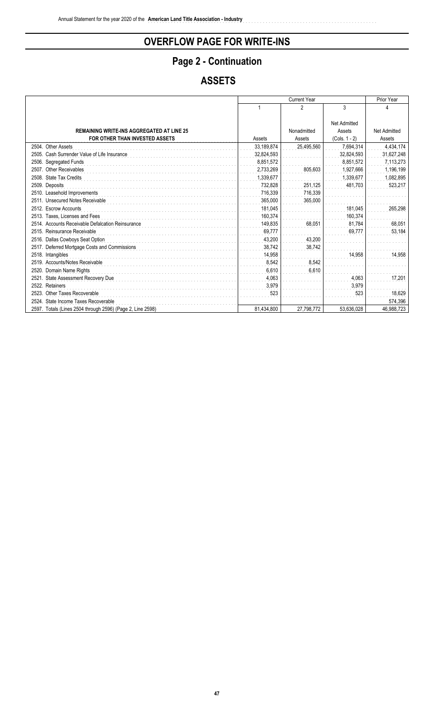## Page 2 - Continuation

## **ASSETS**

|                                                            |            | <b>Current Year</b> |                 | Prior Year          |
|------------------------------------------------------------|------------|---------------------|-----------------|---------------------|
|                                                            |            | 2                   | 3               | Δ                   |
|                                                            |            |                     |                 |                     |
|                                                            |            |                     | Net Admitted    |                     |
| <b>REMAINING WRITE-INS AGGREGATED AT LINE 25</b>           |            | Nonadmitted         | Assets          | <b>Net Admitted</b> |
| FOR OTHER THAN INVESTED ASSETS                             | Assets     | Assets              | $(Cols. 1 - 2)$ | Assets              |
| 2504. Other Assets                                         | 33,189,874 | 25,495,560          | 7,694,314       | 4,434,174           |
| 2505. Cash Surrender Value of Life Insurance               | 32,824,593 |                     | 32,824,593      | 31,627,248          |
| 2506. Segregated Funds                                     | 8,851,572  |                     | 8.851.572       | 7,113,273           |
| 2507. Other Receivables                                    | 2,733,269  | 805,603             | 1,927,666       | 1,196,199           |
| 2508. State Tax Credits                                    | 1,339,677  |                     | 1,339,677       | 1,082,895           |
| 2509. Deposits                                             | 732.828    | 251,125             | 481.703         | 523,217             |
| 2510. Leasehold Improvements                               | 716,339    | 716,339             |                 |                     |
| <b>Unsecured Notes Receivable</b><br>2511.                 | 365.000    | 365,000             |                 |                     |
| 2512. Escrow Accounts                                      | 181.045    |                     | 181,045         | 265,298             |
| 2513. Taxes. Licenses and Fees                             | 160.374    |                     | 160,374         |                     |
| 2514. Accounts Receivable Defalcation Reinsurance          | 149,835    | 68,051              | 81.784          | 68,051              |
| 2515. Reinsurance Receivable                               | 69,777     |                     | 69,777          | 53,184              |
| 2516. Dallas Cowboys Seat Option                           | 43.200     | 43,200              |                 |                     |
| Deferred Mortgage Costs and Commissions<br>2517.           | 38,742     | 38,742              |                 |                     |
| 2518. Intangibles                                          | 14.958     |                     | 14,958          | 14,958              |
| 2519. Accounts/Notes Receivable                            | 8.542      | 8,542               |                 |                     |
| 2520.<br>Domain Name Rights                                | 6,610      | 6,610               |                 |                     |
| <b>State Assessment Recovery Due</b><br>2521.              | 4.063      |                     | 4,063           | 17,201              |
| 2522. Retainers                                            | 3,979      |                     | 3,979           |                     |
| 2523. Other Taxes Recoverable                              | 523        |                     | 523             | 18,629              |
| 2524. State Income Taxes Recoverable                       |            |                     |                 | 574,396             |
| 2597. Totals (Lines 2504 through 2596) (Page 2, Line 2598) | 81,434,800 | 27,798,772          | 53,636,028      | 46,988,723          |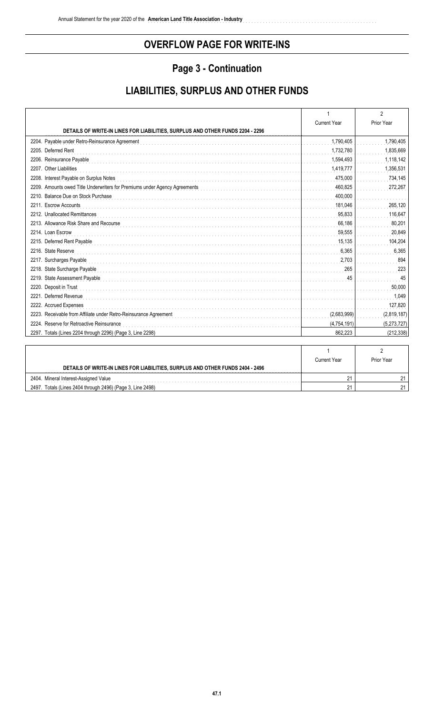## Page 3 - Continuation

## **LIABILITIES, SURPLUS AND OTHER FUNDS**

|                                                                                |                     | $\overline{2}$ |
|--------------------------------------------------------------------------------|---------------------|----------------|
|                                                                                | <b>Current Year</b> | Prior Year     |
| DETAILS OF WRITE-IN LINES FOR LIABILITIES, SURPLUS AND OTHER FUNDS 2204 - 2296 |                     |                |
| 2204. Payable under Retro-Reinsurance Agreement                                | 1,790,405           | 1,790,405      |
| 2205. Deferred Rent                                                            | 1,732,780           | 1,835,669      |
| 2206. Reinsurance Payable                                                      | 1,594,493           | 1,118,142      |
| 2207. Other Liabilities                                                        | 1,419,777           | 1,356,531      |
| 2208. Interest Payable on Surplus Notes                                        | 475,000             | 734,145        |
| 2209. Amounts owed Title Underwriters for Premiums under Agency Agreements     | 460,825             | 272,267        |
| 2210. Balance Due on Stock Purchase                                            | 400.000             |                |
| 2211. Escrow Accounts                                                          | 181,046             | 265,120        |
| 2212. Unallocated Remittances                                                  | 95,833              | 116,647        |
| 2213. Allowance Risk Share and Recourse                                        | 66,186              | 80,201         |
| 2214. Loan Escrow                                                              | 59,555              | 20,849         |
| 2215. Deferred Rent Payable                                                    | 15,135              | 104,204        |
| 2216. State Reserve                                                            | 6,365               | 6,365          |
| 2217. Surcharges Payable                                                       | 2,703               | 894            |
| 2218. State Surcharge Payable                                                  | 265                 | 223            |
| 2219. State Assessment Payable                                                 | 45                  | 45             |
| 2220. Deposit in Trust                                                         |                     | 50,000         |
| 2221. Deferred Revenue                                                         |                     | 1,049          |
| 2222. Accrued Expenses                                                         |                     | 127,820        |
| 2223. Receivable from Affiliate under Retro-Reinsurance Agreement              | (2,683,999)         | (2,819,187)    |
| 2224. Reserve for Retroactive Reinsurance                                      | (4,754,191)         | (5,273,727)    |
| 2297. Totals (Lines 2204 through 2296) (Page 3, Line 2298)                     | 862.223             | (212, 338)     |
|                                                                                |                     |                |
|                                                                                |                     |                |

|                                                                                | Current Year | Prior Year |
|--------------------------------------------------------------------------------|--------------|------------|
| DETAILS OF WRITE-IN LINES FOR LIABILITIES, SURPLUS AND OTHER FUNDS 2404 - 2496 |              |            |
| 2404.<br>Mineral Interest-Assigned Value                                       |              |            |
| 2407 Totals (Lines 2404 through 2406) (Page 3, Line 2408)                      |              |            |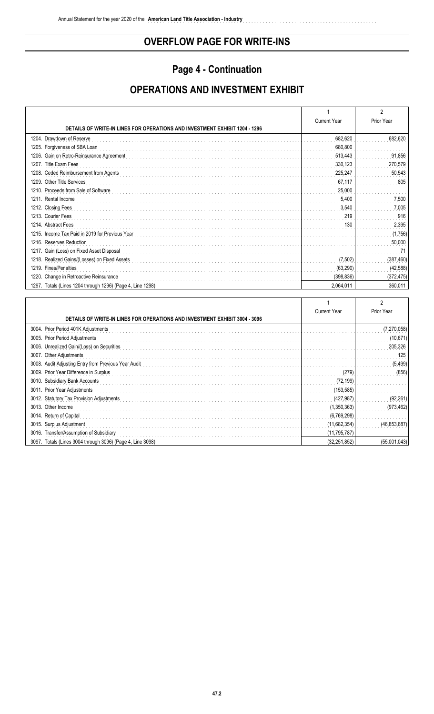## Page 4 - Continuation

## **OPERATIONS AND INVESTMENT EXHIBIT**

|                                                                                    |                     | 2          |
|------------------------------------------------------------------------------------|---------------------|------------|
|                                                                                    | <b>Current Year</b> | Prior Year |
| <b>DETAILS OF WRITE-IN LINES FOR OPERATIONS AND INVESTMENT EXHIBIT 1204 - 1296</b> |                     |            |
| 1204. Drawdown of Reserve                                                          | 682,620             | 682,620    |
| 1205. Forgiveness of SBA Loan                                                      | 680,800             |            |
| 1206. Gain on Retro-Reinsurance Agreement                                          | 513,443             | 91,856     |
| 1207. Title Exam Fees                                                              | 330,123             | 270,579    |
| 1208. Ceded Reimbursement from Agents                                              | 225,247             | 50,543     |
| 1209. Other Title Services                                                         | 67,117              | 805        |
| 1210. Proceeds from Sale of Software                                               | 25,000              |            |
| 1211. Rental Income                                                                | 5,400               | 7,500      |
| 1212. Closing Fees                                                                 | 3,540               | 7,005      |
| 1213. Courier Fees                                                                 | 219                 | 916        |
| 1214. Abstract Fees                                                                | 130                 | 2,395      |
| 1215. Income Tax Paid in 2019 for Previous Year                                    |                     | (1,756)    |
| 1216. Reserves Reduction                                                           |                     | 50,000     |
| 1217. Gain (Loss) on Fixed Asset Disposal                                          |                     | 71         |
| 1218. Realized Gains/(Losses) on Fixed Assets                                      | (7,502)             | (387, 460) |
| 1219. Fines/Penalties                                                              | (63, 290)           | (42, 588)  |
| 1220. Change in Retroactive Reinsurance                                            | (398, 836)          | (372, 475) |
| 1297. Totals (Lines 1204 through 1296) (Page 4, Line 1298)                         | 2,064,011           | 360,011    |

|                                                                                    |                     | 2            |
|------------------------------------------------------------------------------------|---------------------|--------------|
|                                                                                    | <b>Current Year</b> | Prior Year   |
| <b>DETAILS OF WRITE-IN LINES FOR OPERATIONS AND INVESTMENT EXHIBIT 3004 - 3096</b> |                     |              |
| 3004. Prior Period 401K Adjustments                                                |                     | (7,270,058)  |
| 3005. Prior Period Adjustments                                                     |                     | (10,671)     |
| 3006. Unrealized Gain/(Loss) on Securities                                         |                     | 205,326      |
| 3007. Other Adjustments                                                            |                     | 125          |
| 3008. Audit Adjusting Entry from Previous Year Audit                               |                     | (5, 499)     |
| 3009. Prior Year Difference in Surplus                                             | (279)               | (856)        |
| 3010. Subsidiary Bank Accounts                                                     | (72, 199)           |              |
| 3011. Prior Year Adjustments                                                       | (153, 585)          |              |
| 3012. Statutory Tax Provision Adjustments                                          | (427, 987)          | (92, 261)    |
| 3013. Other Income                                                                 | (1,350,363)         | (973, 462)   |
| 3014. Return of Capital                                                            | (6,769,298)         |              |
| 3015. Surplus Adjustment                                                           | (11,682,354)        | (46,853,687) |
| 3016. Transfer/Assumption of Subsidiary                                            | (11,795,787)        |              |
| 3097. Totals (Lines 3004 through 3096) (Page 4, Line 3098)                         | (32, 251, 852)      | (55,001,043) |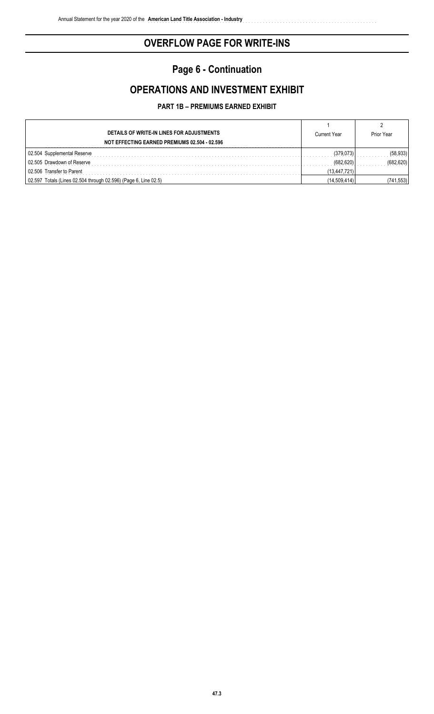## **Page 6 - Continuation**

## **OPERATIONS AND INVESTMENT EXHIBIT**

#### **PART 1B – PREMIUMS EARNED EXHIBIT**

| DETAILS OF WRITE-IN LINES FOR ADJUSTMENTS<br>NOT EFFECTING EARNED PREMIUMS 02.504 - 02.596 | <b>Current Year</b> | Prior Year |
|--------------------------------------------------------------------------------------------|---------------------|------------|
| 02.504 Supplemental Reserve                                                                | (379.073)           | (58, 933)  |
| 02.505 Drawdown of Reserve                                                                 | (682 620)           | (682.620)  |
| 02.506 Transfer to Parent                                                                  | (13, 447, 721)      |            |
| 02.597 Totals (Lines 02.504 through 02.596) (Page 6, Line 02.5)                            | (14,509,414)        | (741,553)  |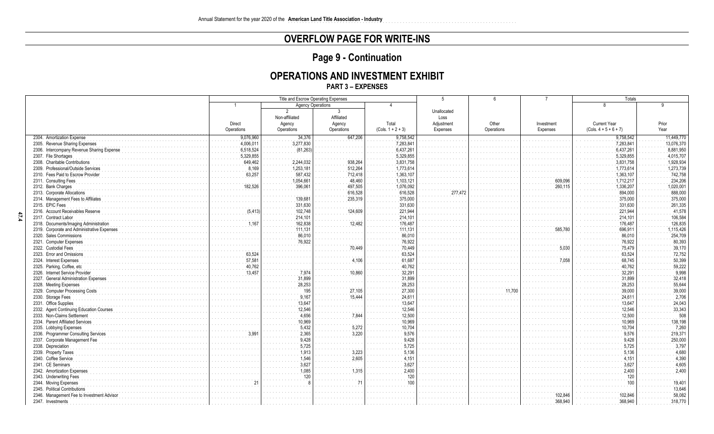## Page 9 - Continuation

#### **OPERATIONS AND INVESTMENT EXHIBIT**

#### **PART 3 - EXPENSES**

|                                            | Title and Escrow Operating Expenses |                          |            | $\overline{5}$      |             | $\overline{7}$ | Totals     |                         |            |
|--------------------------------------------|-------------------------------------|--------------------------|------------|---------------------|-------------|----------------|------------|-------------------------|------------|
|                                            | -1                                  | <b>Agency Operations</b> |            | $\overline{4}$      |             |                |            |                         | 9          |
|                                            |                                     | 2                        | 3          |                     | Unallocated |                |            |                         |            |
|                                            |                                     | Non-affiliated           | Affiliated |                     | Loss        |                |            |                         |            |
|                                            | Direct                              | Agency                   | Agency     | Total               | Adjustment  | Other          | Investment | <b>Current Year</b>     | Prior      |
|                                            | Operations                          | Operations               | Operations | $(Cols. 1 + 2 + 3)$ | Expenses    | Operations     | Expenses   | $(Cols. 4 + 5 + 6 + 7)$ | Year       |
| 2304. Amortization Expense                 | 9,076,960                           | 34,376                   | 647,206    | 9.758.542           |             |                |            | 9,758,542               | 11,449,770 |
| 2305. Revenue Sharing Expenses             | 4,006,011                           | 3,277,830                |            | 7,283,841           |             |                |            | 7,283,841               | 13,076,370 |
| 2306. Intercompany Revenue Sharing Expens  | 6,518,524                           | (81, 263)                |            | 6,437,261           |             |                |            | 6,437,261               | 8,881,950  |
| 2307. File Shortages                       | 5,329,855                           |                          |            | 5,329,855           |             |                |            | 5,329,855               | 4,015,707  |
| 2308. Charitable Contributions             | 649,462                             | 2,244,032                | 938,264    | 3,831,758           |             |                |            | 3,831,758               | 1,928,934  |
| 2309. Professional/Outside Services        | 8.169                               | 1,253,181                | 512,264    | 1,773,614           |             |                |            | 1,773,614               | 1,273,739  |
| 2310. Fees Paid to Escrow Provider         | 63,257                              | 587,432                  | 712,418    | 1,363,107           |             |                |            | 1,363,107               | 742,758    |
| 2311. Consulting Fees                      |                                     | 1,054,661                | 48,460     | 1,103,121           |             |                | 609,096    | 1,712,217               | 234,206    |
| 2312. Bank Charges                         | 182.52                              | 396,06                   | 497,505    | 1,076,092           |             |                | 260,11     | 1,336,207               | 1,020,001  |
| 2313. Corporate Allocations                |                                     |                          | 616,528    | 616,528             | 277,        |                |            | 894,000                 | 888,000    |
| 2314. Management Fees to Affiliate         |                                     | 139.681                  | 235,319    | 375,000             |             |                |            | 375.000                 | 375,000    |
| 2315. EPIC Fees                            |                                     | 331,630                  |            | 331.630             |             |                |            | 331,630                 | 261,335    |
| 2316. Account Receivables Reserve          |                                     | 102,748                  | 124,609    | 221.944             |             |                |            | 221,944                 | 41,578     |
| 2317. Contract Labor                       |                                     | 214,101                  |            | 214.101             |             |                |            | 214,101                 | 106,584    |
| 2318. Documents/Imaging Administration     |                                     | 162,838                  | 12,482     | 176,487             |             |                |            | 176,487                 | 126,835    |
| 2319. Corporate and Administrative Expense |                                     | 111.131                  |            | 111.131             |             |                | 585,78     | 696,911                 | 1,115,426  |
| 2320. Sales Commissions                    |                                     | 86,010                   |            | 86,010              |             |                |            | 86,010                  | 254,709    |
| 2321. Computer Expenses                    |                                     | 76,922                   |            | 76.922              |             |                |            | 76,922                  | 80,393     |
| 2322. Custodial Fees                       |                                     |                          | 70,449     | 70.449              |             |                | 5.03(      | 75,479                  | 39,170     |
| 2323. Error and Omissions                  | 63.52                               |                          |            | 63.524              |             |                |            | 63.524                  | 72.752     |
| 2324. Interest Expenses                    | 57,58                               |                          | 4,106      | 61.687              |             |                |            | 68,745                  | 50,399     |
| 2325. Parking, Coffee, etc                 | 40.762                              |                          |            | 40.762              |             |                |            | 40.762                  | 59,222     |
| 2326. Internet Service Provider            | 13,457                              | 7,974                    | 10,860     | 32,291              |             |                |            | 32,291                  | 9,998      |
| 2327. General Administration Expenses      |                                     | 31,899                   |            | 31.899              |             |                |            | 31.899                  | 32,418     |
| 2328. Meeting Expenses                     |                                     | 28,253                   |            | 28,253              |             |                |            | 28,253                  | 55,644     |
| 2329. Computer Processing Costs            |                                     |                          | 27.105     | 27,300              |             |                |            | 39,000                  | 39,000     |
| 2330. Storage Fees                         |                                     | 9.167                    | 15.444     | 24.611              |             |                |            | 24,611                  | 2,706      |
| 2331. Office Supplies                      |                                     | 13.647                   |            | 13.64               |             |                |            | 13.647                  | 24,043     |
| 2332. Agent Continuing Education Courses   |                                     | 12,546                   |            | 12.546              |             |                |            | 12,546                  | 33,343     |
| 2333. Non-Claims Settlement                |                                     | 4.656                    | 7,844      | 12,500              |             |                |            | 12,500                  | 508        |
| 2334. Parent Affiliated Services           |                                     | 10.969                   |            | 10.969              |             |                |            | 10.969                  | 138,198    |
| 2335. Lobbying Expenses                    |                                     | 5,432                    | 5,272      | 10.70               |             |                |            | 10,704                  | 7,260      |
| 2336. Programmer Consulting Services       |                                     | 2,365                    | 3,220      |                     |             |                |            | 9.576                   | 219,371    |
| 2337. Corporate Management Fee             |                                     | 9.428                    |            |                     |             |                |            | 9.428                   | 250,000    |
| 2338. Depreciation                         |                                     | 5,725                    |            |                     |             |                |            | 5,725                   | 3,797      |
| 2339. Property Taxes                       |                                     | 1,913                    | 3,223      | 5.136               |             |                |            | 5,136                   | 4,680      |
| 2340. Coffee Service                       |                                     | 1.546                    | 2,605      |                     |             |                |            | 4,151                   | 4,390      |
| 2341. CE Seminars                          |                                     | 3,627                    |            | 3.627               |             |                |            | 3,627                   | 4,605      |
| 2342. Amortization Expenses                |                                     | 085                      | 1,315      | 2.400               |             |                |            | 2,400                   | 2,400      |
| 2343. Underwriting Fees                    |                                     |                          |            |                     |             |                |            | 120                     |            |
| 2344. Moving Expenses                      |                                     |                          |            |                     |             |                |            |                         | 19,401     |
| 2345. Political Contributions              |                                     |                          |            |                     |             |                |            |                         | 13,646     |
| 2346. Management Fee to Investment Advisor |                                     |                          |            |                     |             |                | 102.846    | 102.846                 | 58,082     |
| 2347. Investments                          |                                     |                          |            |                     |             |                | 368,940    | 368.940                 | 318,770    |
|                                            |                                     |                          |            |                     |             |                |            |                         |            |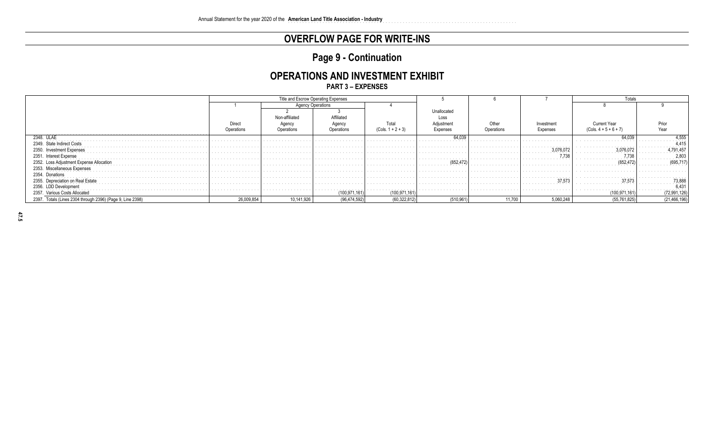## Page 9 - Continuation

### **OPERATIONS AND INVESTMENT EXHIBIT**

**PART 3 - EXPENSES** 

|                                                            | Title and Escrow Operating Expenses |                          |                 |                                                                                                                                                                                                                                                  |               |        | Totals      |                |                   |
|------------------------------------------------------------|-------------------------------------|--------------------------|-----------------|--------------------------------------------------------------------------------------------------------------------------------------------------------------------------------------------------------------------------------------------------|---------------|--------|-------------|----------------|-------------------|
|                                                            |                                     | <b>Agency Operations</b> |                 |                                                                                                                                                                                                                                                  |               |        |             |                |                   |
|                                                            |                                     |                          |                 |                                                                                                                                                                                                                                                  | Unallocated   |        |             |                |                   |
|                                                            |                                     | Non-affiliated           | Affiliated      |                                                                                                                                                                                                                                                  | Loss          |        |             |                |                   |
|                                                            | Direct                              | Aaenc                    | Aaencv          | Total                                                                                                                                                                                                                                            | Adiustment    | Other  | Investment  | ੇ⊔rrent Year   |                   |
|                                                            |                                     |                          | Operations      |                                                                                                                                                                                                                                                  | Expenses      |        | Expenses    |                |                   |
| 2348. ULAE                                                 |                                     |                          |                 |                                                                                                                                                                                                                                                  | 64.039<br>.   |        |             | 64,039         | 1.555             |
| 2349. State Indirect Costs                                 |                                     |                          |                 |                                                                                                                                                                                                                                                  |               |        |             |                |                   |
| 2350.                                                      |                                     |                          |                 |                                                                                                                                                                                                                                                  |               |        |             | .076.072       | .                 |
| 2351.                                                      |                                     |                          |                 |                                                                                                                                                                                                                                                  |               |        |             | .738           | 2.80 <sup>-</sup> |
| 2352. Loss.<br>Adjustment Expense Allocation               |                                     |                          |                 |                                                                                                                                                                                                                                                  | (852,47"<br>. |        |             | (852, 472)     | 695,717           |
| 2353. Miscellaneous Expenses                               |                                     |                          |                 |                                                                                                                                                                                                                                                  |               |        |             |                |                   |
| 2354.<br>Donation                                          |                                     |                          |                 |                                                                                                                                                                                                                                                  |               |        |             | .              |                   |
| 2355.                                                      |                                     |                          |                 |                                                                                                                                                                                                                                                  |               |        | .<br>37.573 | 37.573         | 73.88             |
| 2356.                                                      |                                     | .                        |                 |                                                                                                                                                                                                                                                  |               |        |             |                | .<br>6,43         |
| Various Costs Allocated<br>2357.                           |                                     |                          | .<br>100,971,16 | the contract of the contract of the contract of the contract of the contract of the contract of the contract of the contract of the contract of the contract of the contract of the contract of the contract of the contract o<br>(100, 971, 16) |               |        |             | 100,971,161)   | (72, 991, 126)    |
| 2397. Totals (Lines 2304 through 2396) (Page 9, Line 2398) | 26,009,854                          | 10,141,926               | (96,474,592)    | (60,322,812)                                                                                                                                                                                                                                     | (510, 961)    | 11,700 | 5,060,248   | (55, 761, 825) | (21, 466, 196)    |

 $47.5$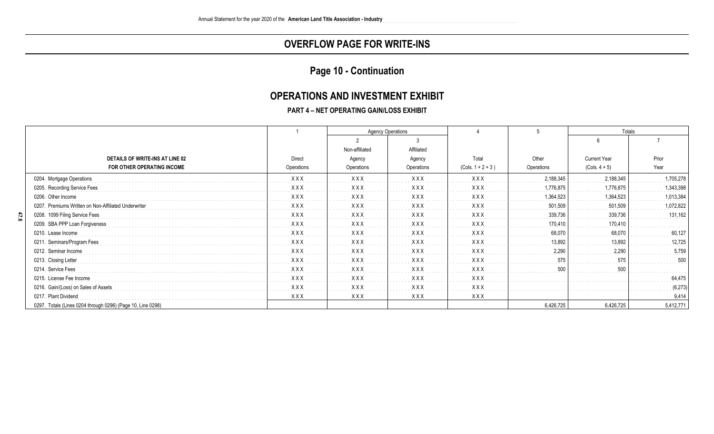### Page 10 - Continuation

#### **OPERATIONS AND INVESTMENT EXHIBIT**

#### **PART 4 - NET OPERATING GAIN/LOSS EXHIBIT**

|                                                             |            | <b>Agency Operations</b> |            |                     |            |                     | Totals    |  |
|-------------------------------------------------------------|------------|--------------------------|------------|---------------------|------------|---------------------|-----------|--|
|                                                             |            |                          |            |                     |            |                     |           |  |
|                                                             |            | Non-affiliated           | Affiliated |                     |            |                     |           |  |
| DETAILS OF WRITE-INS AT LINE 02                             | Direct     | Agency                   | Agency     | Total               | Other      | <b>Current Year</b> | Prior     |  |
| FOR OTHER OPERATING INCOME                                  | Operations | Operations               | Operations | $(Cols. 1 + 2 + 3)$ | Operations | $(Cols. 4 + 5)$     | Year      |  |
| 0204. Mortgage Operations                                   | <b>XXX</b> | <b>XXX</b>               | <b>XXX</b> | <b>XXX</b>          | 2,188,345  | 2,188,345           | 1,705,278 |  |
| 0205. Recording Service Fees                                | <b>XXX</b> | <b>XXX</b>               | <b>XXX</b> | <b>XXX</b>          | 1,776,875  | 1,776,875           | 1,343,398 |  |
| 0206. Other Income                                          | <b>XXX</b> | <b>XXX</b>               | <b>XXX</b> | <b>XXX</b>          | 1.364.523  | 1,364,523           | 1,013,384 |  |
| 0207. Premiums Written on Non-Affiliated Underwrite         | <b>XXX</b> | <b>XXX</b>               | <b>XXX</b> | <b>XXX</b>          | 501,509    | 501,509             | 1,072,822 |  |
| 0208. 1099 Filing Service Fees                              | <b>XXX</b> | <b>XXX</b>               | <b>XXX</b> | <b>XXX</b>          | 339,736    | 339,736             | 131,162   |  |
| 0209. SBA PPP Loan Forgiveness                              | <b>XXX</b> | <b>XXX</b>               | <b>XXX</b> | <b>XXX</b>          | 170,410    | 170,410             |           |  |
| 0210. Lease Income                                          | <b>XXX</b> | <b>XXX</b>               | XXX        | <b>XXX</b>          | 68,070     | 68,070              | 60,127    |  |
| 0211. Seminars/Program Fees                                 | <b>XXX</b> | <b>XXX</b>               | <b>XXX</b> | <b>XXX</b>          | 13.892     | 13.892              | 12,725    |  |
| 0212. Seminar Income                                        | <b>XXX</b> | <b>XXX</b>               | <b>XXX</b> | <b>XXX</b>          | 2.290      | 2.290               | 5,759     |  |
| 0213. Closing Letter                                        | <b>XXX</b> | <b>XXX</b>               | <b>XXX</b> | <b>XXX</b>          | 575        | 575                 | 500       |  |
| 0214. Service Fees                                          | <b>XXX</b> | <b>XXX</b>               | <b>XXX</b> | <b>XXX</b>          | 500        | 500                 |           |  |
| 0215. License Fee Income                                    | <b>XXX</b> | XXX                      | <b>XXX</b> | <b>XXX</b>          |            |                     | 64,475    |  |
| 0216. Gain/(Loss) on Sales of Assets                        | XXX        | <b>XXX</b>               | <b>XXX</b> | <b>XXX</b>          |            |                     | (6, 273)  |  |
| 0217. Plant Dividend                                        | <b>XXX</b> | <b>XXX</b>               | XXX        | <b>XXX</b>          |            |                     | 9,414     |  |
| 0297. Totals (Lines 0204 through 0296) (Page 10, Line 0298) |            |                          |            |                     | 6.426.725  | 6,426,725           | 5,412,771 |  |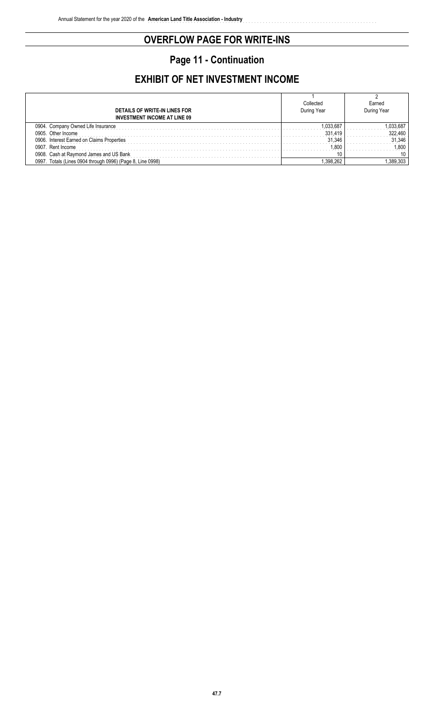# **Page 11 - Continuation**

## **EXHIBIT OF NET INVESTMENT INCOME**

| DETAILS OF WRITE-IN LINES FOR                               | Collected<br>During Year | Earned<br>During Year |
|-------------------------------------------------------------|--------------------------|-----------------------|
| <b>INVESTMENT INCOME AT LINE 09</b>                         |                          |                       |
| ompany Owned Life Insurance                                 |                          |                       |
| 0905<br>Other Income                                        |                          |                       |
| 0906<br>Interest Earned on Claims Properties                | 31.346                   | .346                  |
| 090<br>Rent Income                                          | 80                       | -800                  |
| 0908<br>Cash at Ravmond James and US Bank                   |                          |                       |
| 099<br>™otals (Lines ∖<br>through 0996) (Page 8, Line 0998) |                          |                       |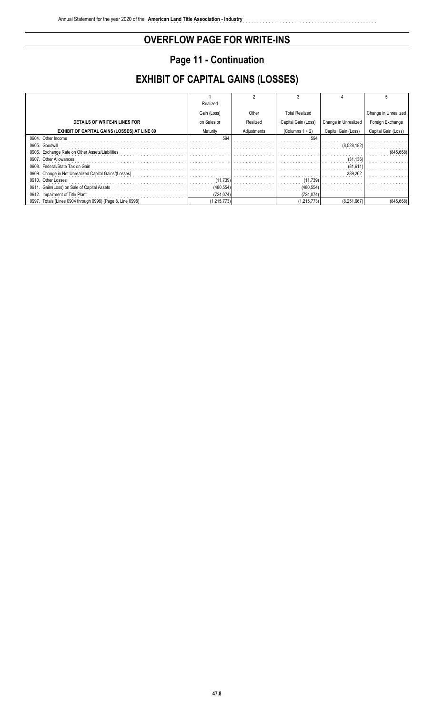## **Page 11 - Continuation**

## **EXHIBIT OF CAPITAL GAINS (LOSSES)**

|                                                            | Realized    |             |                       |                      |                      |
|------------------------------------------------------------|-------------|-------------|-----------------------|----------------------|----------------------|
|                                                            | Gain (Loss) | Other       | <b>Total Realized</b> |                      | Change in Unrealized |
| DETAILS OF WRITE-IN LINES FOR                              | on Sales or | Realized    | Capital Gain (Loss)   | Change in Unrealized | Foreign Exchange     |
| <b>EXHIBIT OF CAPITAL GAINS (LOSSES) AT LINE 09</b>        | Maturity    | Adjustments | (Columns $1 + 2$ )    | Capital Gain (Loss)  | Capital Gain (Loss)  |
| 0904. Other Income                                         | 594         |             | 594                   |                      |                      |
| 0905. Goodwill                                             |             |             |                       | (8,528,182)          |                      |
| 0906. Exchange Rate on Other Assets/Liabilities            |             |             |                       |                      | (845,668             |
| 0907. Other Allowances                                     |             |             |                       | (31, 136)            |                      |
| 0908. Federal/State Tax on Gain                            |             |             |                       | (81, 611)            |                      |
| 0909. Change in Net Unrealized Capital Gains/(Losses)      |             |             |                       | 389,262              |                      |
| 0910. Other Losses                                         | (11.739)    |             | (11, 739)             |                      |                      |
| 0911. Gain/(Loss) on Sale of Capital Assets                | (480, 554)  |             | (480, 554)            |                      |                      |
| 0912. Impairment of Title Plant                            | (724, 074)  |             | (724, 074)            |                      |                      |
| 0997. Totals (Lines 0904 through 0996) (Page 8, Line 0998) | (1,215,773) |             | (1,215,773)           | (8,251,667)          | (845, 668)           |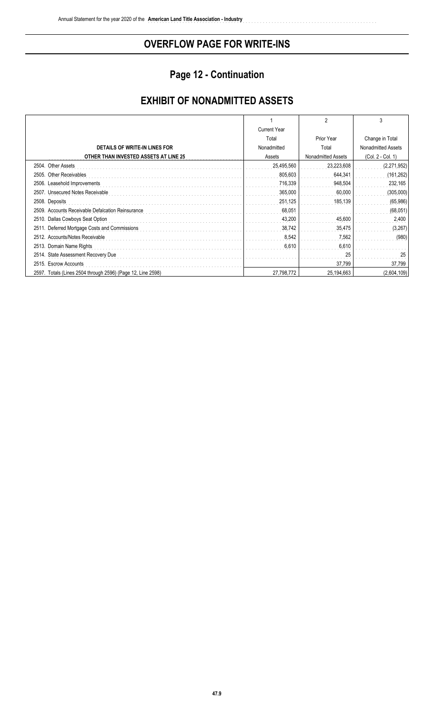## **Page 12 - Continuation**

## **EXHIBIT OF NONADMITTED ASSETS**

|                                                                |                     | 2                  | 3                  |
|----------------------------------------------------------------|---------------------|--------------------|--------------------|
|                                                                | <b>Current Year</b> |                    |                    |
|                                                                | Total               | Prior Year         | Change in Total    |
| DETAILS OF WRITE-IN LINES FOR                                  | Nonadmitted         | Total              | Nonadmitted Assets |
| OTHER THAN INVESTED ASSETS AT LINE 25                          | Assets              | Nonadmitted Assets | (Col. 2 - Col. 1)  |
| Other Assets<br>2504.                                          | 25,495,560          | 23,223,608         | (2,271,952)        |
| 2505. Other Receivables                                        | 805,603             | 644,341            | (161, 262)         |
| 2506. Leasehold Improvements                                   | 716,339             | 948,504            | 232,165            |
| 2507. Unsecured Notes Receivable                               | 365,000             | 60,000             | (305,000)          |
| 2508. Deposits                                                 | 251,125             | 185,139            | (65, 986)          |
| 2509. Accounts Receivable Defalcation Reinsurance              | 68,051              |                    | (68,051)           |
| 2510. Dallas Cowboys Seat Option                               | 43,200              | 45,600             | 2,400              |
| Deferred Mortgage Costs and Commissions<br>2511.               | 38,742              | 35.475             | (3,267)            |
| 2512. Accounts/Notes Receivable                                | 8,542               | 7,562              | (980)              |
| 2513. Domain Name Rights                                       | 6,610               | 6,610              |                    |
| 2514. State Assessment Recovery Due                            |                     | 25                 | 25                 |
| 2515. Escrow Accounts                                          |                     | 37,799             | 37,799             |
| Totals (Lines 2504 through 2596) (Page 12, Line 2598)<br>2597. | 27,798,772          | 25, 194, 663       | (2,604,109)        |